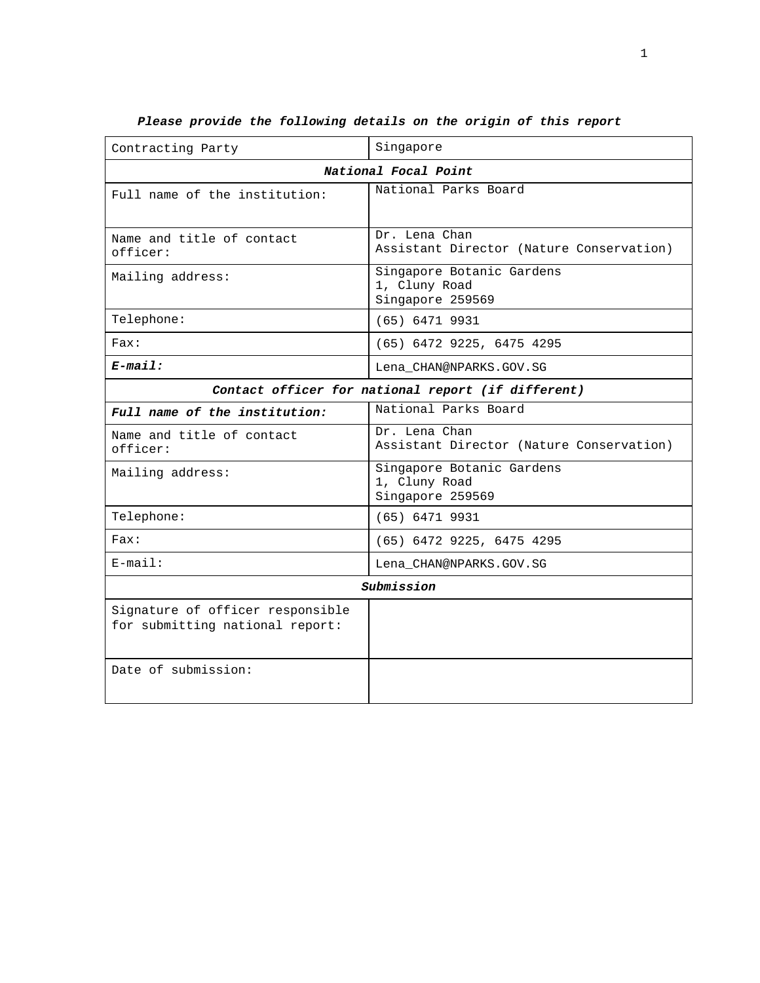| Contracting Party                                                   | Singapore                                                      |  |
|---------------------------------------------------------------------|----------------------------------------------------------------|--|
|                                                                     | National Focal Point                                           |  |
| Full name of the institution:                                       | National Parks Board                                           |  |
| Name and title of contact<br>officer:                               | Dr. Lena Chan<br>Assistant Director (Nature Conservation)      |  |
| Mailing address:                                                    | Singapore Botanic Gardens<br>1, Cluny Road<br>Singapore 259569 |  |
| Telephone:                                                          | $(65)$ 6471 9931                                               |  |
| Fast:                                                               | (65) 6472 9225, 6475 4295                                      |  |
| $E$ -mail:                                                          | Lena CHAN@NPARKS.GOV.SG                                        |  |
| Contact officer for national report (if different)                  |                                                                |  |
| Full name of the institution:                                       | National Parks Board                                           |  |
| Name and title of contact<br>officer:                               | Dr. Lena Chan<br>Assistant Director (Nature Conservation)      |  |
| Mailing address:                                                    | Singapore Botanic Gardens<br>1, Cluny Road<br>Singapore 259569 |  |
| Telephone:                                                          | $(65)$ 6471 9931                                               |  |
| Fast:                                                               | (65) 6472 9225, 6475 4295                                      |  |
| $E$ -mail:                                                          | Lena_CHAN@NPARKS.GOV.SG                                        |  |
| Submission                                                          |                                                                |  |
| Signature of officer responsible<br>for submitting national report: |                                                                |  |
| Date of submission:                                                 |                                                                |  |

# **Please provide the following details on the origin of this report**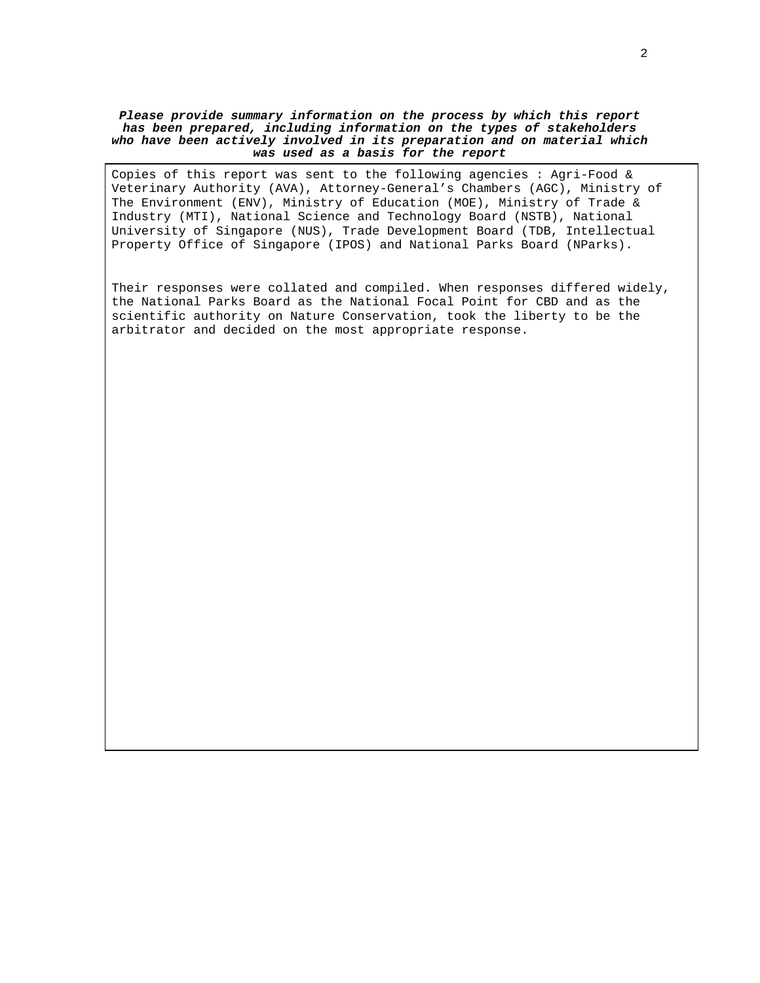#### **Please provide summary information on the process by which this report has been prepared, including information on the types of stakeholders who have been actively involved in its preparation and on material which was used as a basis for the report**

Copies of this report was sent to the following agencies : Agri-Food & Veterinary Authority (AVA), Attorney-General's Chambers (AGC), Ministry of The Environment (ENV), Ministry of Education (MOE), Ministry of Trade & Industry (MTI), National Science and Technology Board (NSTB), National University of Singapore (NUS), Trade Development Board (TDB, Intellectual Property Office of Singapore (IPOS) and National Parks Board (NParks).

Their responses were collated and compiled. When responses differed widely, the National Parks Board as the National Focal Point for CBD and as the scientific authority on Nature Conservation, took the liberty to be the arbitrator and decided on the most appropriate response.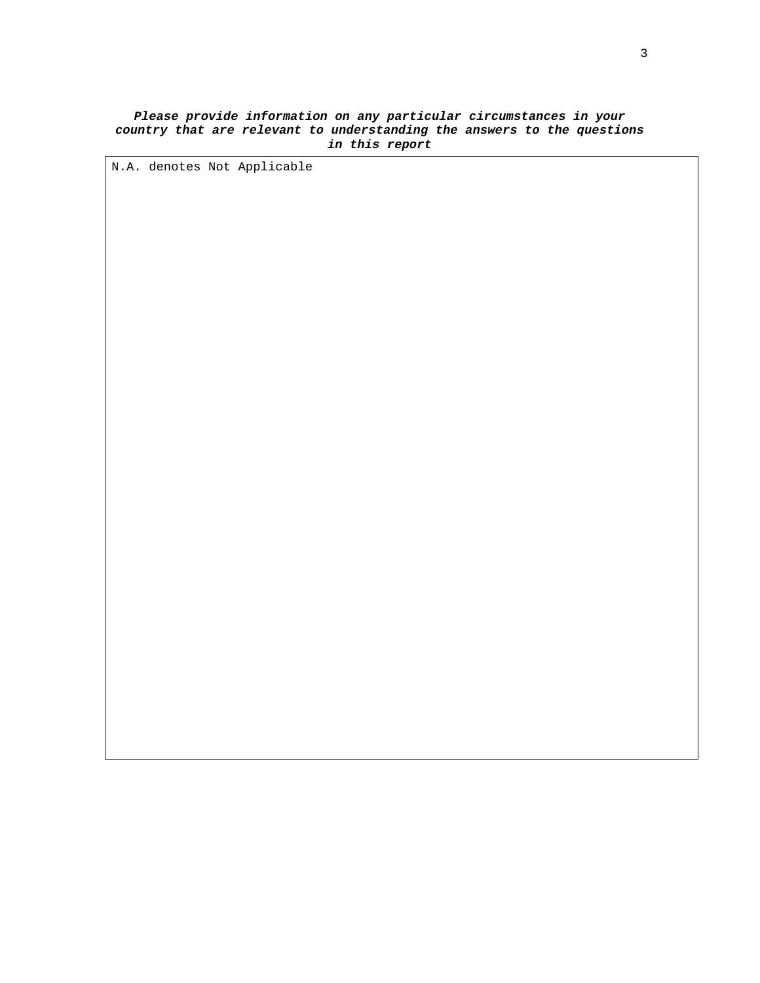#### **Please provide information on any particular circumstances in your country that are relevant to understanding the answers to the questions in this report**

N.A. denotes Not Applicable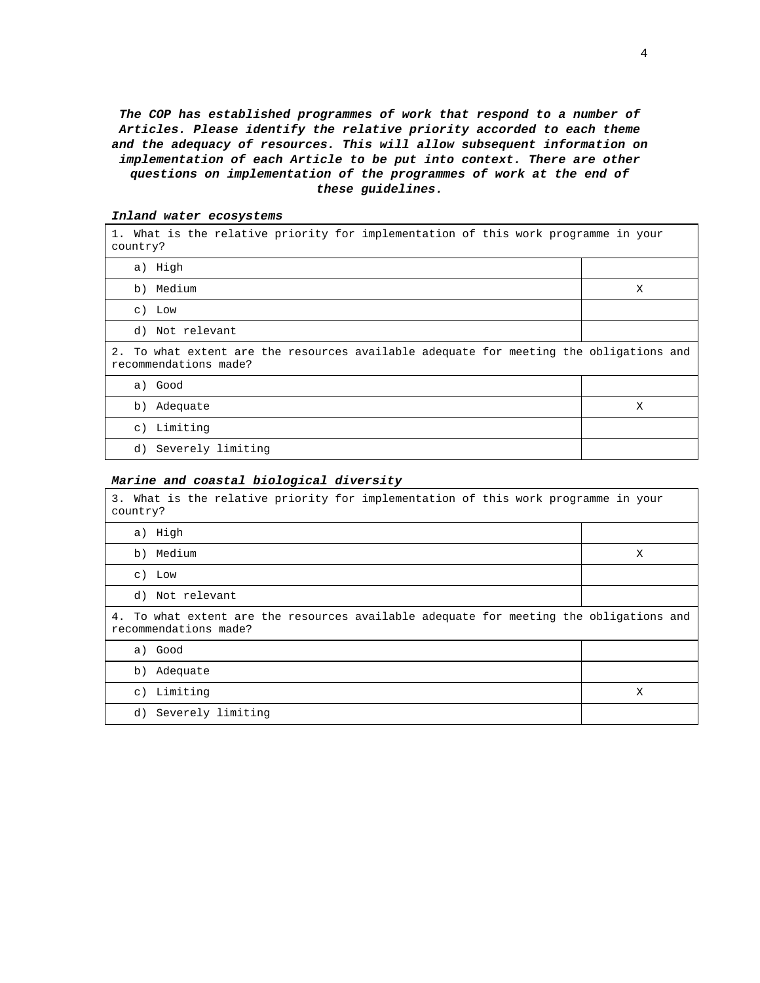**The COP has established programmes of work that respond to a number of Articles. Please identify the relative priority accorded to each theme and the adequacy of resources. This will allow subsequent information on implementation of each Article to be put into context. There are other questions on implementation of the programmes of work at the end of these guidelines.** 

| 1. What is the relative priority for implementation of this work programme in your<br>country?                  |   |
|-----------------------------------------------------------------------------------------------------------------|---|
| a) High                                                                                                         |   |
| b) Medium                                                                                                       | X |
| c) Low                                                                                                          |   |
| d) Not relevant                                                                                                 |   |
| 2. To what extent are the resources available adequate for meeting the obligations and<br>recommendations made? |   |
| a) Good                                                                                                         |   |
| b) Adequate                                                                                                     | X |
| c) Limiting                                                                                                     |   |
| d) Severely limiting                                                                                            |   |

#### **Inland water ecosystems**

#### **Marine and coastal biological diversity**

| 3. What is the relative priority for implementation of this work programme in your<br>country?                  |   |
|-----------------------------------------------------------------------------------------------------------------|---|
| a) High                                                                                                         |   |
| b) Medium                                                                                                       | X |
| c) Low                                                                                                          |   |
| d) Not relevant                                                                                                 |   |
| 4. To what extent are the resources available adequate for meeting the obligations and<br>recommendations made? |   |
| a) Good                                                                                                         |   |
| b) Adequate                                                                                                     |   |
| c) Limiting                                                                                                     | X |
| Severely limiting<br>d)                                                                                         |   |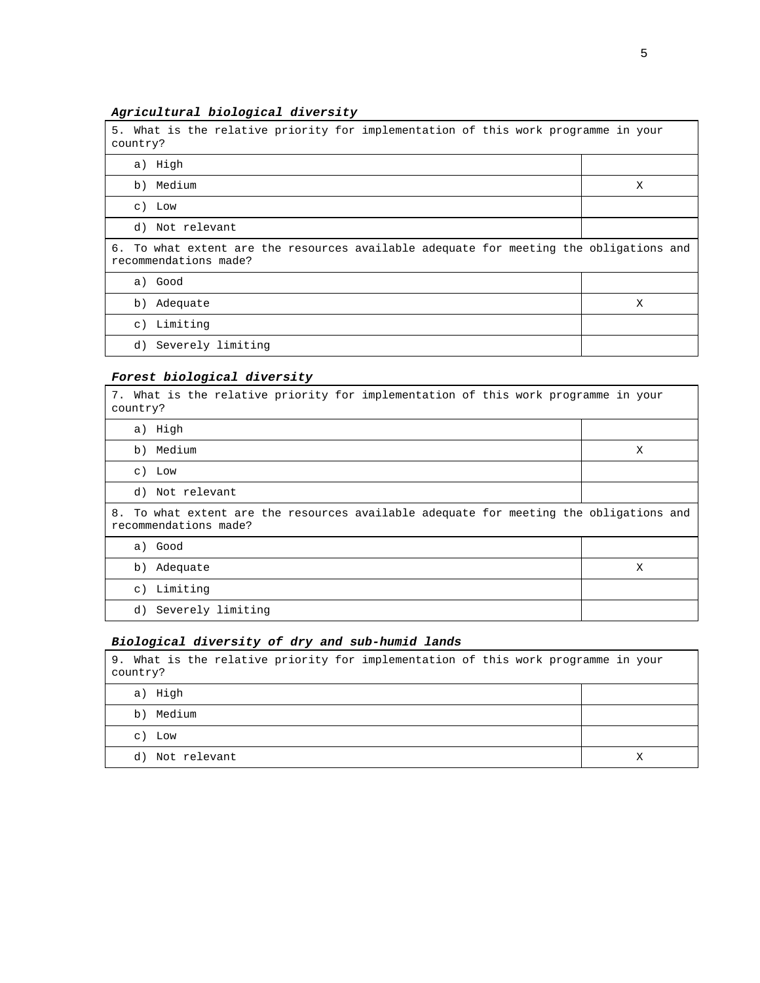# **Agricultural biological diversity**

| 5. What is the relative priority for implementation of this work programme in your<br>country?                  |   |
|-----------------------------------------------------------------------------------------------------------------|---|
| a) High                                                                                                         |   |
| b) Medium                                                                                                       | Χ |
| c) Low                                                                                                          |   |
| d) Not relevant                                                                                                 |   |
| 6. To what extent are the resources available adequate for meeting the obligations and<br>recommendations made? |   |
| a) Good                                                                                                         |   |
| b) Adequate                                                                                                     | X |
| c) Limiting                                                                                                     |   |
| d) Severely limiting                                                                                            |   |

# **Forest biological diversity**

| 7. What is the relative priority for implementation of this work programme in your<br>country?                  |   |
|-----------------------------------------------------------------------------------------------------------------|---|
| a) High                                                                                                         |   |
| b) Medium                                                                                                       | X |
| $c)$ Low                                                                                                        |   |
| d) Not relevant                                                                                                 |   |
| 8. To what extent are the resources available adequate for meeting the obligations and<br>recommendations made? |   |
| a) Good                                                                                                         |   |
| b) Adequate                                                                                                     | X |
| c) Limiting                                                                                                     |   |
| d) Severely limiting                                                                                            |   |

# **Biological diversity of dry and sub-humid lands**

| 9. What is the relative priority for implementation of this work programme in your<br>country? |   |
|------------------------------------------------------------------------------------------------|---|
| a) High                                                                                        |   |
| Medium<br>b)                                                                                   |   |
| c) Low                                                                                         |   |
| Not relevant<br>d)                                                                             | Х |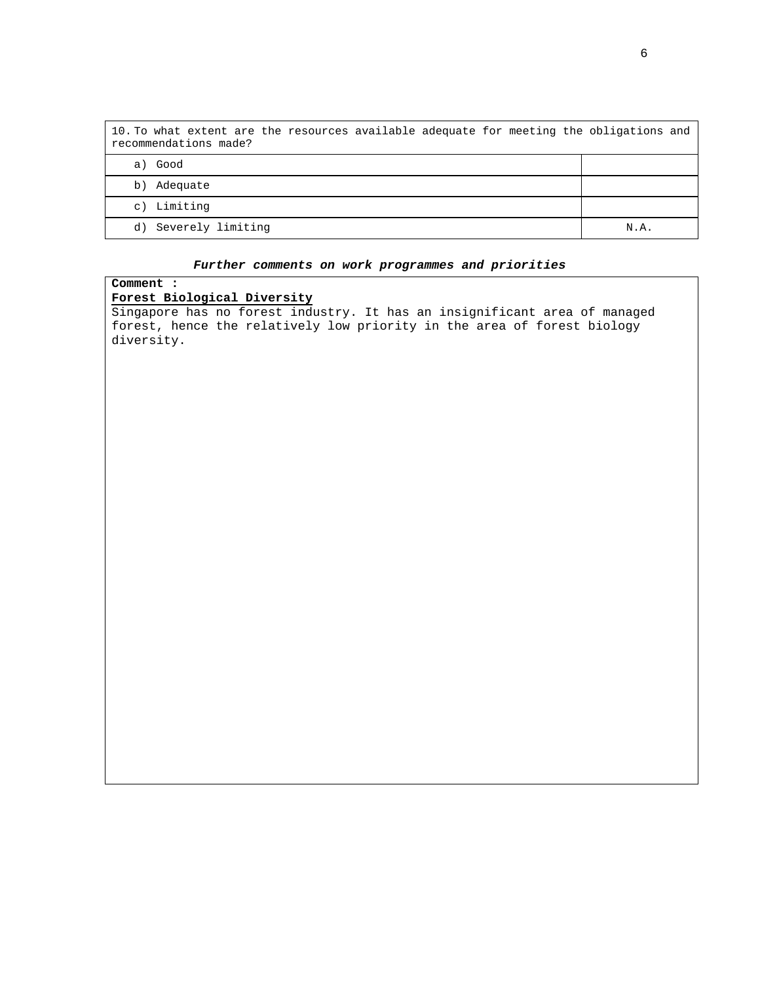| 10. To what extent are the resources available adequate for meeting the obligations and<br>recommendations made? |      |
|------------------------------------------------------------------------------------------------------------------|------|
| Good<br>a)                                                                                                       |      |
| Adequate<br>b)                                                                                                   |      |
| Limiting<br>$\circ$ )                                                                                            |      |
| Severely limiting<br>d)                                                                                          | N.A. |

# **Further comments on work programmes and priorities**

**Comment :** 

# **Forest Biological Diversity**

Singapore has no forest industry. It has an insignificant area of managed forest, hence the relatively low priority in the area of forest biology diversity.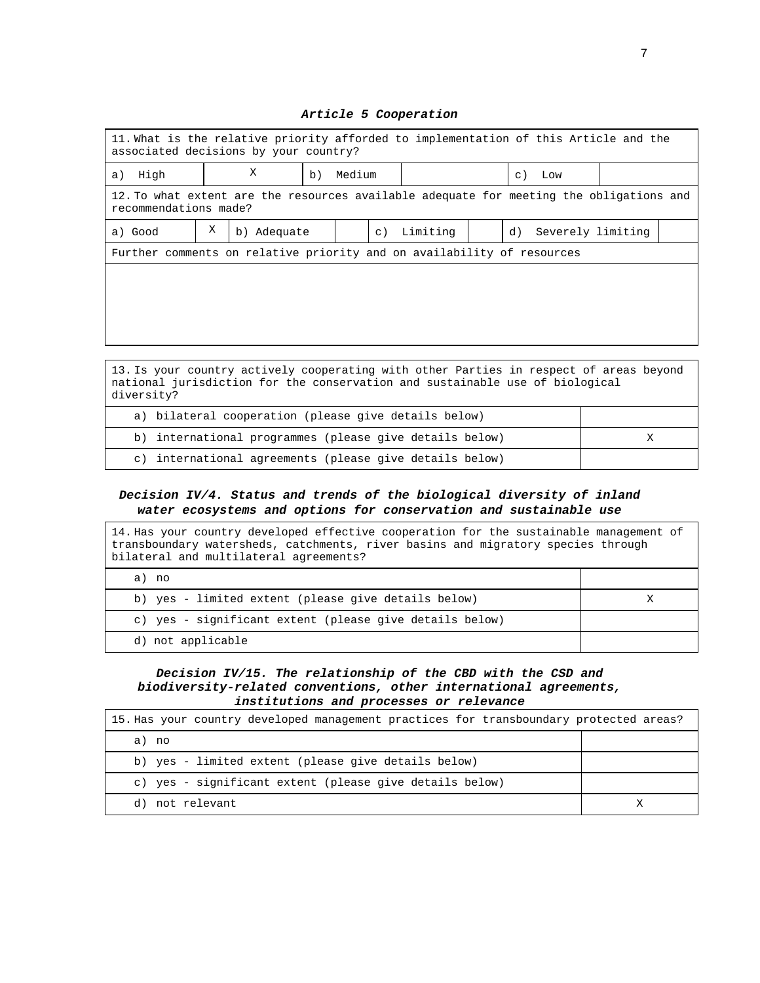# 11. What is the relative priority afforded to implementation of this Article and the associated decisions by your country? a) High  $X$  b) Medium  $|c|$  Low 12. To what extent are the resources available adequate for meeting the obligations and recommendations made? a) Good  $X$  b) Adequate c) Limiting d) Severely limiting Further comments on relative priority and on availability of resources

13. Is your country actively cooperating with other Parties in respect of areas beyond national jurisdiction for the conservation and sustainable use of biological diversity?

| a) bilateral cooperation (please give details below)    |  |
|---------------------------------------------------------|--|
| b) international programmes (please give details below) |  |
| c) international agreements (please give details below) |  |

#### **Decision IV/4. Status and trends of the biological diversity of inland water ecosystems and options for conservation and sustainable use**

| 14. Has your country developed effective cooperation for the sustainable management of<br>transboundary watersheds, catchments, river basins and migratory species through<br>bilateral and multilateral agreements? |   |
|----------------------------------------------------------------------------------------------------------------------------------------------------------------------------------------------------------------------|---|
| a) no                                                                                                                                                                                                                |   |
| b) yes - limited extent (please give details below)                                                                                                                                                                  | Х |
| c) yes - significant extent (please give details below)                                                                                                                                                              |   |
| d) not applicable                                                                                                                                                                                                    |   |

#### **Decision IV/15. The relationship of the CBD with the CSD and biodiversity-related conventions, other international agreements, institutions and processes or relevance**

| 15. Has your country developed management practices for transboundary protected areas? |  |
|----------------------------------------------------------------------------------------|--|
| a) no                                                                                  |  |
| b) yes - limited extent (please give details below)                                    |  |
| c) yes - significant extent (please give details below)                                |  |
| d) not relevant                                                                        |  |

#### **Article 5 Cooperation**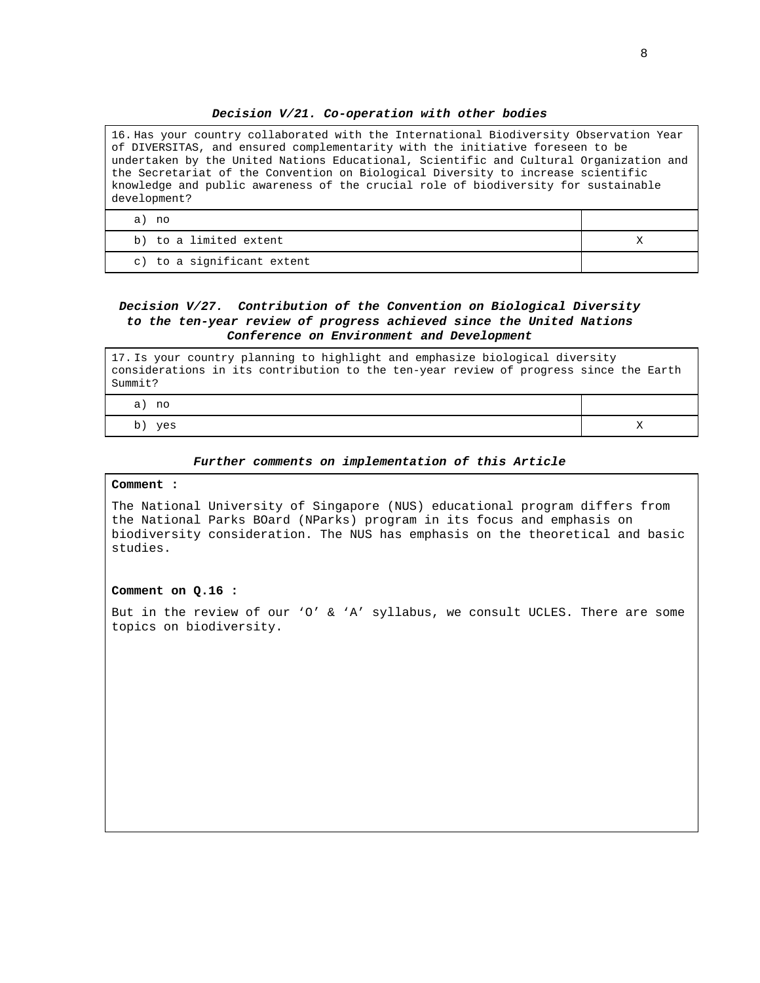#### **Decision V/21. Co-operation with other bodies**

| 16. Has your country collaborated with the International Biodiversity Observation Year<br>of DIVERSITAS, and ensured complementarity with the initiative foreseen to be<br>undertaken by the United Nations Educational, Scientific and Cultural Organization and<br>the Secretariat of the Convention on Biological Diversity to increase scientific<br>knowledge and public awareness of the crucial role of biodiversity for sustainable<br>development? |  |
|-------------------------------------------------------------------------------------------------------------------------------------------------------------------------------------------------------------------------------------------------------------------------------------------------------------------------------------------------------------------------------------------------------------------------------------------------------------|--|
| a) no                                                                                                                                                                                                                                                                                                                                                                                                                                                       |  |
| b) to a limited extent                                                                                                                                                                                                                                                                                                                                                                                                                                      |  |
|                                                                                                                                                                                                                                                                                                                                                                                                                                                             |  |

c) to a significant extent

#### **Decision V/27. Contribution of the Convention on Biological Diversity to the ten-year review of progress achieved since the United Nations Conference on Environment and Development**

17. Is your country planning to highlight and emphasize biological diversity considerations in its contribution to the ten-year review of progress since the Earth Summit?

| no<br>a  |  |
|----------|--|
| yes<br>້ |  |

#### **Further comments on implementation of this Article**

#### **Comment :**

The National University of Singapore (NUS) educational program differs from the National Parks BOard (NParks) program in its focus and emphasis on biodiversity consideration. The NUS has emphasis on the theoretical and basic studies.

#### **Comment on Q.16 :**

But in the review of our 'O' & 'A' syllabus, we consult UCLES. There are some topics on biodiversity.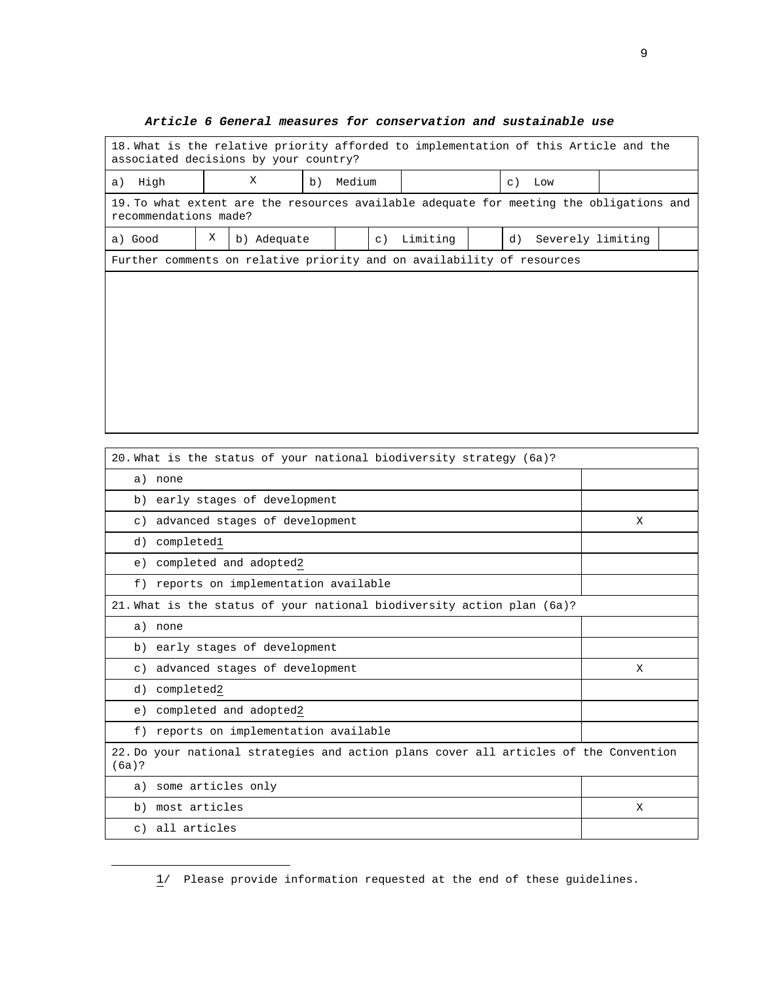# 18. What is the relative priority afforded to implementation of this Article and the associated decisions by your country? a) High  $X$  b) Medium  $c)$  Low 19. To what extent are the resources available adequate for meeting the obligations and recommendations made? a) Good  $\begin{vmatrix} X & b \end{vmatrix}$  Adequate  $\begin{vmatrix} c \end{vmatrix}$  Limiting  $\begin{vmatrix} d \end{vmatrix}$  Severely limiting Further comments on relative priority and on availability of resources

#### **Article 6 General measures for conservation and sustainable use**

| 20. What is the status of your national biodiversity strategy (6a)?                            |   |
|------------------------------------------------------------------------------------------------|---|
| a) none                                                                                        |   |
| b) early stages of development                                                                 |   |
| c) advanced stages of development                                                              | X |
| completed1<br>d)                                                                               |   |
| completed and adopted2<br>e)                                                                   |   |
| f) reports on implementation available                                                         |   |
| 21. What is the status of your national biodiversity action plan (6a)?                         |   |
| a) none                                                                                        |   |
| b) early stages of development                                                                 |   |
| c) advanced stages of development                                                              | X |
| completed2<br>d)                                                                               |   |
| completed and adopted2<br>e)                                                                   |   |
| f) reports on implementation available                                                         |   |
| 22. Do your national strategies and action plans cover all articles of the Convention<br>(6a)? |   |
| some articles only<br>a)                                                                       |   |
| most articles<br>b)                                                                            | X |
| all articles<br>$\circ$ )                                                                      |   |

<sup>1/</sup> Please provide information requested at the end of these guidelines.

-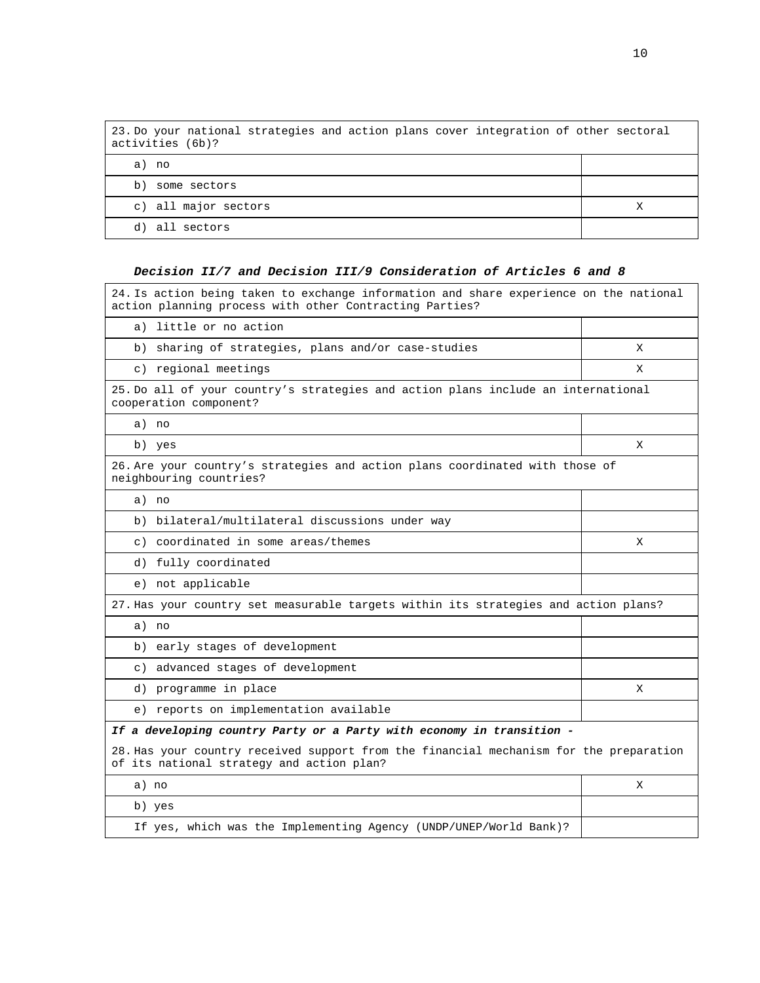| 23. Do your national strategies and action plans cover integration of other sectoral<br>activities (6b)? |  |
|----------------------------------------------------------------------------------------------------------|--|
| a) no                                                                                                    |  |
| b)<br>some sectors                                                                                       |  |
| c) all major sectors                                                                                     |  |
| d) all sectors                                                                                           |  |

#### **Decision II/7 and Decision III/9 Consideration of Articles 6 and 8**

24. Is action being taken to exchange information and share experience on the national action planning process with other Contracting Parties? a) little or no action b) sharing of strategies, plans and/or case-studies X c) regional meetings X 25. Do all of your country's strategies and action plans include an international cooperation component? a) no b) yes  $X$ 26. Are your country's strategies and action plans coordinated with those of neighbouring countries? a) no b) bilateral/multilateral discussions under way c) coordinated in some areas/themes X d) fully coordinated e) not applicable 27. Has your country set measurable targets within its strategies and action plans? a) no b) early stages of development c) advanced stages of development d) programme in place X e) reports on implementation available **If a developing country Party or a Party with economy in transition -**  28. Has your country received support from the financial mechanism for the preparation of its national strategy and action plan? a) no X b) yes If yes, which was the Implementing Agency (UNDP/UNEP/World Bank)?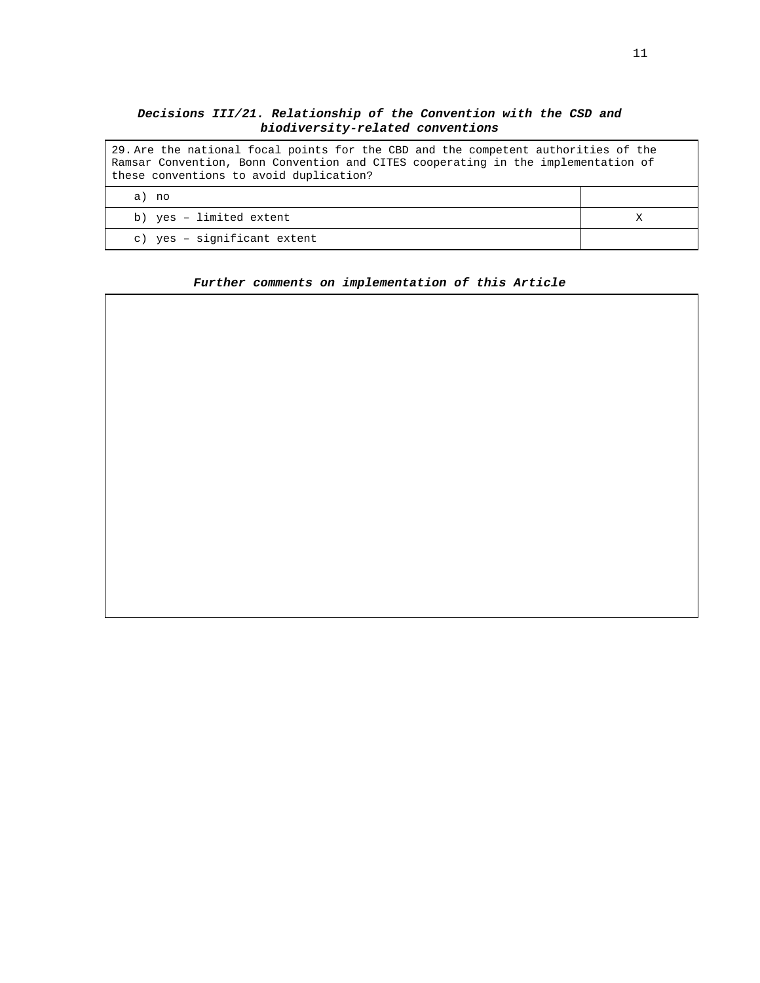# **Decisions III/21. Relationship of the Convention with the CSD and biodiversity-related conventions**

| 29. Are the national focal points for the CBD and the competent authorities of the<br>Ramsar Convention, Bonn Convention and CITES cooperating in the implementation of<br>these conventions to avoid duplication? |  |
|--------------------------------------------------------------------------------------------------------------------------------------------------------------------------------------------------------------------|--|
| a) no                                                                                                                                                                                                              |  |
| b) yes - limited extent                                                                                                                                                                                            |  |
| c) yes - significant extent                                                                                                                                                                                        |  |

#### **Further comments on implementation of this Article**

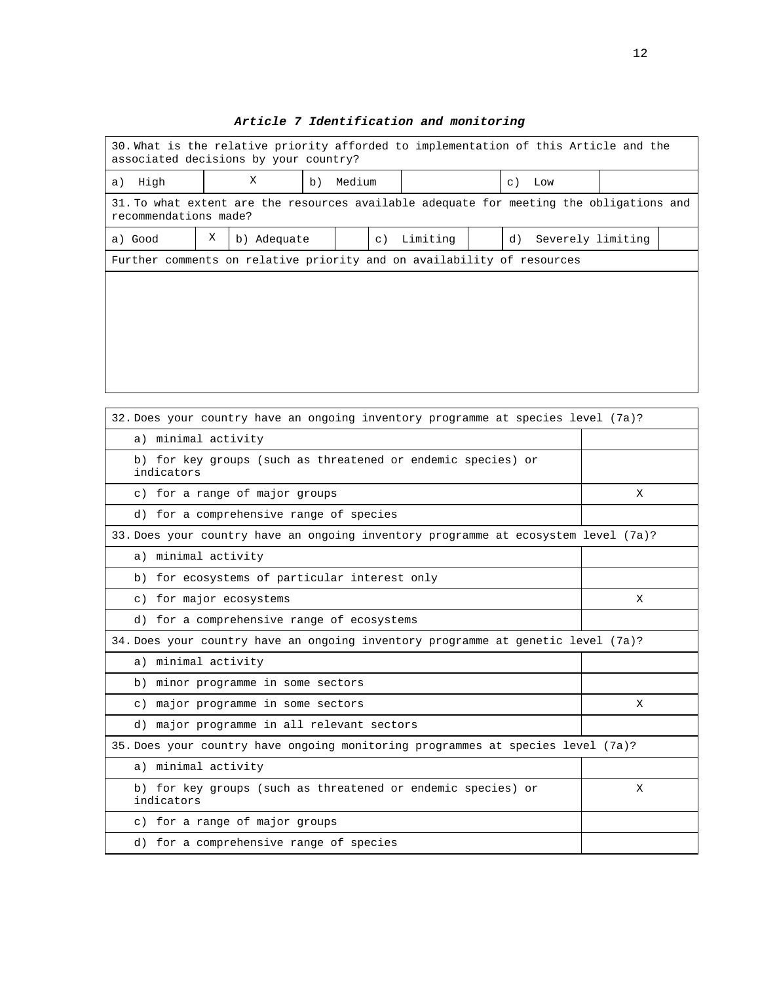| 30. What is the relative priority afforded to implementation of this Article and the<br>associated decisions by your country? |   |             |    |        |           |          |  |    |                   |  |
|-------------------------------------------------------------------------------------------------------------------------------|---|-------------|----|--------|-----------|----------|--|----|-------------------|--|
| a) High                                                                                                                       |   | X           | b) | Medium |           |          |  |    | c) Low            |  |
| 31. To what extent are the resources available adequate for meeting the obligations and<br>recommendations made?              |   |             |    |        |           |          |  |    |                   |  |
| a) Good                                                                                                                       | Χ | b) Adequate |    |        | $\circ$ ) | Limiting |  | d) | Severely limiting |  |
| Further comments on relative priority and on availability of resources                                                        |   |             |    |        |           |          |  |    |                   |  |
|                                                                                                                               |   |             |    |        |           |          |  |    |                   |  |
|                                                                                                                               |   |             |    |        |           |          |  |    |                   |  |
|                                                                                                                               |   |             |    |        |           |          |  |    |                   |  |
|                                                                                                                               |   |             |    |        |           |          |  |    |                   |  |

| 32. Does your country have an ongoing inventory programme at species level (7a)?   |   |  |  |  |
|------------------------------------------------------------------------------------|---|--|--|--|
| a) minimal activity                                                                |   |  |  |  |
| b) for key groups (such as threatened or endemic species) or<br>indicators         |   |  |  |  |
| c) for a range of major groups                                                     | X |  |  |  |
| d) for a comprehensive range of species                                            |   |  |  |  |
| 33. Does your country have an ongoing inventory programme at ecosystem level (7a)? |   |  |  |  |
| a) minimal activity                                                                |   |  |  |  |
| b) for ecosystems of particular interest only                                      |   |  |  |  |
| c) for major ecosystems                                                            | X |  |  |  |
| d) for a comprehensive range of ecosystems                                         |   |  |  |  |
| 34. Does your country have an ongoing inventory programme at genetic level (7a)?   |   |  |  |  |
| a) minimal activity                                                                |   |  |  |  |
| b) minor programme in some sectors                                                 |   |  |  |  |
| c) major programme in some sectors                                                 | X |  |  |  |
| d) major programme in all relevant sectors                                         |   |  |  |  |
| 35. Does your country have ongoing monitoring programmes at species level (7a)?    |   |  |  |  |
| a) minimal activity                                                                |   |  |  |  |
| b) for key groups (such as threatened or endemic species) or<br>indicators         | X |  |  |  |
| c) for a range of major groups                                                     |   |  |  |  |
| d) for a comprehensive range of species                                            |   |  |  |  |

٦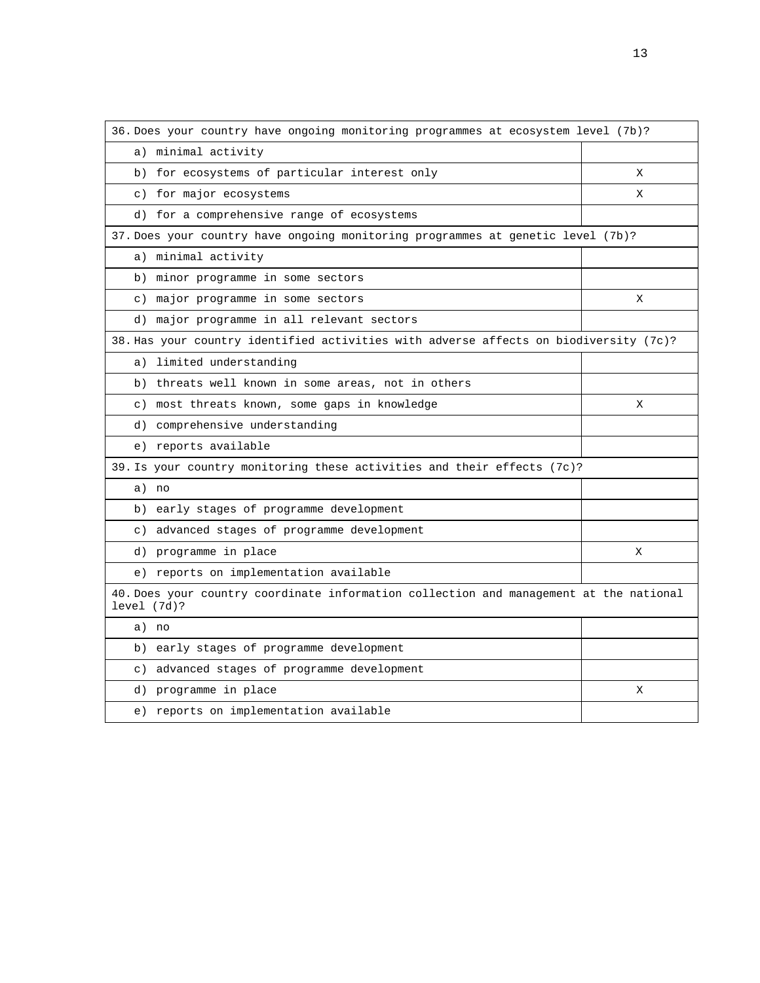| 36. Does your country have ongoing monitoring programmes at ecosystem level (7b)?                     |   |
|-------------------------------------------------------------------------------------------------------|---|
| a) minimal activity                                                                                   |   |
| for ecosystems of particular interest only<br>b)                                                      | Χ |
| c) for major ecosystems                                                                               | X |
| d) for a comprehensive range of ecosystems                                                            |   |
| 37. Does your country have ongoing monitoring programmes at genetic level (7b)?                       |   |
| a) minimal activity                                                                                   |   |
| b) minor programme in some sectors                                                                    |   |
| c) major programme in some sectors                                                                    | Χ |
| d) major programme in all relevant sectors                                                            |   |
| 38. Has your country identified activities with adverse affects on biodiversity (7c)?                 |   |
| limited understanding<br>a)                                                                           |   |
| threats well known in some areas, not in others<br>b)                                                 |   |
| c) most threats known, some gaps in knowledge                                                         | X |
| d) comprehensive understanding                                                                        |   |
| e) reports available                                                                                  |   |
| 39. Is your country monitoring these activities and their effects (7c)?                               |   |
| a) no                                                                                                 |   |
| b) early stages of programme development                                                              |   |
| c) advanced stages of programme development                                                           |   |
| d) programme in place                                                                                 | X |
| e) reports on implementation available                                                                |   |
| 40. Does your country coordinate information collection and management at the national<br>level (7d)? |   |
| a) no                                                                                                 |   |
| early stages of programme development<br>b)                                                           |   |
| c) advanced stages of programme development                                                           |   |
| d) programme in place                                                                                 | Χ |
| e) reports on implementation available                                                                |   |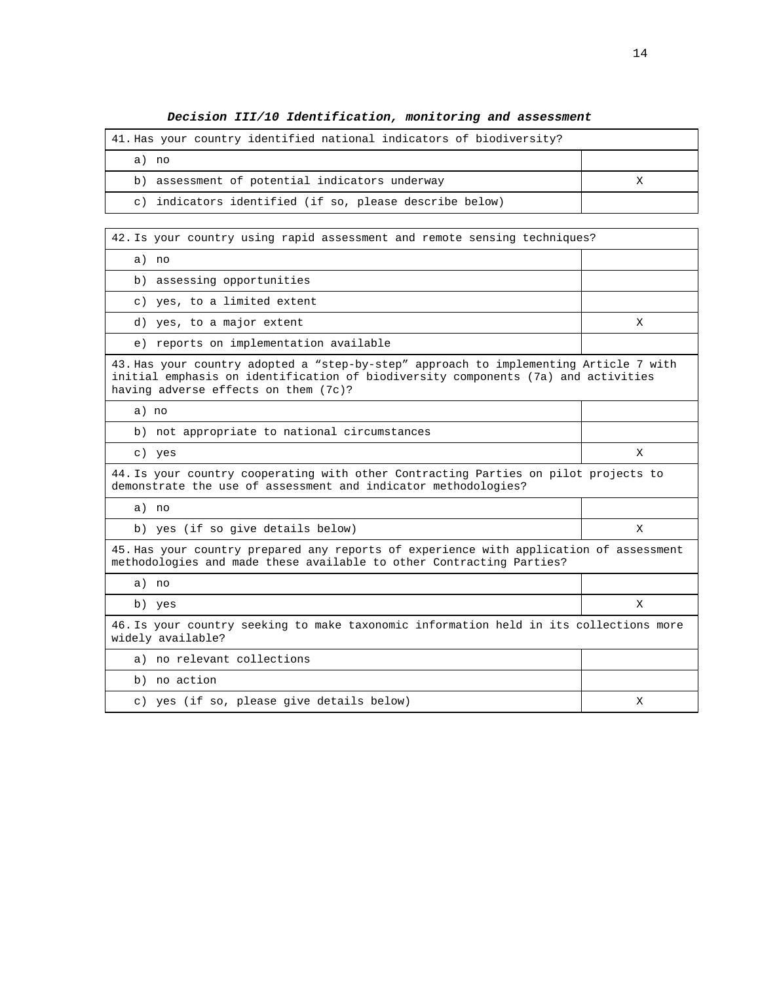# **Decision III/10 Identification, monitoring and assessment**

| 41. Has your country identified national indicators of biodiversity? |  |
|----------------------------------------------------------------------|--|
| a) no                                                                |  |
| b) assessment of potential indicators underway                       |  |
| indicators identified (if so, please describe below)<br>$\circ$ )    |  |

| 42. Is your country using rapid assessment and remote sensing techniques?                                                                                                                                          |   |  |  |  |
|--------------------------------------------------------------------------------------------------------------------------------------------------------------------------------------------------------------------|---|--|--|--|
| a) no                                                                                                                                                                                                              |   |  |  |  |
| b) assessing opportunities                                                                                                                                                                                         |   |  |  |  |
| c) yes, to a limited extent                                                                                                                                                                                        |   |  |  |  |
| d) yes, to a major extent                                                                                                                                                                                          | X |  |  |  |
| e) reports on implementation available                                                                                                                                                                             |   |  |  |  |
| 43. Has your country adopted a "step-by-step" approach to implementing Article 7 with<br>initial emphasis on identification of biodiversity components (7a) and activities<br>having adverse effects on them (7c)? |   |  |  |  |
| a) no                                                                                                                                                                                                              |   |  |  |  |
| b) not appropriate to national circumstances                                                                                                                                                                       |   |  |  |  |
| c) yes                                                                                                                                                                                                             | X |  |  |  |
| 44. Is your country cooperating with other Contracting Parties on pilot projects to<br>demonstrate the use of assessment and indicator methodologies?                                                              |   |  |  |  |
| a) no                                                                                                                                                                                                              |   |  |  |  |
| b) yes (if so give details below)                                                                                                                                                                                  | X |  |  |  |
| 45. Has your country prepared any reports of experience with application of assessment<br>methodologies and made these available to other Contracting Parties?                                                     |   |  |  |  |
| a) no                                                                                                                                                                                                              |   |  |  |  |
| b) yes                                                                                                                                                                                                             | X |  |  |  |
| 46. Is your country seeking to make taxonomic information held in its collections more<br>widely available?                                                                                                        |   |  |  |  |
| a) no relevant collections                                                                                                                                                                                         |   |  |  |  |
| b) no action                                                                                                                                                                                                       |   |  |  |  |
| c) yes (if so, please give details below)                                                                                                                                                                          | X |  |  |  |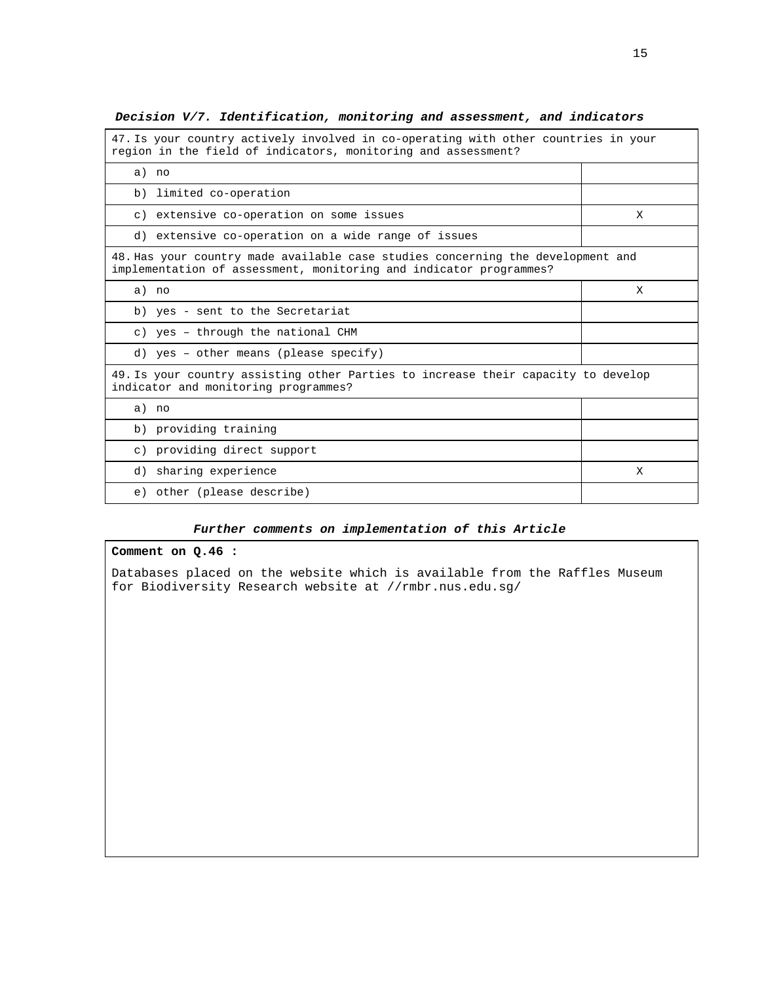| 47. Is your country actively involved in co-operating with other countries in your<br>region in the field of indicators, monitoring and assessment?   |   |  |  |
|-------------------------------------------------------------------------------------------------------------------------------------------------------|---|--|--|
| a) no                                                                                                                                                 |   |  |  |
| b) limited co-operation                                                                                                                               |   |  |  |
| c) extensive co-operation on some issues                                                                                                              | X |  |  |
| d) extensive co-operation on a wide range of issues                                                                                                   |   |  |  |
| 48. Has your country made available case studies concerning the development and<br>implementation of assessment, monitoring and indicator programmes? |   |  |  |
| a) no                                                                                                                                                 | X |  |  |
| b) yes - sent to the Secretariat                                                                                                                      |   |  |  |
| c) yes - through the national CHM                                                                                                                     |   |  |  |
| d) yes - other means (please specify)                                                                                                                 |   |  |  |
| 49. Is your country assisting other Parties to increase their capacity to develop<br>indicator and monitoring programmes?                             |   |  |  |
| a) no                                                                                                                                                 |   |  |  |
| b) providing training                                                                                                                                 |   |  |  |
| c) providing direct support                                                                                                                           |   |  |  |
| d) sharing experience                                                                                                                                 | X |  |  |
| e) other (please describe)                                                                                                                            |   |  |  |

# **Decision V/7. Identification, monitoring and assessment, and indicators**

#### **Further comments on implementation of this Article**

#### **Comment on Q.46 :**

Databases placed on the website which is available from the Raffles Museum for Biodiversity Research website at //rmbr.nus.edu.sg/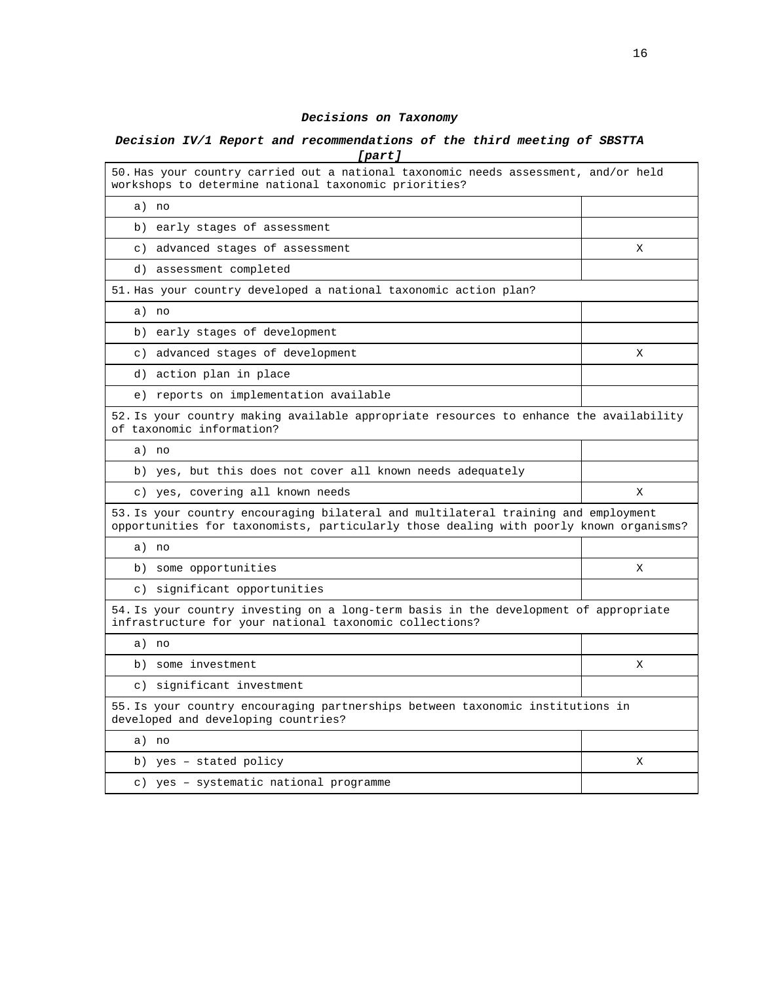#### **Decisions on Taxonomy**

# **Decision IV/1 Report and recommendations of the third meeting of SBSTTA [part]**

| 50. Has your country carried out a national taxonomic needs assessment, and/or held<br>workshops to determine national taxonomic priorities?                                 |   |
|------------------------------------------------------------------------------------------------------------------------------------------------------------------------------|---|
| a) no                                                                                                                                                                        |   |
| b) early stages of assessment                                                                                                                                                |   |
| c) advanced stages of assessment                                                                                                                                             | X |
| d) assessment completed                                                                                                                                                      |   |
| 51. Has your country developed a national taxonomic action plan?                                                                                                             |   |
| a) no                                                                                                                                                                        |   |
| b) early stages of development                                                                                                                                               |   |
| c) advanced stages of development                                                                                                                                            | X |
| d) action plan in place                                                                                                                                                      |   |
| e) reports on implementation available                                                                                                                                       |   |
| 52. Is your country making available appropriate resources to enhance the availability<br>of taxonomic information?                                                          |   |
| a) no                                                                                                                                                                        |   |
| b) yes, but this does not cover all known needs adequately                                                                                                                   |   |
|                                                                                                                                                                              |   |
| c) yes, covering all known needs                                                                                                                                             | X |
| 53. Is your country encouraging bilateral and multilateral training and employment<br>opportunities for taxonomists, particularly those dealing with poorly known organisms? |   |
| a) no                                                                                                                                                                        |   |
| b) some opportunities                                                                                                                                                        | X |
| c) significant opportunities                                                                                                                                                 |   |
| 54. Is your country investing on a long-term basis in the development of appropriate<br>infrastructure for your national taxonomic collections?                              |   |
| a) no                                                                                                                                                                        |   |
| b) some investment                                                                                                                                                           | X |
| c) significant investment                                                                                                                                                    |   |
| 55. Is your country encouraging partnerships between taxonomic institutions in<br>developed and developing countries?                                                        |   |
| a) no                                                                                                                                                                        |   |
| b) yes - stated policy                                                                                                                                                       | X |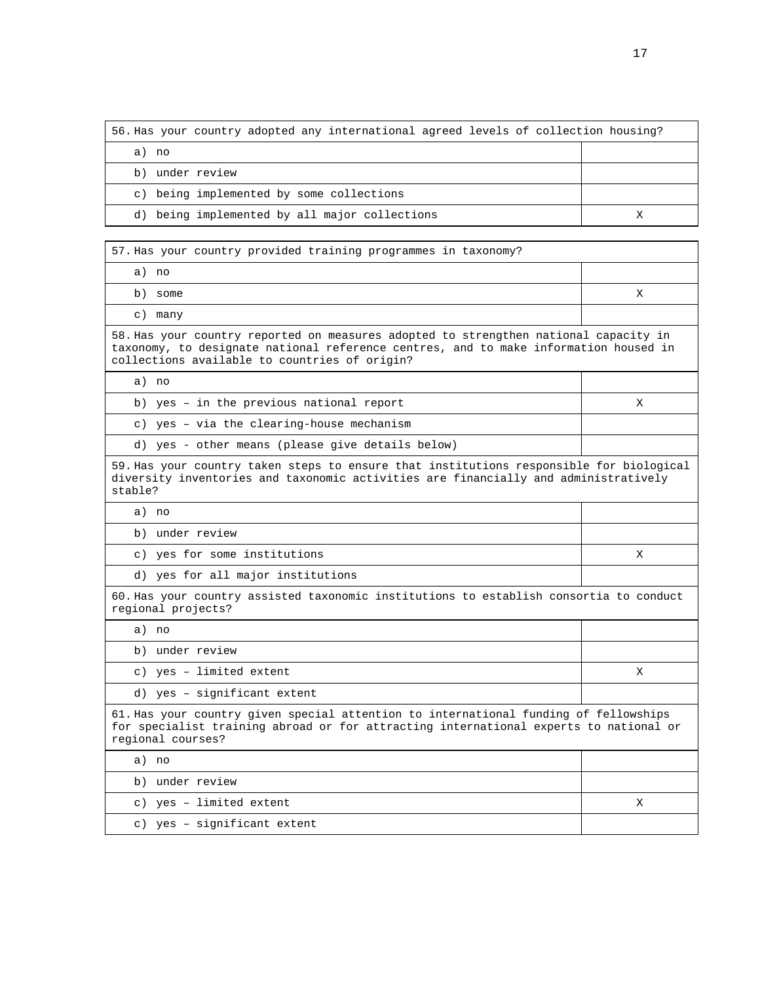| 56. Has your country adopted any international agreed levels of collection housing? |  |
|-------------------------------------------------------------------------------------|--|
| no<br>a)                                                                            |  |
| under review<br>b)                                                                  |  |
| c) being implemented by some collections                                            |  |
| d) being implemented by all major collections                                       |  |

57. Has your country provided training programmes in taxonomy?

| a) no                                                                                                                                                                                                                         |   |  |  |  |  |
|-------------------------------------------------------------------------------------------------------------------------------------------------------------------------------------------------------------------------------|---|--|--|--|--|
| b) some                                                                                                                                                                                                                       | X |  |  |  |  |
| c) many                                                                                                                                                                                                                       |   |  |  |  |  |
| 58. Has your country reported on measures adopted to strengthen national capacity in<br>taxonomy, to designate national reference centres, and to make information housed in<br>collections available to countries of origin? |   |  |  |  |  |
| a) no                                                                                                                                                                                                                         |   |  |  |  |  |
| b) yes - in the previous national report                                                                                                                                                                                      | X |  |  |  |  |
| c) yes - via the clearing-house mechanism                                                                                                                                                                                     |   |  |  |  |  |
| d) yes - other means (please give details below)                                                                                                                                                                              |   |  |  |  |  |
| 59. Has your country taken steps to ensure that institutions responsible for biological<br>diversity inventories and taxonomic activities are financially and administratively<br>stable?                                     |   |  |  |  |  |
| a) no                                                                                                                                                                                                                         |   |  |  |  |  |
| b) under review                                                                                                                                                                                                               |   |  |  |  |  |
| c) yes for some institutions                                                                                                                                                                                                  | X |  |  |  |  |
| d) yes for all major institutions                                                                                                                                                                                             |   |  |  |  |  |
| 60. Has your country assisted taxonomic institutions to establish consortia to conduct<br>regional projects?                                                                                                                  |   |  |  |  |  |
| a) no                                                                                                                                                                                                                         |   |  |  |  |  |
| b) under review                                                                                                                                                                                                               |   |  |  |  |  |
| c) yes - limited extent                                                                                                                                                                                                       | X |  |  |  |  |
| d) yes - significant extent                                                                                                                                                                                                   |   |  |  |  |  |
| 61. Has your country given special attention to international funding of fellowships<br>for specialist training abroad or for attracting international experts to national or<br>regional courses?                            |   |  |  |  |  |
| a) no                                                                                                                                                                                                                         |   |  |  |  |  |
| b) under review                                                                                                                                                                                                               |   |  |  |  |  |
| c) yes - limited extent                                                                                                                                                                                                       | Χ |  |  |  |  |

c) yes – significant extent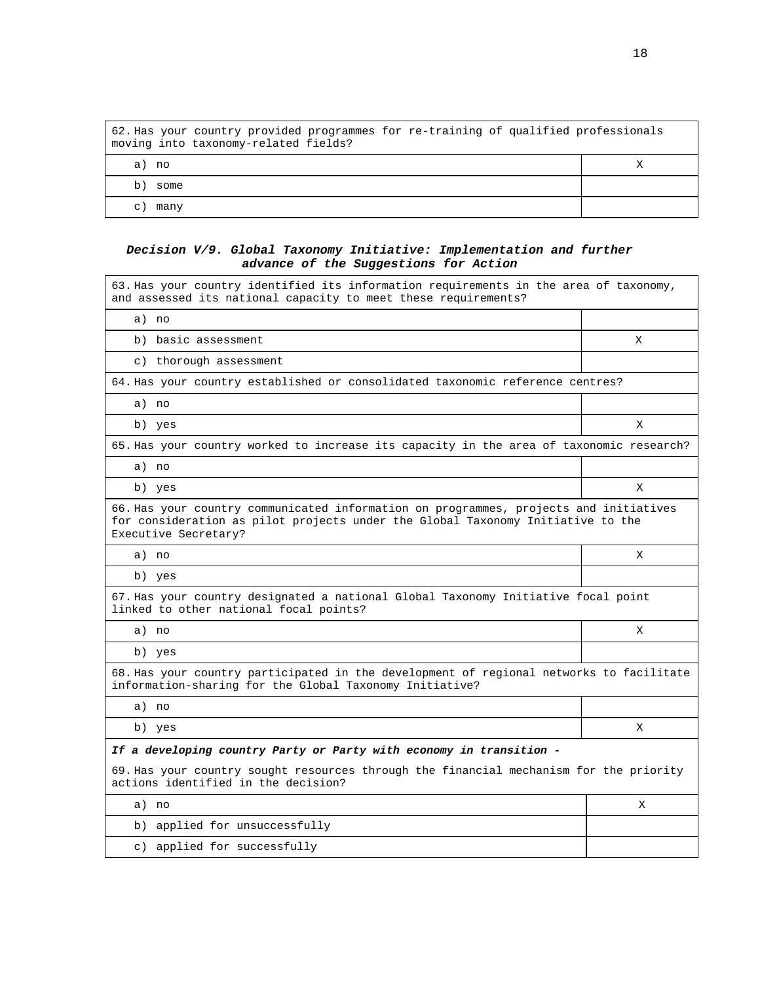|            | 62. Has your country provided programmes for re-training of qualified professionals<br>moving into taxonomy-related fields? |  |
|------------|-----------------------------------------------------------------------------------------------------------------------------|--|
| no.<br>a)  |                                                                                                                             |  |
| b.<br>some |                                                                                                                             |  |
| many<br>C  |                                                                                                                             |  |

# **Decision V/9. Global Taxonomy Initiative: Implementation and further advance of the Suggestions for Action**

| 63. Has your country identified its information requirements in the area of taxonomy,<br>and assessed its national capacity to meet these requirements?                                          |   |
|--------------------------------------------------------------------------------------------------------------------------------------------------------------------------------------------------|---|
| a) no                                                                                                                                                                                            |   |
| b) basic assessment                                                                                                                                                                              | X |
| c) thorough assessment                                                                                                                                                                           |   |
| 64. Has your country established or consolidated taxonomic reference centres?                                                                                                                    |   |
| a) no                                                                                                                                                                                            |   |
| b) yes                                                                                                                                                                                           | X |
| 65. Has your country worked to increase its capacity in the area of taxonomic research?                                                                                                          |   |
| a) no                                                                                                                                                                                            |   |
| b) yes                                                                                                                                                                                           | Χ |
| 66. Has your country communicated information on programmes, projects and initiatives<br>for consideration as pilot projects under the Global Taxonomy Initiative to the<br>Executive Secretary? |   |
| a) no                                                                                                                                                                                            | X |
| b) yes                                                                                                                                                                                           |   |
| 67. Has your country designated a national Global Taxonomy Initiative focal point<br>linked to other national focal points?                                                                      |   |
| a) no                                                                                                                                                                                            | X |
| b) yes                                                                                                                                                                                           |   |
| 68. Has your country participated in the development of regional networks to facilitate<br>information-sharing for the Global Taxonomy Initiative?                                               |   |
| a) no                                                                                                                                                                                            |   |
| b) yes                                                                                                                                                                                           | X |
| If a developing country Party or Party with economy in transition -                                                                                                                              |   |
| 69. Has your country sought resources through the financial mechanism for the priority<br>actions identified in the decision?                                                                    |   |
| a) no                                                                                                                                                                                            | X |
| b) applied for unsuccessfully                                                                                                                                                                    |   |
| c) applied for successfully                                                                                                                                                                      |   |

 $\overline{\phantom{a}}$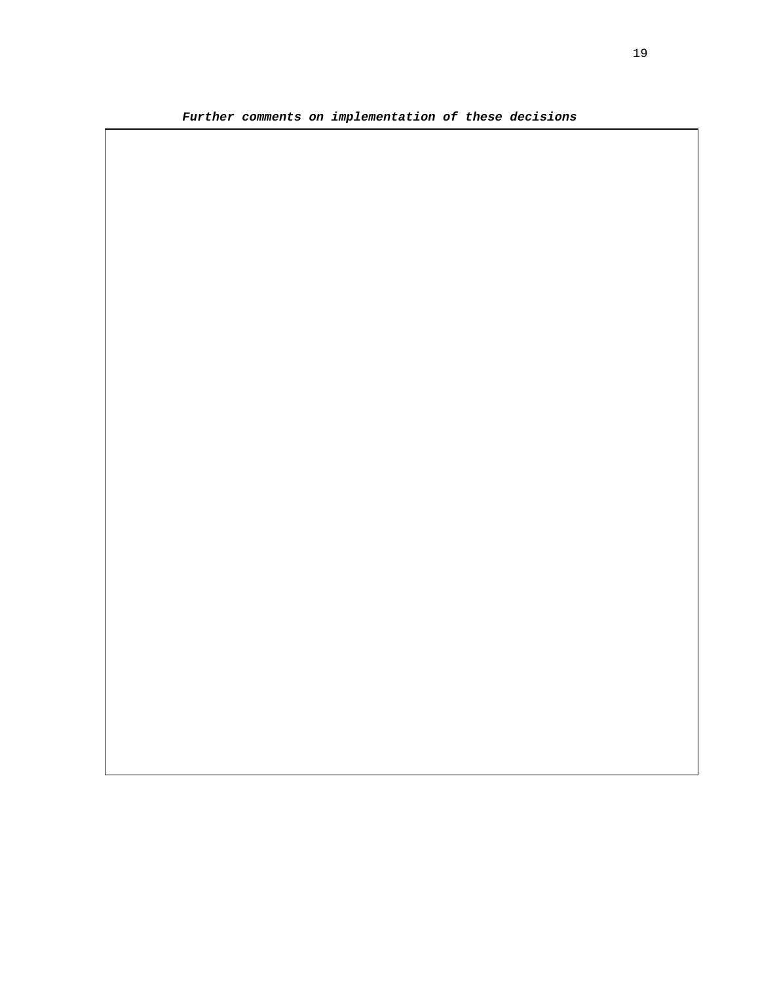**Further comments on implementation of these decisions**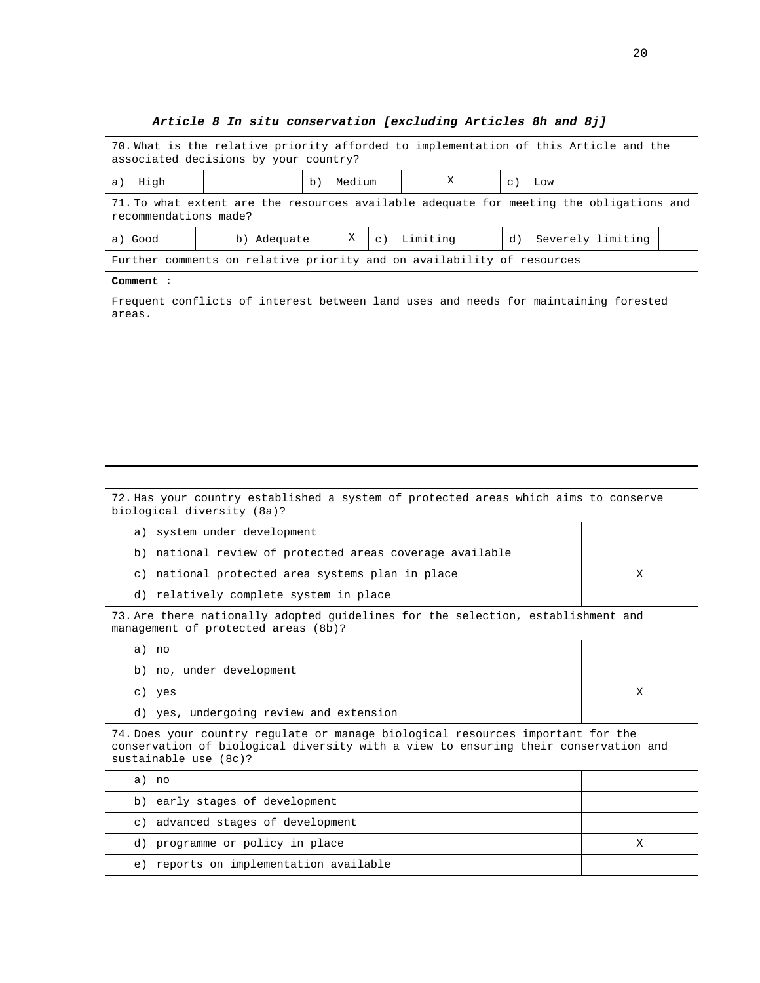# **Article 8 In situ conservation [excluding Articles 8h and 8j]**

| 70. What is the relative priority afforded to implementation of this Article and the<br>associated decisions by your country?                                                                                      |                                                                                                                  |                                                  |  |   |             |                                                          |  |    |                   |   |  |
|--------------------------------------------------------------------------------------------------------------------------------------------------------------------------------------------------------------------|------------------------------------------------------------------------------------------------------------------|--------------------------------------------------|--|---|-------------|----------------------------------------------------------|--|----|-------------------|---|--|
| High<br>a)                                                                                                                                                                                                         | X<br>Medium<br>b)<br>$\in$ )<br>Low                                                                              |                                                  |  |   |             |                                                          |  |    |                   |   |  |
|                                                                                                                                                                                                                    | 71. To what extent are the resources available adequate for meeting the obligations and<br>recommendations made? |                                                  |  |   |             |                                                          |  |    |                   |   |  |
| a) Good                                                                                                                                                                                                            |                                                                                                                  | b) Adequate                                      |  | Χ | $\subset$ ) | Limiting                                                 |  | d) | Severely limiting |   |  |
| Further comments on relative priority and on availability of resources                                                                                                                                             |                                                                                                                  |                                                  |  |   |             |                                                          |  |    |                   |   |  |
| Comment :                                                                                                                                                                                                          |                                                                                                                  |                                                  |  |   |             |                                                          |  |    |                   |   |  |
| Frequent conflicts of interest between land uses and needs for maintaining forested<br>areas.<br>72. Has your country established a system of protected areas which aims to conserve<br>biological diversity (8a)? |                                                                                                                  |                                                  |  |   |             |                                                          |  |    |                   |   |  |
|                                                                                                                                                                                                                    |                                                                                                                  | a) system under development                      |  |   |             |                                                          |  |    |                   |   |  |
|                                                                                                                                                                                                                    |                                                                                                                  |                                                  |  |   |             | b) national review of protected areas coverage available |  |    |                   |   |  |
|                                                                                                                                                                                                                    |                                                                                                                  | c) national protected area systems plan in place |  |   |             |                                                          |  |    |                   | X |  |
|                                                                                                                                                                                                                    |                                                                                                                  | d) relatively complete system in place           |  |   |             |                                                          |  |    |                   |   |  |
| 73. Are there nationally adopted guidelines for the selection, establishment and<br>management of protected areas (8b)?                                                                                            |                                                                                                                  |                                                  |  |   |             |                                                          |  |    |                   |   |  |
| a) no                                                                                                                                                                                                              |                                                                                                                  |                                                  |  |   |             |                                                          |  |    |                   |   |  |
| b) no, under development                                                                                                                                                                                           |                                                                                                                  |                                                  |  |   |             |                                                          |  |    |                   |   |  |
| c) yes                                                                                                                                                                                                             |                                                                                                                  |                                                  |  |   |             |                                                          |  |    |                   | Χ |  |
|                                                                                                                                                                                                                    |                                                                                                                  | d) yes, undergoing review and extension          |  |   |             |                                                          |  |    |                   |   |  |
| 74. Does your country regulate or manage biological resources important for the<br>conservation of biological diversity with a view to ensuring their conservation and<br>sustainable use (8c)?                    |                                                                                                                  |                                                  |  |   |             |                                                          |  |    |                   |   |  |
| a) no                                                                                                                                                                                                              |                                                                                                                  |                                                  |  |   |             |                                                          |  |    |                   |   |  |
| b)                                                                                                                                                                                                                 |                                                                                                                  | early stages of development                      |  |   |             |                                                          |  |    |                   |   |  |
|                                                                                                                                                                                                                    |                                                                                                                  | c) advanced stages of development                |  |   |             |                                                          |  |    |                   |   |  |
|                                                                                                                                                                                                                    |                                                                                                                  | d) programme or policy in place                  |  |   |             |                                                          |  |    |                   | Χ |  |
|                                                                                                                                                                                                                    |                                                                                                                  | e) reports on implementation available           |  |   |             |                                                          |  |    |                   |   |  |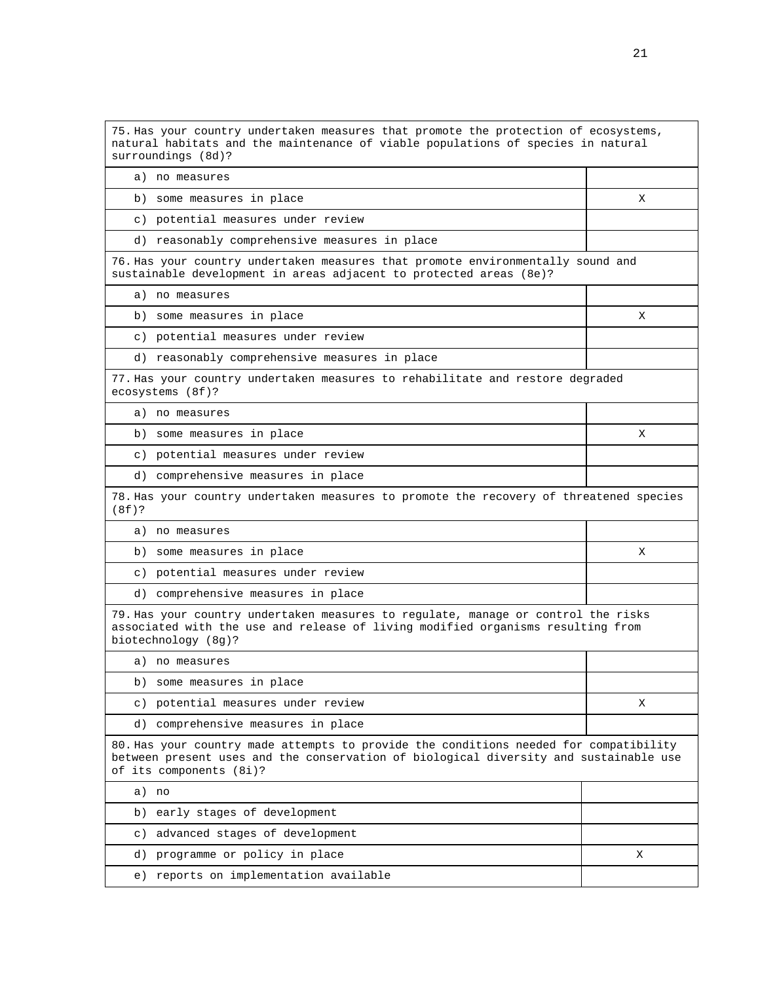75. Has your country undertaken measures that promote the protection of ecosystems, natural habitats and the maintenance of viable populations of species in natural surroundings (8d)? a) no measures b) some measures in place X c) potential measures under review d) reasonably comprehensive measures in place 76. Has your country undertaken measures that promote environmentally sound and sustainable development in areas adjacent to protected areas (8e)? a) no measures b) some measures in place  $\vert$  X c) potential measures under review d) reasonably comprehensive measures in place 77. Has your country undertaken measures to rehabilitate and restore degraded ecosystems (8f)? a) no measures b) some measures in place X c) potential measures under review d) comprehensive measures in place 78. Has your country undertaken measures to promote the recovery of threatened species (8f)? a) no measures b) some measures in place X c) potential measures under review d) comprehensive measures in place 79. Has your country undertaken measures to regulate, manage or control the risks associated with the use and release of living modified organisms resulting from biotechnology (8g)? a) no measures b) some measures in place c) potential measures under review X d) comprehensive measures in place 80. Has your country made attempts to provide the conditions needed for compatibility between present uses and the conservation of biological diversity and sustainable use of its components (8i)? a) no b) early stages of development c) advanced stages of development d) programme or policy in place X e) reports on implementation available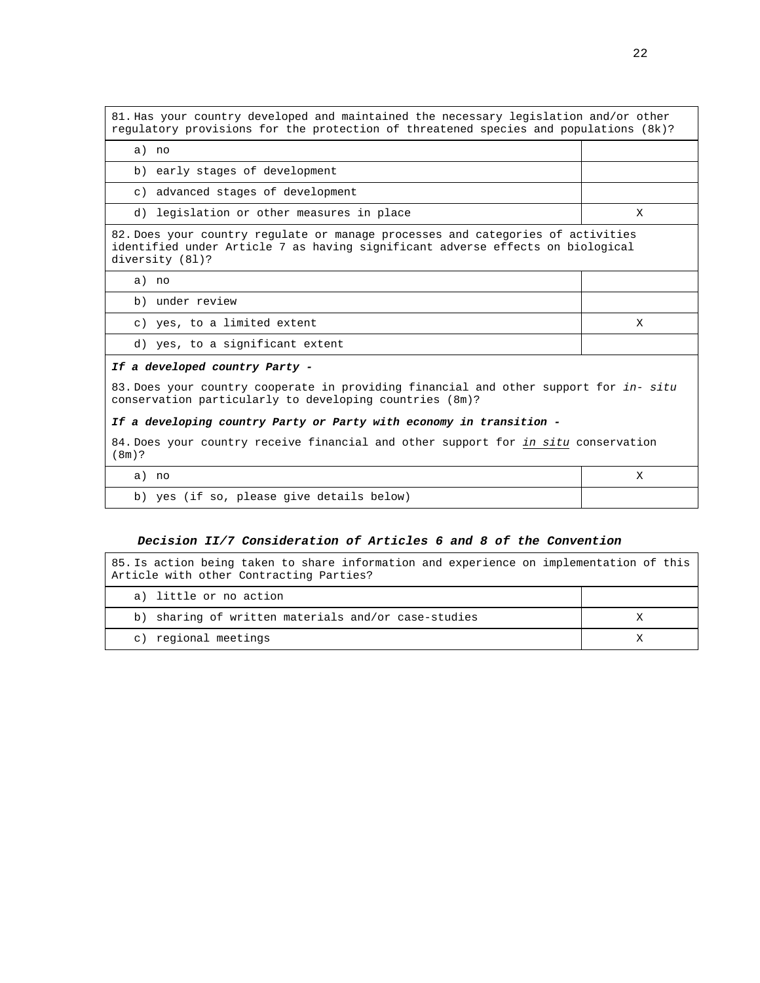81. Has your country developed and maintained the necessary legislation and/or other regulatory provisions for the protection of threatened species and populations (8k)?

a) no

b) early stages of development

c) advanced stages of development

d) legislation or other measures in place  $X$ 

82. Does your country regulate or manage processes and categories of activities identified under Article 7 as having significant adverse effects on biological diversity (8l)?

a) no

b) under review

#### c) yes, to a limited extent  $X$

d) yes, to a significant extent

#### **If a developed country Party -**

83. Does your country cooperate in providing financial and other support for in- situ conservation particularly to developing countries (8m)?

#### **If a developing country Party or Party with economy in transition -**

84. Does your country receive financial and other support for in situ conservation (8m)?

| no                                           |  |
|----------------------------------------------|--|
| yes (if so, please give details below)<br>b) |  |

#### **Decision II/7 Consideration of Articles 6 and 8 of the Convention**

85. Is action being taken to share information and experience on implementation of this Article with other Contracting Parties?

| a) little or no action                              |  |
|-----------------------------------------------------|--|
| b) sharing of written materials and/or case-studies |  |
| c) regional meetings                                |  |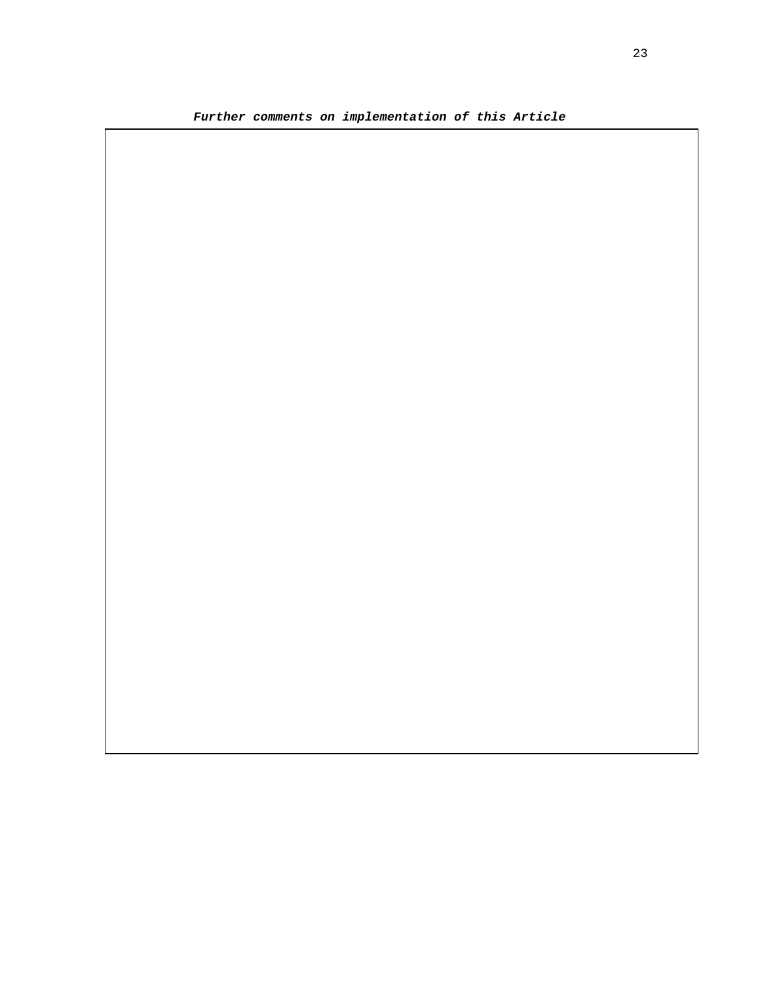**Further comments on implementation of this Article**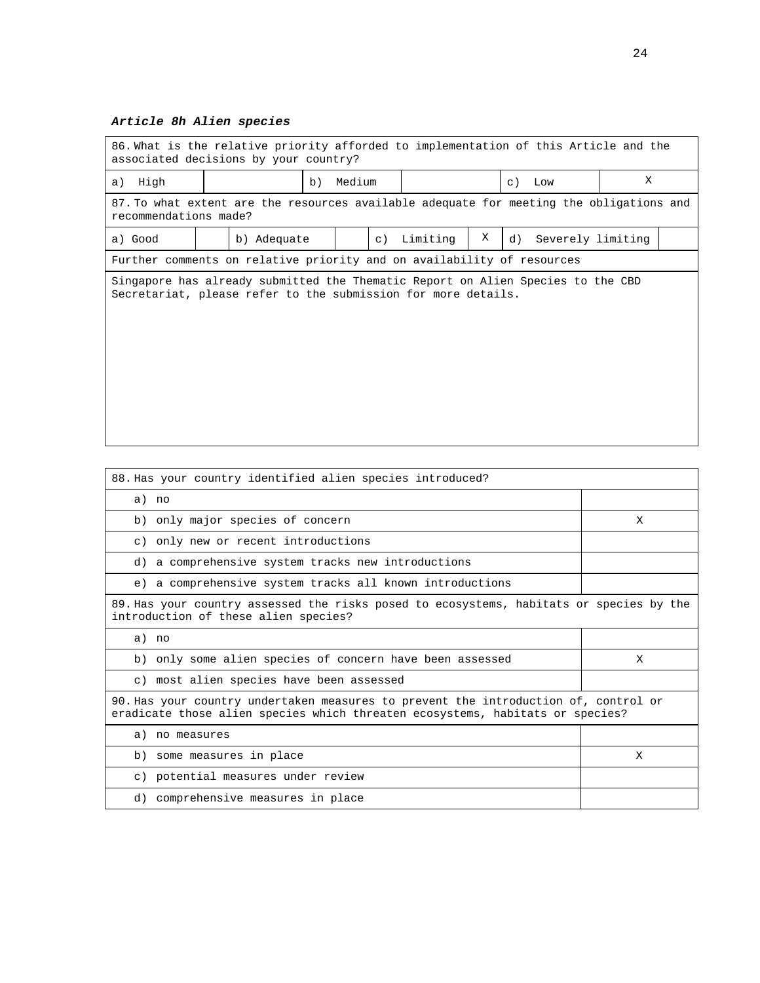# **Article 8h Alien species**

| 86. What is the relative priority afforded to implementation of this Article and the<br>associated decisions by your country? |  |             |    |        |           |          |   |                                                                                         |   |  |
|-------------------------------------------------------------------------------------------------------------------------------|--|-------------|----|--------|-----------|----------|---|-----------------------------------------------------------------------------------------|---|--|
| High<br>a)                                                                                                                    |  |             | b) | Medium |           |          |   | $c)$ Low                                                                                | X |  |
| recommendations made?                                                                                                         |  |             |    |        |           |          |   | 87. To what extent are the resources available adequate for meeting the obligations and |   |  |
| a) Good                                                                                                                       |  | b) Adequate |    |        | $\circ$ ) | Limiting | Χ | d)<br>Severely limiting                                                                 |   |  |
| Further comments on relative priority and on availability of resources                                                        |  |             |    |        |           |          |   |                                                                                         |   |  |
| Secretariat, please refer to the submission for more details.                                                                 |  |             |    |        |           |          |   | Singapore has already submitted the Thematic Report on Alien Species to the CBD         |   |  |

| 88. Has your country identified alien species introduced?                                                                                                            |   |
|----------------------------------------------------------------------------------------------------------------------------------------------------------------------|---|
| a) no                                                                                                                                                                |   |
| b) only major species of concern                                                                                                                                     | X |
| c) only new or recent introductions                                                                                                                                  |   |
| d) a comprehensive system tracks new introductions                                                                                                                   |   |
| e) a comprehensive system tracks all known introductions                                                                                                             |   |
| 89. Has your country assessed the risks posed to ecosystems, habitats or species by the<br>introduction of these alien species?                                      |   |
| a) no                                                                                                                                                                |   |
| b) only some alien species of concern have been assessed                                                                                                             | X |
| c) most alien species have been assessed                                                                                                                             |   |
| 90. Has your country undertaken measures to prevent the introduction of, control or<br>eradicate those alien species which threaten ecosystems, habitats or species? |   |
| a) no measures                                                                                                                                                       |   |
| b) some measures in place                                                                                                                                            | X |
| c) potential measures under review                                                                                                                                   |   |
| d) comprehensive measures in place                                                                                                                                   |   |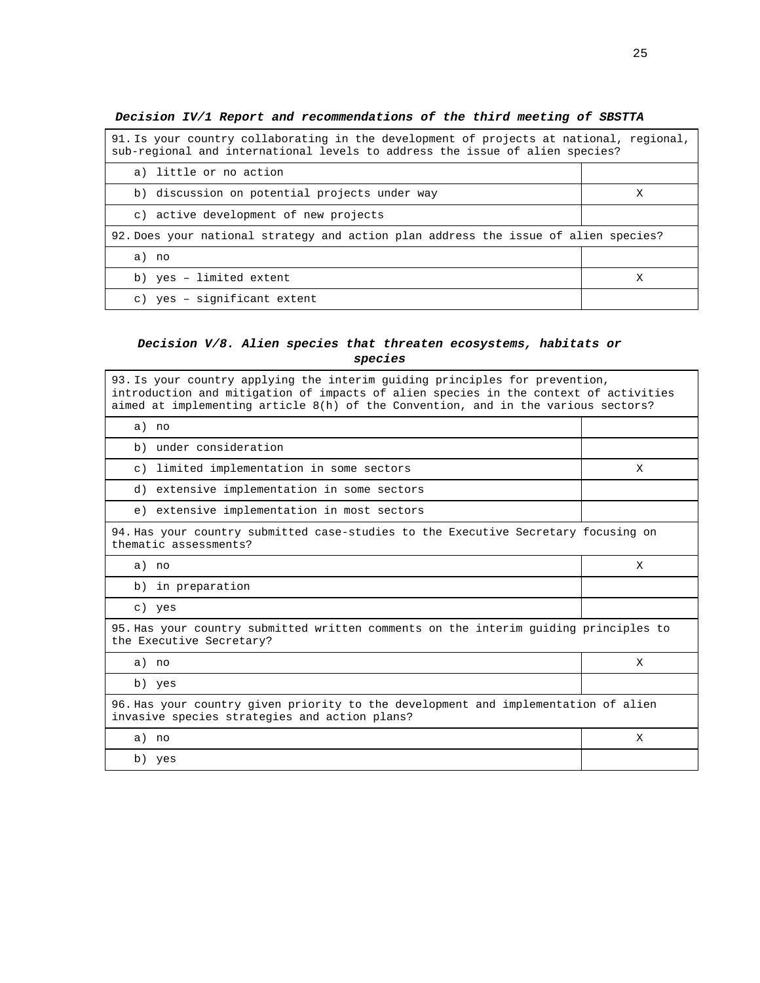| 91. Is your country collaborating in the development of projects at national, regional,<br>sub-regional and international levels to address the issue of alien species? |   |  |  |  |
|-------------------------------------------------------------------------------------------------------------------------------------------------------------------------|---|--|--|--|
| a) little or no action                                                                                                                                                  |   |  |  |  |
| b) discussion on potential projects under way                                                                                                                           | X |  |  |  |
| c) active development of new projects                                                                                                                                   |   |  |  |  |
| 92. Does your national strategy and action plan address the issue of alien species?                                                                                     |   |  |  |  |
| a) no                                                                                                                                                                   |   |  |  |  |
| b) yes - limited extent                                                                                                                                                 |   |  |  |  |
| c) yes - significant extent                                                                                                                                             |   |  |  |  |

**Decision IV/1 Report and recommendations of the third meeting of SBSTTA** 

# **Decision V/8. Alien species that threaten ecosystems, habitats or species**

| 93. Is your country applying the interim quiding principles for prevention,<br>introduction and mitigation of impacts of alien species in the context of activities<br>aimed at implementing article 8(h) of the Convention, and in the various sectors? |   |  |  |  |  |
|----------------------------------------------------------------------------------------------------------------------------------------------------------------------------------------------------------------------------------------------------------|---|--|--|--|--|
| a) no                                                                                                                                                                                                                                                    |   |  |  |  |  |
| b) under consideration                                                                                                                                                                                                                                   |   |  |  |  |  |
| c) limited implementation in some sectors                                                                                                                                                                                                                | X |  |  |  |  |
| d) extensive implementation in some sectors                                                                                                                                                                                                              |   |  |  |  |  |
| e) extensive implementation in most sectors                                                                                                                                                                                                              |   |  |  |  |  |
| 94. Has your country submitted case-studies to the Executive Secretary focusing on<br>thematic assessments?                                                                                                                                              |   |  |  |  |  |
| a) no                                                                                                                                                                                                                                                    | X |  |  |  |  |
| b) in preparation                                                                                                                                                                                                                                        |   |  |  |  |  |
| c) yes                                                                                                                                                                                                                                                   |   |  |  |  |  |
| 95. Has your country submitted written comments on the interim quiding principles to<br>the Executive Secretary?                                                                                                                                         |   |  |  |  |  |
| a) no                                                                                                                                                                                                                                                    | X |  |  |  |  |
| b) yes                                                                                                                                                                                                                                                   |   |  |  |  |  |
| 96. Has your country given priority to the development and implementation of alien<br>invasive species strategies and action plans?                                                                                                                      |   |  |  |  |  |
| a) no                                                                                                                                                                                                                                                    | X |  |  |  |  |
| b) yes                                                                                                                                                                                                                                                   |   |  |  |  |  |

 $\overline{\phantom{0}}$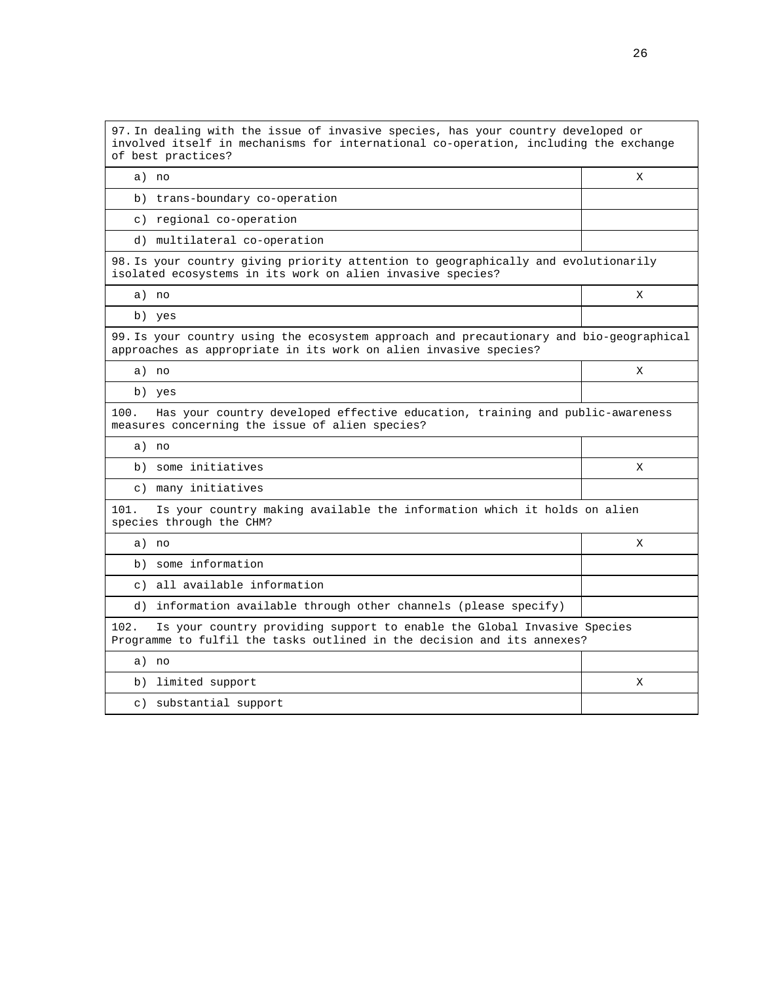| 97. In dealing with the issue of invasive species, has your country developed or<br>involved itself in mechanisms for international co-operation, including the exchange<br>of best practices? |   |  |  |  |  |  |  |
|------------------------------------------------------------------------------------------------------------------------------------------------------------------------------------------------|---|--|--|--|--|--|--|
| a) no                                                                                                                                                                                          | X |  |  |  |  |  |  |
| b) trans-boundary co-operation                                                                                                                                                                 |   |  |  |  |  |  |  |
| c) regional co-operation                                                                                                                                                                       |   |  |  |  |  |  |  |
| d) multilateral co-operation                                                                                                                                                                   |   |  |  |  |  |  |  |
| 98. Is your country giving priority attention to geographically and evolutionarily<br>isolated ecosystems in its work on alien invasive species?                                               |   |  |  |  |  |  |  |
| a) no                                                                                                                                                                                          | X |  |  |  |  |  |  |
| b) yes                                                                                                                                                                                         |   |  |  |  |  |  |  |
| 99. Is your country using the ecosystem approach and precautionary and bio-geographical<br>approaches as appropriate in its work on alien invasive species?                                    |   |  |  |  |  |  |  |
| a) no                                                                                                                                                                                          | X |  |  |  |  |  |  |
| b) yes                                                                                                                                                                                         |   |  |  |  |  |  |  |
| Has your country developed effective education, training and public-awareness<br>100.<br>measures concerning the issue of alien species?                                                       |   |  |  |  |  |  |  |
| a) no                                                                                                                                                                                          |   |  |  |  |  |  |  |
| b) some initiatives                                                                                                                                                                            | X |  |  |  |  |  |  |
| c) many initiatives                                                                                                                                                                            |   |  |  |  |  |  |  |
| 101.<br>Is your country making available the information which it holds on alien<br>species through the CHM?                                                                                   |   |  |  |  |  |  |  |
| a) no                                                                                                                                                                                          | X |  |  |  |  |  |  |
| b) some information                                                                                                                                                                            |   |  |  |  |  |  |  |
| c) all available information                                                                                                                                                                   |   |  |  |  |  |  |  |
| d) information available through other channels (please specify)                                                                                                                               |   |  |  |  |  |  |  |
| 102.<br>Is your country providing support to enable the Global Invasive Species<br>Programme to fulfil the tasks outlined in the decision and its annexes?                                     |   |  |  |  |  |  |  |
| a) no                                                                                                                                                                                          |   |  |  |  |  |  |  |
| b) limited support                                                                                                                                                                             | Χ |  |  |  |  |  |  |
| c) substantial support                                                                                                                                                                         |   |  |  |  |  |  |  |
|                                                                                                                                                                                                |   |  |  |  |  |  |  |

26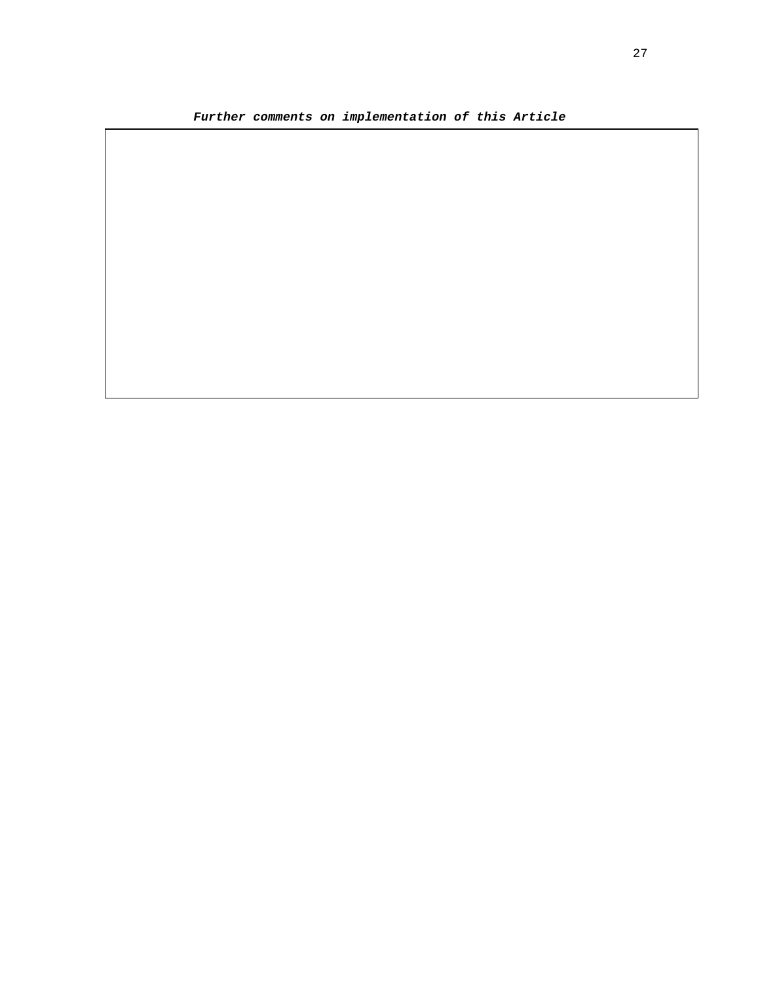**Further comments on implementation of this Article**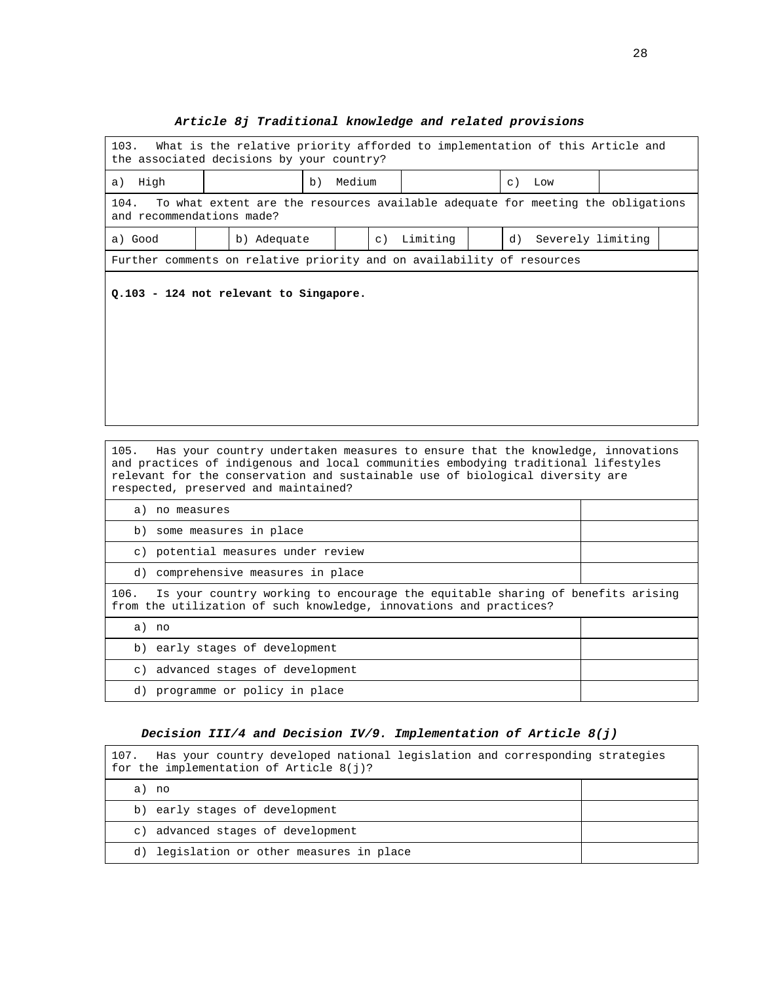# **Article 8j Traditional knowledge and related provisions**

| 103.                                                                                                                 | What is the relative priority afforded to implementation of this Article and<br>the associated decisions by your country?                                                                                                                                                                     |                                  |           |          |  |    |                   |  |
|----------------------------------------------------------------------------------------------------------------------|-----------------------------------------------------------------------------------------------------------------------------------------------------------------------------------------------------------------------------------------------------------------------------------------------|----------------------------------|-----------|----------|--|----|-------------------|--|
| High<br>a)                                                                                                           |                                                                                                                                                                                                                                                                                               | Medium<br>b)<br>$\circ$ )<br>Low |           |          |  |    |                   |  |
| 104.<br>To what extent are the resources available adequate for meeting the obligations<br>and recommendations made? |                                                                                                                                                                                                                                                                                               |                                  |           |          |  |    |                   |  |
| a) Good                                                                                                              | b) Adequate                                                                                                                                                                                                                                                                                   |                                  | $\circ$ ) | Limiting |  | d) | Severely limiting |  |
|                                                                                                                      | Further comments on relative priority and on availability of resources                                                                                                                                                                                                                        |                                  |           |          |  |    |                   |  |
|                                                                                                                      | Q.103 - 124 not relevant to Singapore.                                                                                                                                                                                                                                                        |                                  |           |          |  |    |                   |  |
| 105.                                                                                                                 | Has your country undertaken measures to ensure that the knowledge, innovations<br>and practices of indigenous and local communities embodying traditional lifestyles<br>relevant for the conservation and sustainable use of biological diversity are<br>respected, preserved and maintained? |                                  |           |          |  |    |                   |  |
| a) no measures                                                                                                       |                                                                                                                                                                                                                                                                                               |                                  |           |          |  |    |                   |  |
|                                                                                                                      | b) some measures in place                                                                                                                                                                                                                                                                     |                                  |           |          |  |    |                   |  |
|                                                                                                                      | c) potential measures under review                                                                                                                                                                                                                                                            |                                  |           |          |  |    |                   |  |
|                                                                                                                      | d) comprehensive measures in place                                                                                                                                                                                                                                                            |                                  |           |          |  |    |                   |  |

106. Is your country working to encourage the equitable sharing of benefits arising from the utilization of such knowledge, innovations and practices?

| no<br>a)                           |  |
|------------------------------------|--|
| b) early stages of development     |  |
| c) advanced stages of development  |  |
| programme or policy in place<br>d) |  |

#### **Decision III/4 and Decision IV/9. Implementation of Article 8(j)**

| Has your country developed national legislation and corresponding strategies<br>107.<br>for the implementation of Article $8(i)?$ |  |
|-----------------------------------------------------------------------------------------------------------------------------------|--|
| a) no                                                                                                                             |  |
| b) early stages of development                                                                                                    |  |
| c) advanced stages of development                                                                                                 |  |
| d) legislation or other measures in place                                                                                         |  |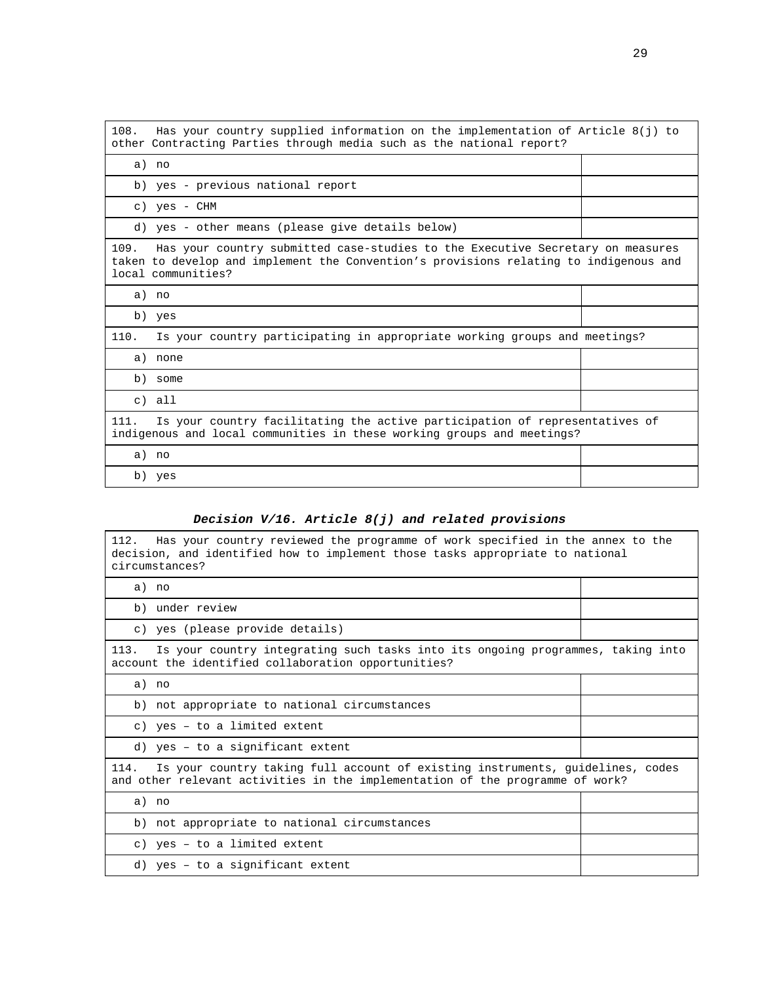| 108. | Has your country supplied information on the implementation of Article $8(j)$ to<br>other Contracting Parties through media such as the national report?                                      |  |
|------|-----------------------------------------------------------------------------------------------------------------------------------------------------------------------------------------------|--|
|      | a) no                                                                                                                                                                                         |  |
|      | b) yes - previous national report                                                                                                                                                             |  |
|      | c) yes - CHM                                                                                                                                                                                  |  |
|      | d) yes - other means (please give details below)                                                                                                                                              |  |
| 109. | Has your country submitted case-studies to the Executive Secretary on measures<br>taken to develop and implement the Convention's provisions relating to indigenous and<br>local communities? |  |
|      | a) no                                                                                                                                                                                         |  |
|      | b) yes                                                                                                                                                                                        |  |
| 110. | Is your country participating in appropriate working groups and meetings?                                                                                                                     |  |
|      | a) none                                                                                                                                                                                       |  |
|      | b) some                                                                                                                                                                                       |  |
|      | $c)$ all                                                                                                                                                                                      |  |
| 111. | Is your country facilitating the active participation of representatives of<br>indigenous and local communities in these working groups and meetings?                                         |  |
|      | a) no                                                                                                                                                                                         |  |
|      | b) yes                                                                                                                                                                                        |  |

# **Decision V/16. Article 8(j) and related provisions**

| 112.<br>Has your country reviewed the programme of work specified in the annex to the<br>decision, and identified how to implement those tasks appropriate to national<br>circumstances? |  |  |  |
|------------------------------------------------------------------------------------------------------------------------------------------------------------------------------------------|--|--|--|
| a) no                                                                                                                                                                                    |  |  |  |
| b) under review                                                                                                                                                                          |  |  |  |
| c) yes (please provide details)                                                                                                                                                          |  |  |  |
| Is your country integrating such tasks into its ongoing programmes, taking into<br>113.<br>account the identified collaboration opportunities?                                           |  |  |  |
| a) no                                                                                                                                                                                    |  |  |  |
| b) not appropriate to national circumstances                                                                                                                                             |  |  |  |
| c) yes - to a limited extent                                                                                                                                                             |  |  |  |
| d) yes - to a significant extent                                                                                                                                                         |  |  |  |
| Is your country taking full account of existing instruments, quidelines, codes<br>114.<br>and other relevant activities in the implementation of the programme of work?                  |  |  |  |
| a) no                                                                                                                                                                                    |  |  |  |
| b) not appropriate to national circumstances                                                                                                                                             |  |  |  |
| c) yes - to a limited extent                                                                                                                                                             |  |  |  |
| d) yes - to a significant extent                                                                                                                                                         |  |  |  |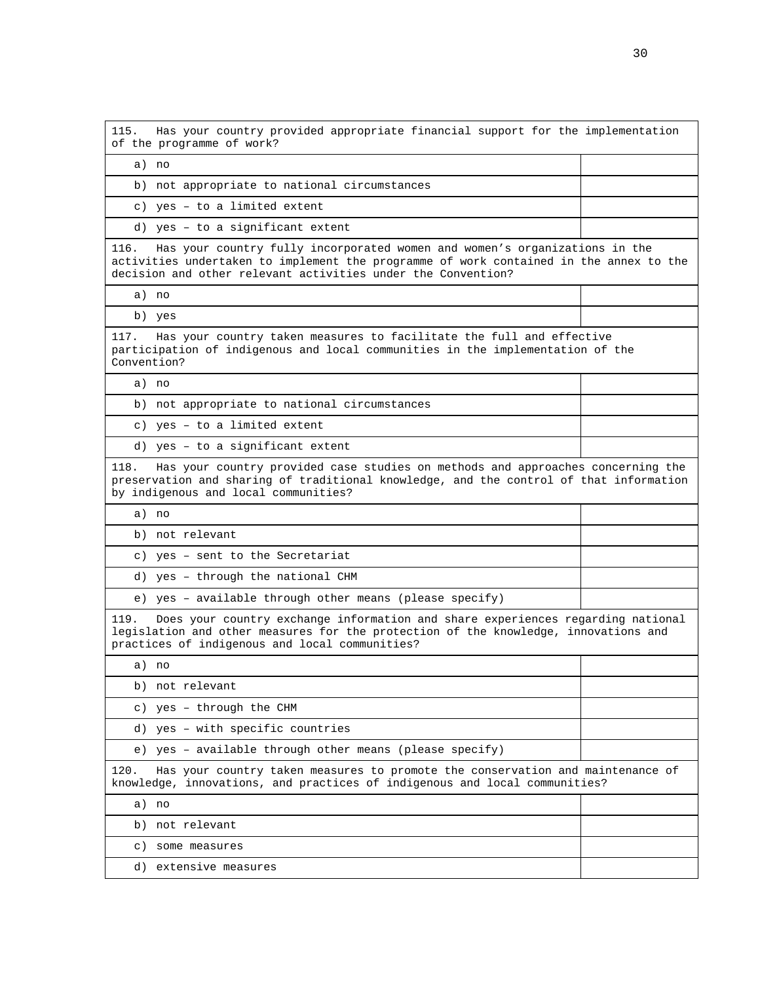115. Has your country provided appropriate financial support for the implementation of the programme of work? a) no b) not appropriate to national circumstances c) yes – to a limited extent d) yes – to a significant extent 116. Has your country fully incorporated women and women's organizations in the activities undertaken to implement the programme of work contained in the annex to the decision and other relevant activities under the Convention? a) no b) yes 117. Has your country taken measures to facilitate the full and effective participation of indigenous and local communities in the implementation of the Convention? a) no b) not appropriate to national circumstances c) yes – to a limited extent d) yes – to a significant extent 118. Has your country provided case studies on methods and approaches concerning the preservation and sharing of traditional knowledge, and the control of that information by indigenous and local communities? a) no b) not relevant c) yes – sent to the Secretariat d) yes – through the national CHM e) yes – available through other means (please specify) 119. Does your country exchange information and share experiences regarding national legislation and other measures for the protection of the knowledge, innovations and practices of indigenous and local communities? a) no b) not relevant c) yes – through the CHM d) yes – with specific countries e) yes – available through other means (please specify) 120. Has your country taken measures to promote the conservation and maintenance of knowledge, innovations, and practices of indigenous and local communities? a) no b) not relevant c) some measures d) extensive measures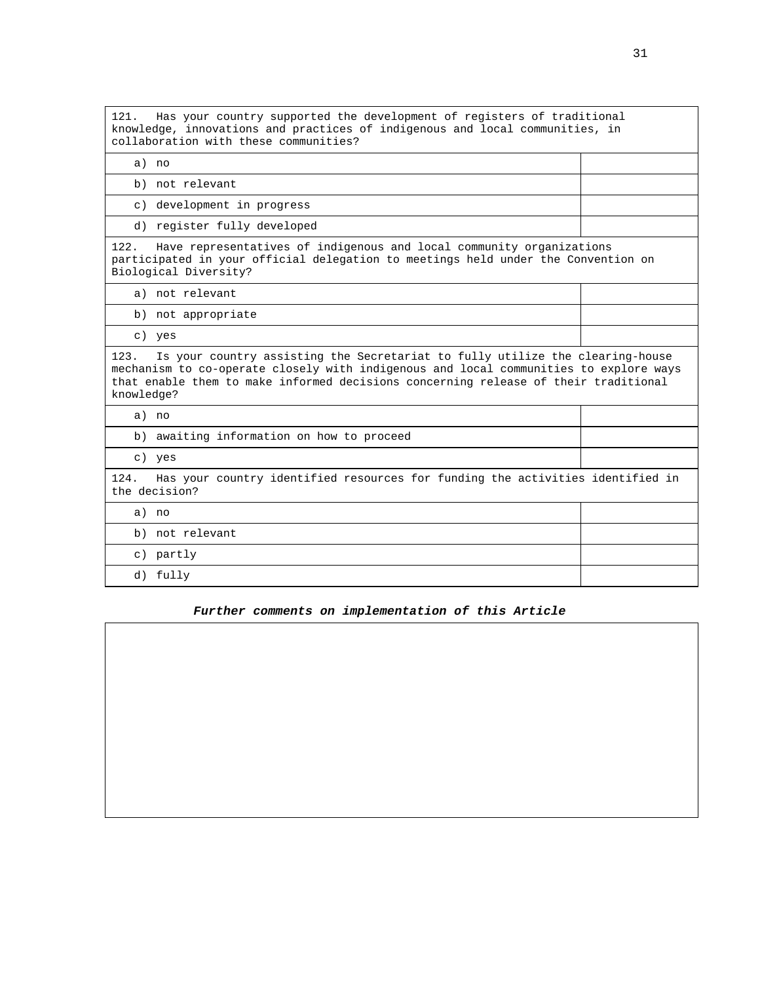121. Has your country supported the development of registers of traditional knowledge, innovations and practices of indigenous and local communities, in collaboration with these communities?

a) no b) not relevant c) development in progress d) register fully developed 122. Have representatives of indigenous and local community organizations participated in your official delegation to meetings held under the Convention on Biological Diversity? a) not relevant b) not appropriate c) yes 123. Is your country assisting the Secretariat to fully utilize the clearing-house mechanism to co-operate closely with indigenous and local communities to explore ways that enable them to make informed decisions concerning release of their traditional knowledge? a) no b) awaiting information on how to proceed c) yes 124. Has your country identified resources for funding the activities identified in the decision? a) no b) not relevant c) partly d) fully

#### **Further comments on implementation of this Article**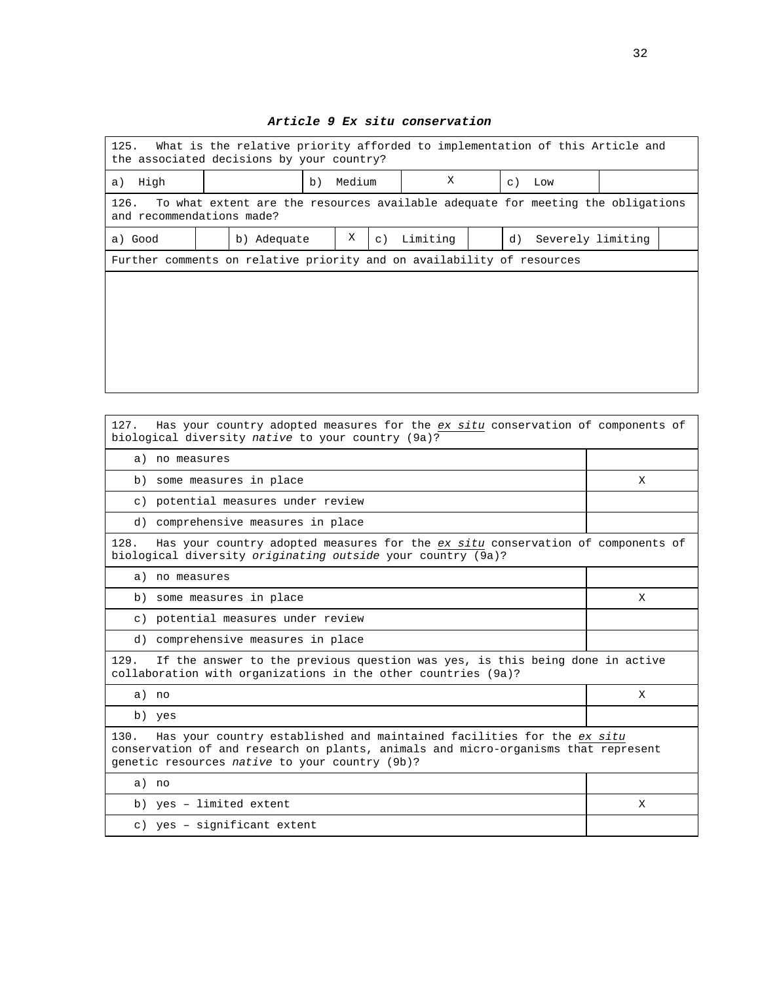| 125.<br>What is the relative priority afforded to implementation of this Article and<br>the associated decisions by your country? |  |                                                                                 |    |        |           |          |    |                   |  |
|-----------------------------------------------------------------------------------------------------------------------------------|--|---------------------------------------------------------------------------------|----|--------|-----------|----------|----|-------------------|--|
| High<br>a)                                                                                                                        |  |                                                                                 | b) | Medium |           | X        |    | $c)$ Low          |  |
| 126.<br>and recommendations made?                                                                                                 |  | To what extent are the resources available adequate for meeting the obligations |    |        |           |          |    |                   |  |
| a) Good                                                                                                                           |  | b) Adequate                                                                     |    | Χ      | $\circ$ ) | Limiting | d) | Severely limiting |  |
| Further comments on relative priority and on availability of resources                                                            |  |                                                                                 |    |        |           |          |    |                   |  |
|                                                                                                                                   |  |                                                                                 |    |        |           |          |    |                   |  |
|                                                                                                                                   |  |                                                                                 |    |        |           |          |    |                   |  |
|                                                                                                                                   |  |                                                                                 |    |        |           |          |    |                   |  |
|                                                                                                                                   |  |                                                                                 |    |        |           |          |    |                   |  |
|                                                                                                                                   |  |                                                                                 |    |        |           |          |    |                   |  |
|                                                                                                                                   |  |                                                                                 |    |        |           |          |    |                   |  |

#### **Article 9 Ex situ conservation**

| 127.<br>Has your country adopted measures for the ex situ conservation of components of<br>biological diversity native to your country (9a)?                                                                           |   |  |  |
|------------------------------------------------------------------------------------------------------------------------------------------------------------------------------------------------------------------------|---|--|--|
| a) no measures                                                                                                                                                                                                         |   |  |  |
| b) some measures in place                                                                                                                                                                                              | X |  |  |
| c) potential measures under review                                                                                                                                                                                     |   |  |  |
| d) comprehensive measures in place                                                                                                                                                                                     |   |  |  |
| 128.<br>Has your country adopted measures for the ex situ conservation of components of<br>biological diversity originating outside your country (9a)?                                                                 |   |  |  |
| a) no measures                                                                                                                                                                                                         |   |  |  |
| b) some measures in place                                                                                                                                                                                              | X |  |  |
| c) potential measures under review                                                                                                                                                                                     |   |  |  |
| d) comprehensive measures in place                                                                                                                                                                                     |   |  |  |
| If the answer to the previous question was yes, is this being done in active<br>129.<br>collaboration with organizations in the other countries (9a)?                                                                  |   |  |  |
| a) no                                                                                                                                                                                                                  | X |  |  |
| b) yes                                                                                                                                                                                                                 |   |  |  |
| 130.<br>Has your country established and maintained facilities for the ex situ<br>conservation of and research on plants, animals and micro-organisms that represent<br>genetic resources native to your country (9b)? |   |  |  |
| a) no                                                                                                                                                                                                                  |   |  |  |
| b) yes - limited extent                                                                                                                                                                                                | X |  |  |
| c) yes - significant extent                                                                                                                                                                                            |   |  |  |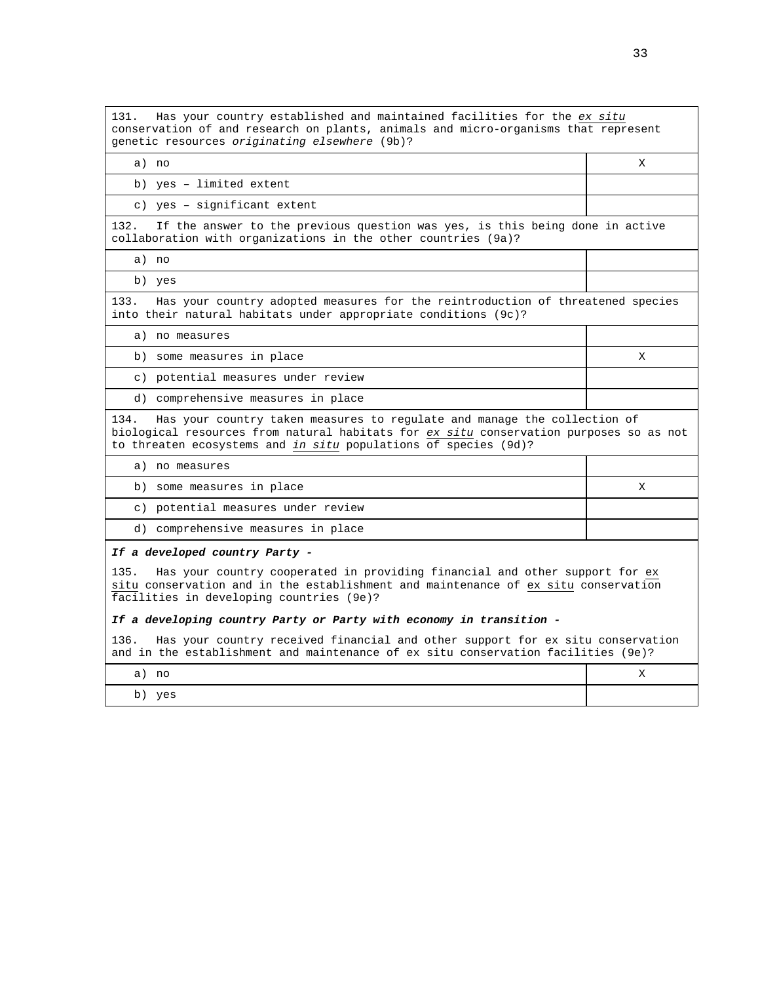131. Has your country established and maintained facilities for the ex situ conservation of and research on plants, animals and micro-organisms that represent genetic resources originating elsewhere (9b)?

| a) no                                                                                                                                                                                                                                      | X |  |  |
|--------------------------------------------------------------------------------------------------------------------------------------------------------------------------------------------------------------------------------------------|---|--|--|
| b) yes - limited extent                                                                                                                                                                                                                    |   |  |  |
| c) yes - significant extent                                                                                                                                                                                                                |   |  |  |
| 132. If the answer to the previous question was yes, is this being done in active<br>collaboration with organizations in the other countries (9a)?                                                                                         |   |  |  |
| a) no                                                                                                                                                                                                                                      |   |  |  |
| b) yes                                                                                                                                                                                                                                     |   |  |  |
| Has your country adopted measures for the reintroduction of threatened species<br>133.<br>into their natural habitats under appropriate conditions (9c)?                                                                                   |   |  |  |
| a) no measures                                                                                                                                                                                                                             |   |  |  |
| b) some measures in place                                                                                                                                                                                                                  | X |  |  |
| c) potential measures under review                                                                                                                                                                                                         |   |  |  |
| d) comprehensive measures in place                                                                                                                                                                                                         |   |  |  |
| 134. Has your country taken measures to regulate and manage the collection of<br>biological resources from natural habitats for ex situ conservation purposes so as not<br>to threaten ecosystems and in situ populations of species (9d)? |   |  |  |

- a) no measures
- b) some measures in place X
- c) potential measures under review
- d) comprehensive measures in place

#### **If a developed country Party -**

135. Has your country cooperated in providing financial and other support for ex situ conservation and in the establishment and maintenance of ex situ conservation facilities in developing countries (9e)?

#### **If a developing country Party or Party with economy in transition -**

136. Has your country received financial and other support for ex situ conservation and in the establishment and maintenance of ex situ conservation facilities (9e)?

| no<br>а             | $- -$<br>. . |
|---------------------|--------------|
| yes<br>$\mathbf{b}$ |              |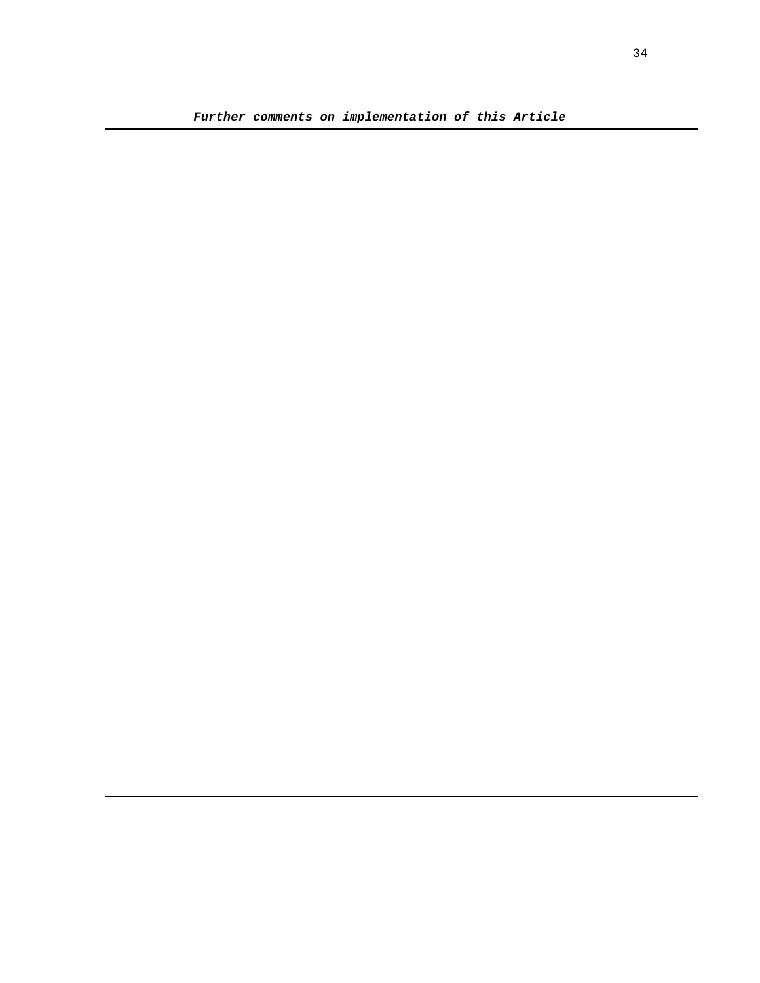**Further comments on implementation of this Article**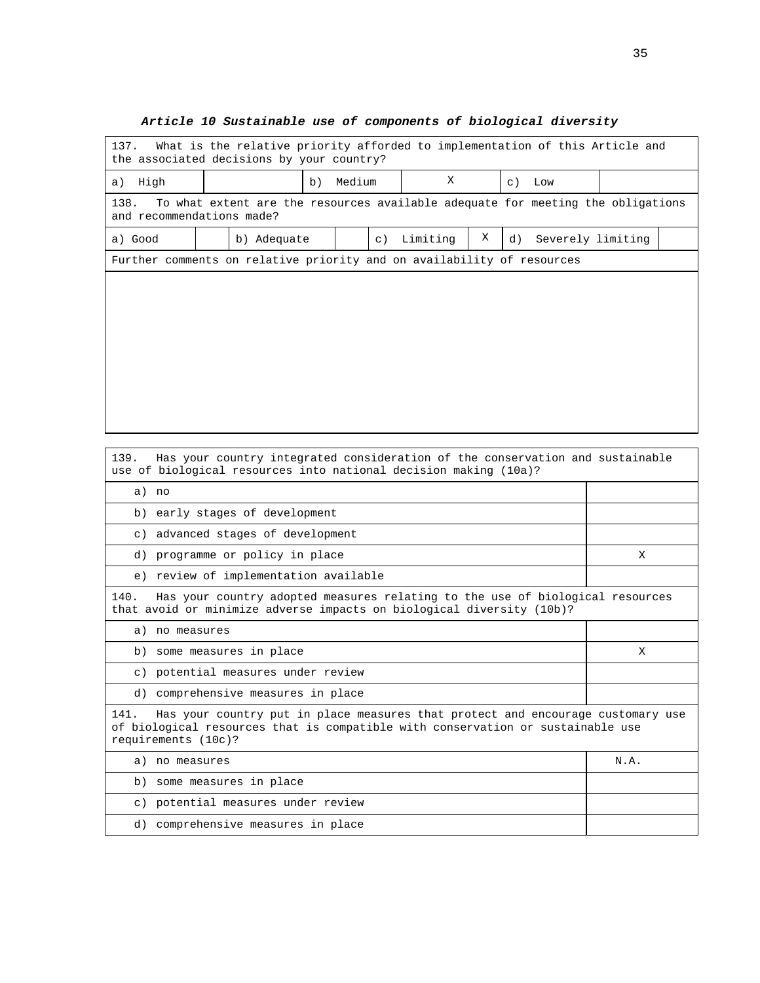# 137. What is the relative priority afforded to implementation of this Article and the associated decisions by your country? a) High  $\begin{vmatrix} b \end{vmatrix}$  b) Medium  $\begin{vmatrix} X & b \end{vmatrix}$  c) Low 138. To what extent are the resources available adequate for meeting the obligations and recommendations made? a) Good  $\begin{vmatrix} b \end{vmatrix}$  b) Adequate  $\begin{vmatrix} c \end{vmatrix}$  Limiting  $\begin{vmatrix} X & d \end{vmatrix}$  Severely limiting Further comments on relative priority and on availability of resources

#### **Article 10 Sustainable use of components of biological diversity**

| Has your country integrated consideration of the conservation and sustainable<br>139.<br>use of biological resources into national decision making (10a)?                                         |      |  |  |
|---------------------------------------------------------------------------------------------------------------------------------------------------------------------------------------------------|------|--|--|
| a) no                                                                                                                                                                                             |      |  |  |
| b) early stages of development                                                                                                                                                                    |      |  |  |
| c) advanced stages of development                                                                                                                                                                 |      |  |  |
| d) programme or policy in place                                                                                                                                                                   | X    |  |  |
| e) review of implementation available                                                                                                                                                             |      |  |  |
| 140.<br>Has your country adopted measures relating to the use of biological resources<br>that avoid or minimize adverse impacts on biological diversity (10b)?                                    |      |  |  |
| a) no measures                                                                                                                                                                                    |      |  |  |
| b) some measures in place                                                                                                                                                                         | X    |  |  |
| c) potential measures under review                                                                                                                                                                |      |  |  |
| d) comprehensive measures in place                                                                                                                                                                |      |  |  |
| Has your country put in place measures that protect and encourage customary use<br>141.<br>of biological resources that is compatible with conservation or sustainable use<br>requirements (10c)? |      |  |  |
| a)<br>no measures                                                                                                                                                                                 | N.A. |  |  |
| b) some measures in place                                                                                                                                                                         |      |  |  |
| c) potential measures under review                                                                                                                                                                |      |  |  |
| d) comprehensive measures in place                                                                                                                                                                |      |  |  |
|                                                                                                                                                                                                   |      |  |  |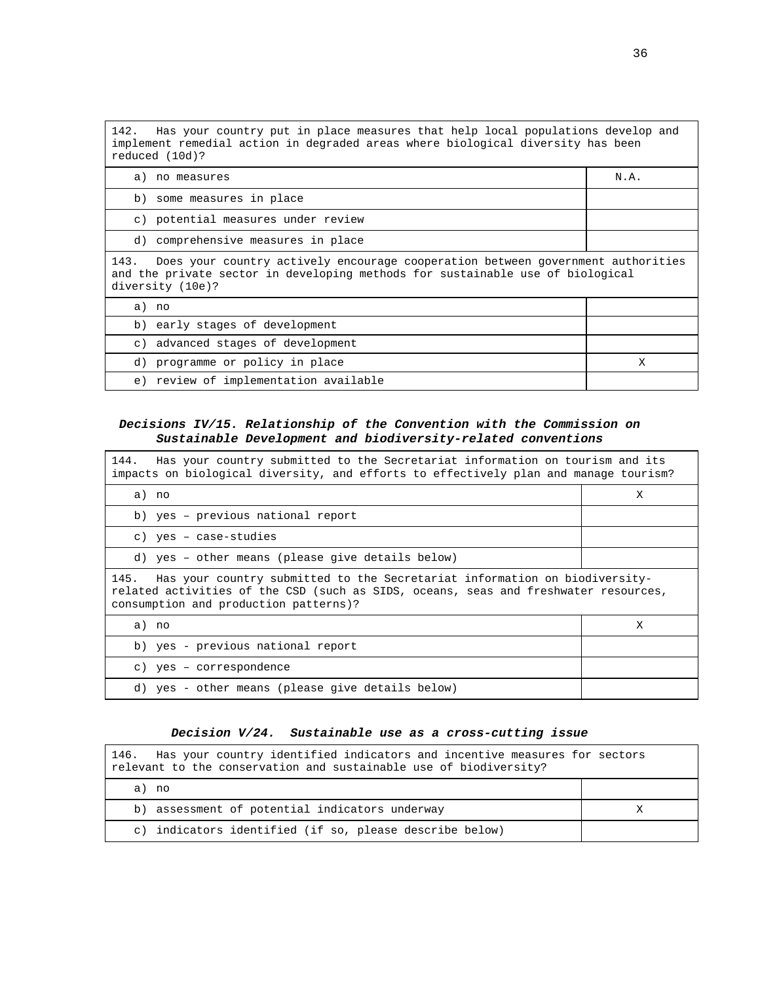142. Has your country put in place measures that help local populations develop and implement remedial action in degraded areas where biological diversity has been reduced (10d)? a) no measures N.A.

b) some measures in place

c) potential measures under review

d) comprehensive measures in place

143. Does your country actively encourage cooperation between government authorities and the private sector in developing methods for sustainable use of biological diversity (10e)?

| no.<br>a)                                |  |
|------------------------------------------|--|
| b) early stages of development           |  |
| c) advanced stages of development        |  |
| d) programme or policy in place          |  |
| review of implementation available<br>e) |  |

#### **Decisions IV/15. Relationship of the Convention with the Commission on Sustainable Development and biodiversity-related conventions**

| 144. Has your country submitted to the Secretariat information on tourism and its<br>impacts on biological diversity, and efforts to effectively plan and manage tourism?                                       |   |  |
|-----------------------------------------------------------------------------------------------------------------------------------------------------------------------------------------------------------------|---|--|
| a) no                                                                                                                                                                                                           | X |  |
| b) yes - previous national report                                                                                                                                                                               |   |  |
| c) yes - case-studies                                                                                                                                                                                           |   |  |
| d) yes - other means (please give details below)                                                                                                                                                                |   |  |
| 145. Has your country submitted to the Secretariat information on biodiversity-<br>related activities of the CSD (such as SIDS, oceans, seas and freshwater resources,<br>consumption and production patterns)? |   |  |
| a) no                                                                                                                                                                                                           | X |  |
| b) yes - previous national report                                                                                                                                                                               |   |  |
| c) yes - correspondence                                                                                                                                                                                         |   |  |
| d) yes - other means (please give details below)                                                                                                                                                                |   |  |

#### **Decision V/24. Sustainable use as a cross-cutting issue**

| Has your country identified indicators and incentive measures for sectors<br>146.<br>relevant to the conservation and sustainable use of biodiversity? |  |
|--------------------------------------------------------------------------------------------------------------------------------------------------------|--|
| a) no                                                                                                                                                  |  |
| b) assessment of potential indicators underway                                                                                                         |  |
| c) indicators identified (if so, please describe below)                                                                                                |  |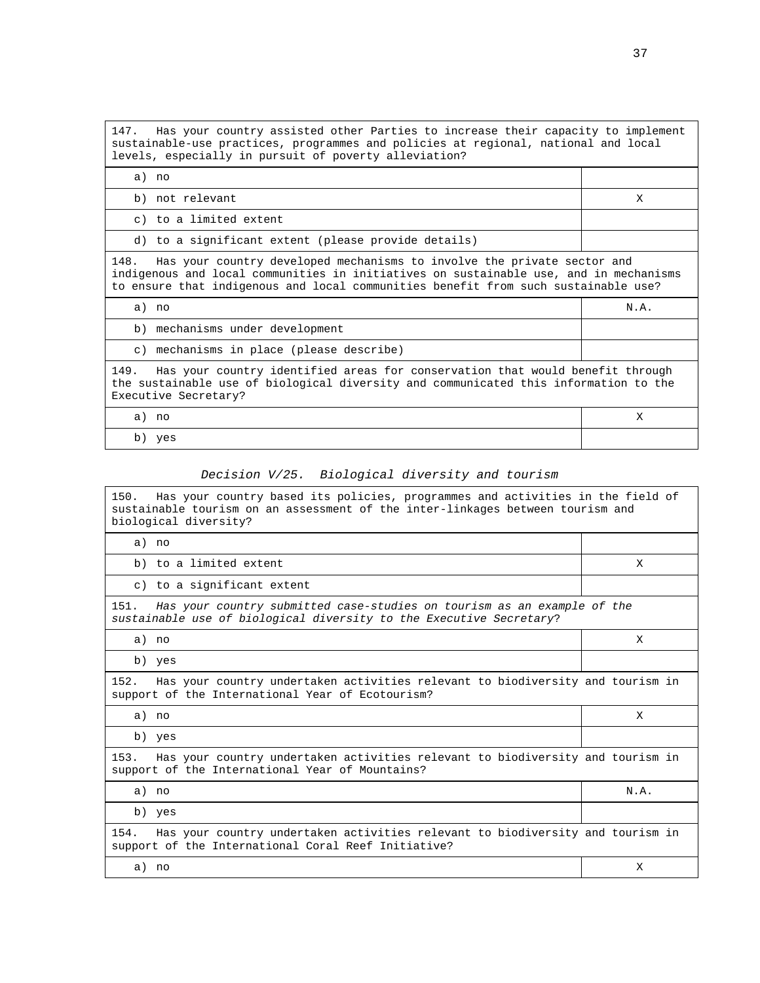147. Has your country assisted other Parties to increase their capacity to implement sustainable-use practices, programmes and policies at regional, national and local levels, especially in pursuit of poverty alleviation?

| a) no                                                                                                                                                                                                                                                          |      |
|----------------------------------------------------------------------------------------------------------------------------------------------------------------------------------------------------------------------------------------------------------------|------|
| b) not relevant                                                                                                                                                                                                                                                | X    |
| c) to a limited extent                                                                                                                                                                                                                                         |      |
| d) to a significant extent (please provide details)                                                                                                                                                                                                            |      |
| 148.<br>Has your country developed mechanisms to involve the private sector and<br>indigenous and local communities in initiatives on sustainable use, and in mechanisms<br>to ensure that indigenous and local communities benefit from such sustainable use? |      |
| a) no                                                                                                                                                                                                                                                          | N.A. |
|                                                                                                                                                                                                                                                                |      |
| b) mechanisms under development                                                                                                                                                                                                                                |      |
| c) mechanisms in place (please describe)                                                                                                                                                                                                                       |      |
| 149.<br>Has your country identified areas for conservation that would benefit through<br>the sustainable use of biological diversity and communicated this information to the<br>Executive Secretary?                                                          |      |
| a) no                                                                                                                                                                                                                                                          | X    |

# Decision V/25. Biological diversity and tourism

| 150.<br>Has your country based its policies, programmes and activities in the field of<br>sustainable tourism on an assessment of the inter-linkages between tourism and<br>biological diversity? |      |  |  |  |  |  |  |
|---------------------------------------------------------------------------------------------------------------------------------------------------------------------------------------------------|------|--|--|--|--|--|--|
| a) no                                                                                                                                                                                             |      |  |  |  |  |  |  |
| b) to a limited extent                                                                                                                                                                            | X    |  |  |  |  |  |  |
| c) to a significant extent                                                                                                                                                                        |      |  |  |  |  |  |  |
| 151.<br>Has your country submitted case-studies on tourism as an example of the<br>sustainable use of biological diversity to the Executive Secretary?                                            |      |  |  |  |  |  |  |
| a) no                                                                                                                                                                                             | X    |  |  |  |  |  |  |
| b) yes                                                                                                                                                                                            |      |  |  |  |  |  |  |
| Has your country undertaken activities relevant to biodiversity and tourism in<br>152.<br>support of the International Year of Ecotourism?                                                        |      |  |  |  |  |  |  |
| a) no                                                                                                                                                                                             | X    |  |  |  |  |  |  |
| b) yes                                                                                                                                                                                            |      |  |  |  |  |  |  |
| 153.<br>Has your country undertaken activities relevant to biodiversity and tourism in<br>support of the International Year of Mountains?                                                         |      |  |  |  |  |  |  |
| a) no                                                                                                                                                                                             | N.A. |  |  |  |  |  |  |
| b) yes                                                                                                                                                                                            |      |  |  |  |  |  |  |
| Has your country undertaken activities relevant to biodiversity and tourism in<br>154.<br>support of the International Coral Reef Initiative?                                                     |      |  |  |  |  |  |  |
| a) no                                                                                                                                                                                             | X    |  |  |  |  |  |  |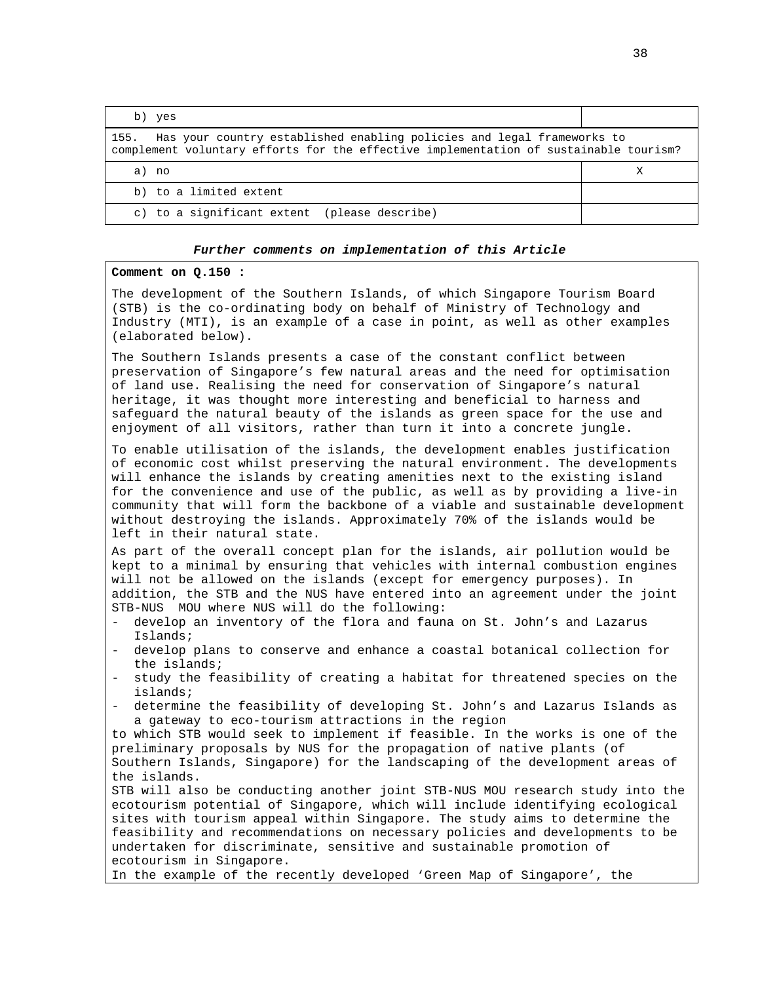| b) yes                                                                                                                                                                  |  |
|-------------------------------------------------------------------------------------------------------------------------------------------------------------------------|--|
| Has your country established enabling policies and legal frameworks to<br>155.<br>complement voluntary efforts for the effective implementation of sustainable tourism? |  |
| a) no                                                                                                                                                                   |  |
| b) to a limited extent                                                                                                                                                  |  |
| c) to a significant extent (please describe)                                                                                                                            |  |

#### **Comment on Q.150 :**

The development of the Southern Islands, of which Singapore Tourism Board (STB) is the co-ordinating body on behalf of Ministry of Technology and Industry (MTI), is an example of a case in point, as well as other examples (elaborated below).

The Southern Islands presents a case of the constant conflict between preservation of Singapore's few natural areas and the need for optimisation of land use. Realising the need for conservation of Singapore's natural heritage, it was thought more interesting and beneficial to harness and safeguard the natural beauty of the islands as green space for the use and enjoyment of all visitors, rather than turn it into a concrete jungle.

To enable utilisation of the islands, the development enables justification of economic cost whilst preserving the natural environment. The developments will enhance the islands by creating amenities next to the existing island for the convenience and use of the public, as well as by providing a live-in community that will form the backbone of a viable and sustainable development without destroying the islands. Approximately 70% of the islands would be left in their natural state.

As part of the overall concept plan for the islands, air pollution would be kept to a minimal by ensuring that vehicles with internal combustion engines will not be allowed on the islands (except for emergency purposes). In addition, the STB and the NUS have entered into an agreement under the joint STB-NUS MOU where NUS will do the following:

- develop an inventory of the flora and fauna on St. John's and Lazarus Islands;
- develop plans to conserve and enhance a coastal botanical collection for the islands;
- study the feasibility of creating a habitat for threatened species on the islands;
- determine the feasibility of developing St. John's and Lazarus Islands as a gateway to eco-tourism attractions in the region

to which STB would seek to implement if feasible. In the works is one of the preliminary proposals by NUS for the propagation of native plants (of Southern Islands, Singapore) for the landscaping of the development areas of the islands.

STB will also be conducting another joint STB-NUS MOU research study into the ecotourism potential of Singapore, which will include identifying ecological sites with tourism appeal within Singapore. The study aims to determine the feasibility and recommendations on necessary policies and developments to be undertaken for discriminate, sensitive and sustainable promotion of ecotourism in Singapore.

In the example of the recently developed 'Green Map of Singapore', the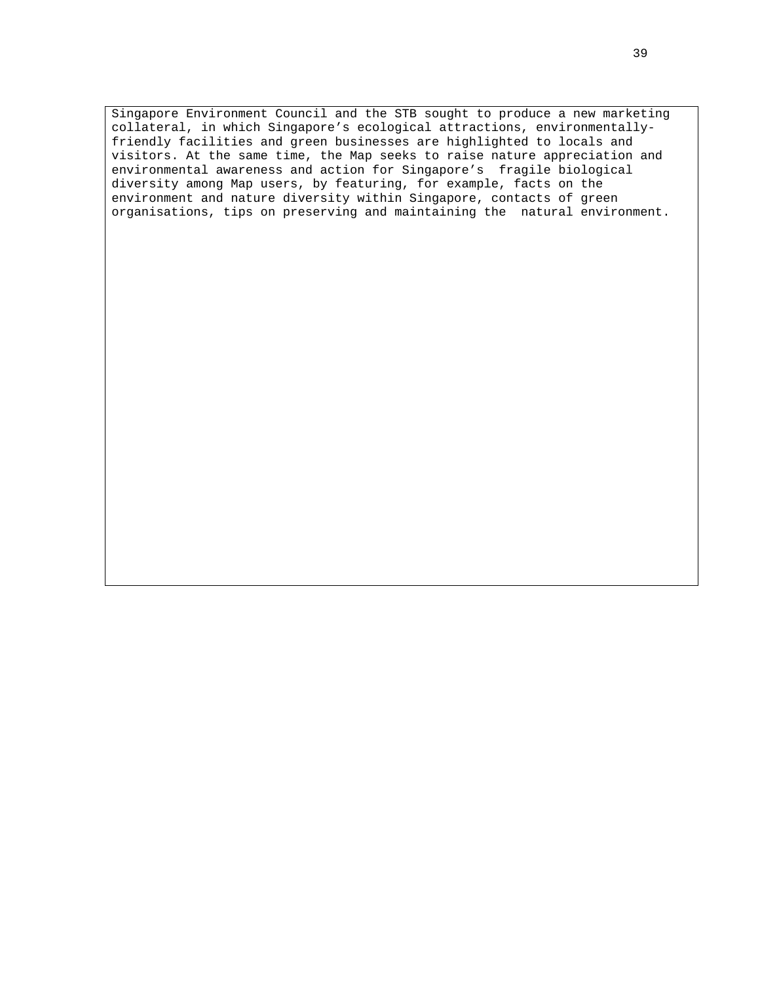Singapore Environment Council and the STB sought to produce a new marketing collateral, in which Singapore's ecological attractions, environmentallyfriendly facilities and green businesses are highlighted to locals and visitors. At the same time, the Map seeks to raise nature appreciation and environmental awareness and action for Singapore's fragile biological diversity among Map users, by featuring, for example, facts on the environment and nature diversity within Singapore, contacts of green organisations, tips on preserving and maintaining the natural environment.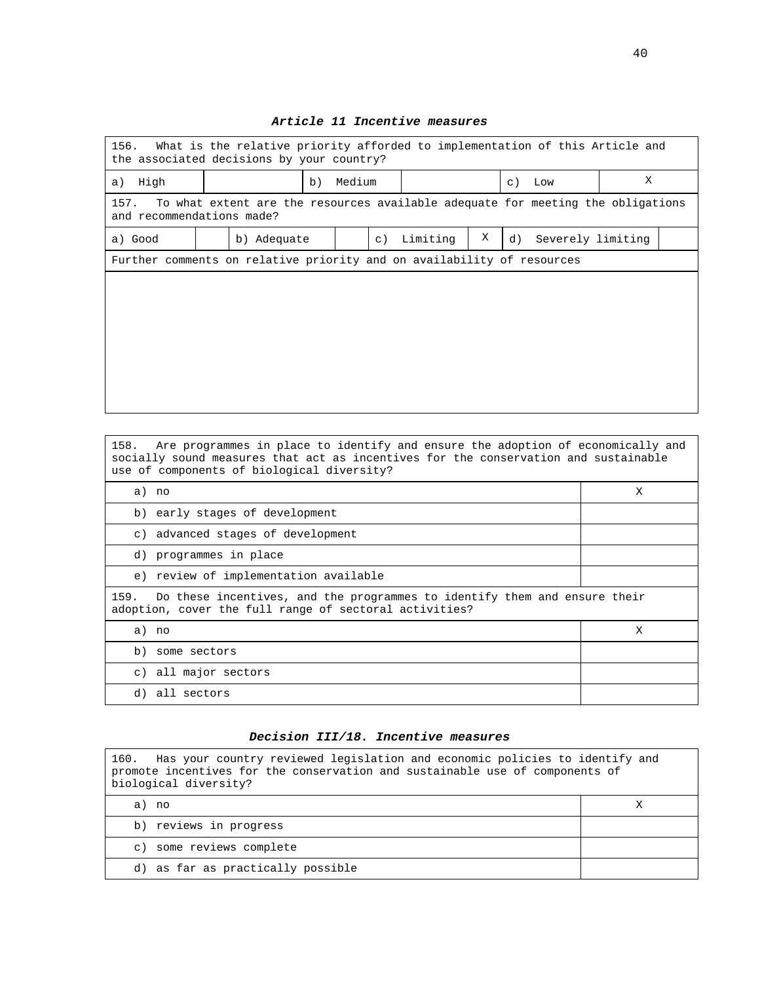| What is the relative priority afforded to implementation of this Article and<br>156.<br>the associated decisions by your country? |                                                                        |        |           |                  |   |    |  |                   |  |
|-----------------------------------------------------------------------------------------------------------------------------------|------------------------------------------------------------------------|--------|-----------|------------------|---|----|--|-------------------|--|
| a) High                                                                                                                           | b)                                                                     | Medium |           | Low<br>$\circ$ ) |   |    |  | X                 |  |
| To what extent are the resources available adequate for meeting the obligations<br>157.<br>and recommendations made?              |                                                                        |        |           |                  |   |    |  |                   |  |
| a) Good                                                                                                                           | b) Adequate                                                            |        | $\circ$ ) | Limiting         | X | d) |  | Severely limiting |  |
|                                                                                                                                   | Further comments on relative priority and on availability of resources |        |           |                  |   |    |  |                   |  |
|                                                                                                                                   |                                                                        |        |           |                  |   |    |  |                   |  |
|                                                                                                                                   |                                                                        |        |           |                  |   |    |  |                   |  |
|                                                                                                                                   |                                                                        |        |           |                  |   |    |  |                   |  |
|                                                                                                                                   |                                                                        |        |           |                  |   |    |  |                   |  |
|                                                                                                                                   |                                                                        |        |           |                  |   |    |  |                   |  |
|                                                                                                                                   |                                                                        |        |           |                  |   |    |  |                   |  |

## **Article 11 Incentive measures**

158. Are programmes in place to identify and ensure the adoption of economically and socially sound measures that act as incentives for the conservation and sustainable use of components of biological diversity?

| a) no                                                                                                                                       | Χ |
|---------------------------------------------------------------------------------------------------------------------------------------------|---|
| b) early stages of development                                                                                                              |   |
| c) advanced stages of development                                                                                                           |   |
| d) programmes in place                                                                                                                      |   |
| e) review of implementation available                                                                                                       |   |
| Do these incentives, and the programmes to identify them and ensure their<br>159.<br>adoption, cover the full range of sectoral activities? |   |
| a) no                                                                                                                                       | Χ |
| b) some sectors                                                                                                                             |   |
| c) all major sectors                                                                                                                        |   |
| all sectors<br>d)                                                                                                                           |   |

#### **Decision III/18. Incentive measures**

160. Has your country reviewed legislation and economic policies to identify and promote incentives for the conservation and sustainable use of components of biological diversity? a) no X b) reviews in progress c) some reviews complete d) as far as practically possible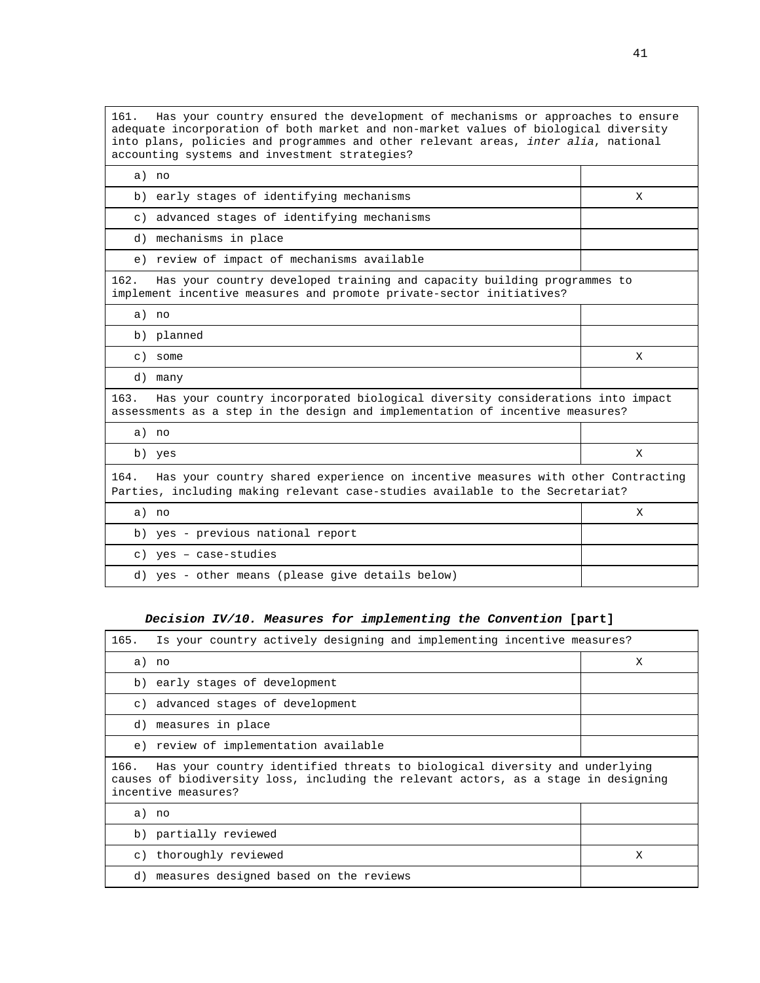161. Has your country ensured the development of mechanisms or approaches to ensure adequate incorporation of both market and non-market values of biological diversity into plans, policies and programmes and other relevant areas, inter alia, national accounting systems and investment strategies?

| a) no                                                                                                                                                                    |   |
|--------------------------------------------------------------------------------------------------------------------------------------------------------------------------|---|
| b) early stages of identifying mechanisms                                                                                                                                | X |
| c) advanced stages of identifying mechanisms                                                                                                                             |   |
| d) mechanisms in place                                                                                                                                                   |   |
| e) review of impact of mechanisms available                                                                                                                              |   |
| 162.<br>Has your country developed training and capacity building programmes to<br>implement incentive measures and promote private-sector initiatives?                  |   |
| a) no                                                                                                                                                                    |   |
| b) planned                                                                                                                                                               |   |
| c) some                                                                                                                                                                  | X |
| d) many                                                                                                                                                                  |   |
| Has your country incorporated biological diversity considerations into impact<br>163.<br>assessments as a step in the design and implementation of incentive measures?   |   |
| a) no                                                                                                                                                                    |   |
| b) yes                                                                                                                                                                   | X |
| Has your country shared experience on incentive measures with other Contracting<br>164.<br>Parties, including making relevant case-studies available to the Secretariat? |   |
| a) no                                                                                                                                                                    | X |
| b) yes - previous national report                                                                                                                                        |   |
| c) yes - case-studies                                                                                                                                                    |   |
| d) yes - other means (please give details below)                                                                                                                         |   |

## **Decision IV/10. Measures for implementing the Convention [part]**

| 165.<br>Is your country actively designing and implementing incentive measures?                                                                                                                  |   |
|--------------------------------------------------------------------------------------------------------------------------------------------------------------------------------------------------|---|
| a) no                                                                                                                                                                                            | Χ |
| b) early stages of development                                                                                                                                                                   |   |
| c) advanced stages of development                                                                                                                                                                |   |
| d) measures in place                                                                                                                                                                             |   |
| e) review of implementation available                                                                                                                                                            |   |
| Has your country identified threats to biological diversity and underlying<br>166.<br>causes of biodiversity loss, including the relevant actors, as a stage in designing<br>incentive measures? |   |
| a) no                                                                                                                                                                                            |   |
| b) partially reviewed                                                                                                                                                                            |   |
| c) thoroughly reviewed                                                                                                                                                                           | X |
| d) measures designed based on the reviews                                                                                                                                                        |   |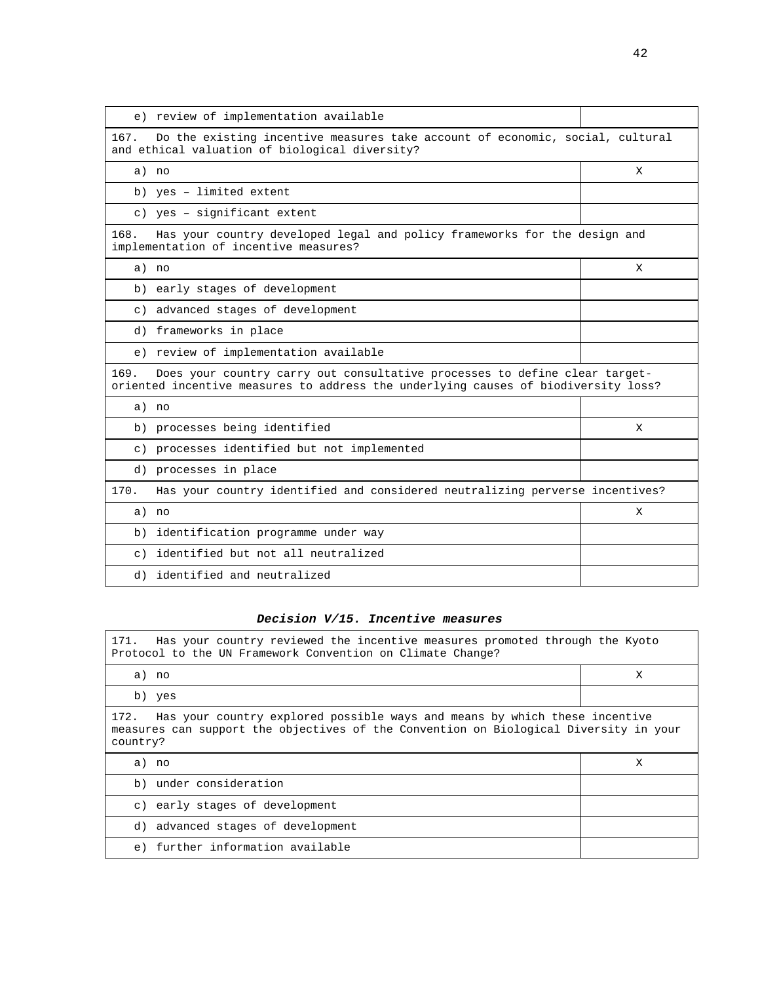| e) review of implementation available                                                                                                                                    |   |
|--------------------------------------------------------------------------------------------------------------------------------------------------------------------------|---|
| 167.<br>Do the existing incentive measures take account of economic, social, cultural<br>and ethical valuation of biological diversity?                                  |   |
| a) no                                                                                                                                                                    | X |
| b) yes - limited extent                                                                                                                                                  |   |
| c) yes - significant extent                                                                                                                                              |   |
| 168.<br>Has your country developed legal and policy frameworks for the design and<br>implementation of incentive measures?                                               |   |
| a) no                                                                                                                                                                    | X |
| b) early stages of development                                                                                                                                           |   |
| c) advanced stages of development                                                                                                                                        |   |
| d) frameworks in place                                                                                                                                                   |   |
| e) review of implementation available                                                                                                                                    |   |
| Does your country carry out consultative processes to define clear target-<br>169.<br>oriented incentive measures to address the underlying causes of biodiversity loss? |   |
| a) no                                                                                                                                                                    |   |
| b) processes being identified                                                                                                                                            | X |
| c) processes identified but not implemented                                                                                                                              |   |
| d) processes in place                                                                                                                                                    |   |
| Has your country identified and considered neutralizing perverse incentives?<br>170.                                                                                     |   |
| a) no                                                                                                                                                                    | X |
| b) identification programme under way                                                                                                                                    |   |
| c) identified but not all neutralized                                                                                                                                    |   |
| d) identified and neutralized                                                                                                                                            |   |

## **Decision V/15. Incentive measures**

| Has your country reviewed the incentive measures promoted through the Kyoto<br>171.<br>Protocol to the UN Framework Convention on Climate Change?                                    |   |  |  |  |  |  |  |
|--------------------------------------------------------------------------------------------------------------------------------------------------------------------------------------|---|--|--|--|--|--|--|
| a) no                                                                                                                                                                                | X |  |  |  |  |  |  |
| b) yes                                                                                                                                                                               |   |  |  |  |  |  |  |
| 172. Has your country explored possible ways and means by which these incentive<br>measures can support the objectives of the Convention on Biological Diversity in your<br>country? |   |  |  |  |  |  |  |
| a) no                                                                                                                                                                                | Х |  |  |  |  |  |  |
| b) under consideration                                                                                                                                                               |   |  |  |  |  |  |  |
| c) early stages of development                                                                                                                                                       |   |  |  |  |  |  |  |
| d) advanced stages of development                                                                                                                                                    |   |  |  |  |  |  |  |
| e) further information available                                                                                                                                                     |   |  |  |  |  |  |  |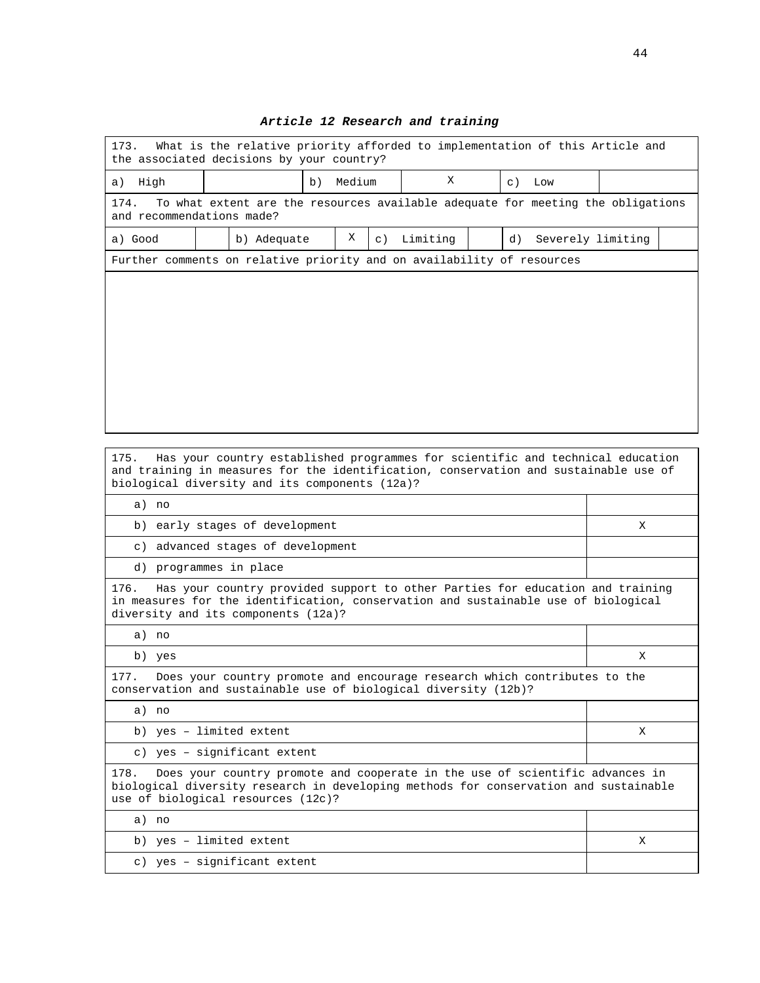| 173.<br>What is the relative priority afforded to implementation of this Article and<br>the associated decisions by your country? |  |                                                                                |    |                                   |           |          |  |    |                   |  |
|-----------------------------------------------------------------------------------------------------------------------------------|--|--------------------------------------------------------------------------------|----|-----------------------------------|-----------|----------|--|----|-------------------|--|
| High<br>a)                                                                                                                        |  |                                                                                | b) | X<br>Medium<br>$\subset$ )<br>Low |           |          |  |    |                   |  |
| 174.<br>To what extent are the resources available adequate for meeting the obligations<br>and recommendations made?              |  |                                                                                |    |                                   |           |          |  |    |                   |  |
| a) Good                                                                                                                           |  | b) Adequate                                                                    |    | X                                 | $\circ$ ) | Limiting |  | d) | Severely limiting |  |
| Further comments on relative priority and on availability of resources                                                            |  |                                                                                |    |                                   |           |          |  |    |                   |  |
|                                                                                                                                   |  |                                                                                |    |                                   |           |          |  |    |                   |  |
|                                                                                                                                   |  |                                                                                |    |                                   |           |          |  |    |                   |  |
|                                                                                                                                   |  |                                                                                |    |                                   |           |          |  |    |                   |  |
|                                                                                                                                   |  |                                                                                |    |                                   |           |          |  |    |                   |  |
|                                                                                                                                   |  |                                                                                |    |                                   |           |          |  |    |                   |  |
|                                                                                                                                   |  |                                                                                |    |                                   |           |          |  |    |                   |  |
|                                                                                                                                   |  |                                                                                |    |                                   |           |          |  |    |                   |  |
|                                                                                                                                   |  |                                                                                |    |                                   |           |          |  |    |                   |  |
| 175.<br>and training in measures for the identification, conservation and sustainable use of                                      |  | Has your country established programmes for scientific and technical education |    |                                   |           |          |  |    |                   |  |

## **Article 12 Research and training**

and training in measures for the identification, conservation and sustainable use of biological diversity and its components (12a)? a) no b) early stages of development X c) advanced stages of development d) programmes in place 176. Has your country provided support to other Parties for education and training in measures for the identification, conservation and sustainable use of biological diversity and its components (12a)? a) no b) yes  $X$ 177. Does your country promote and encourage research which contributes to the conservation and sustainable use of biological diversity (12b)? a) no b) yes – limited extent X c) yes – significant extent 178. Does your country promote and cooperate in the use of scientific advances in biological diversity research in developing methods for conservation and sustainable use of biological resources (12c)? a) no b) yes – limited extent X c) yes – significant extent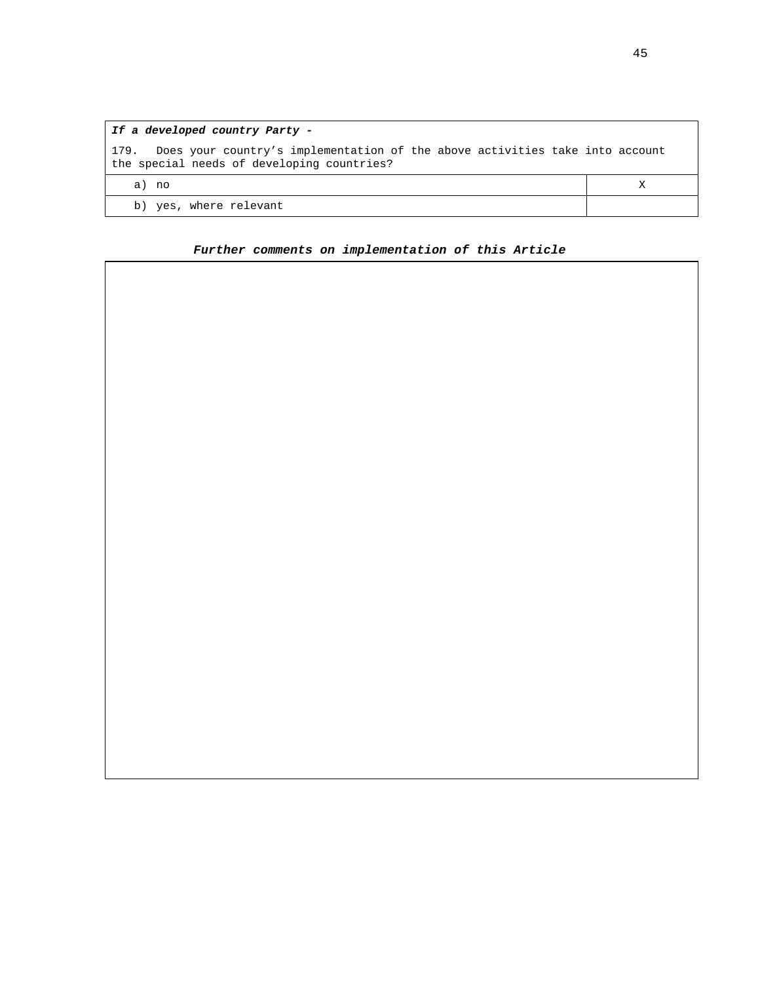| If a developed country Party -                                                                                                     |  |
|------------------------------------------------------------------------------------------------------------------------------------|--|
| Does your country's implementation of the above activities take into account<br>179.<br>the special needs of developing countries? |  |
| a) no                                                                                                                              |  |
| b) yes, where relevant                                                                                                             |  |

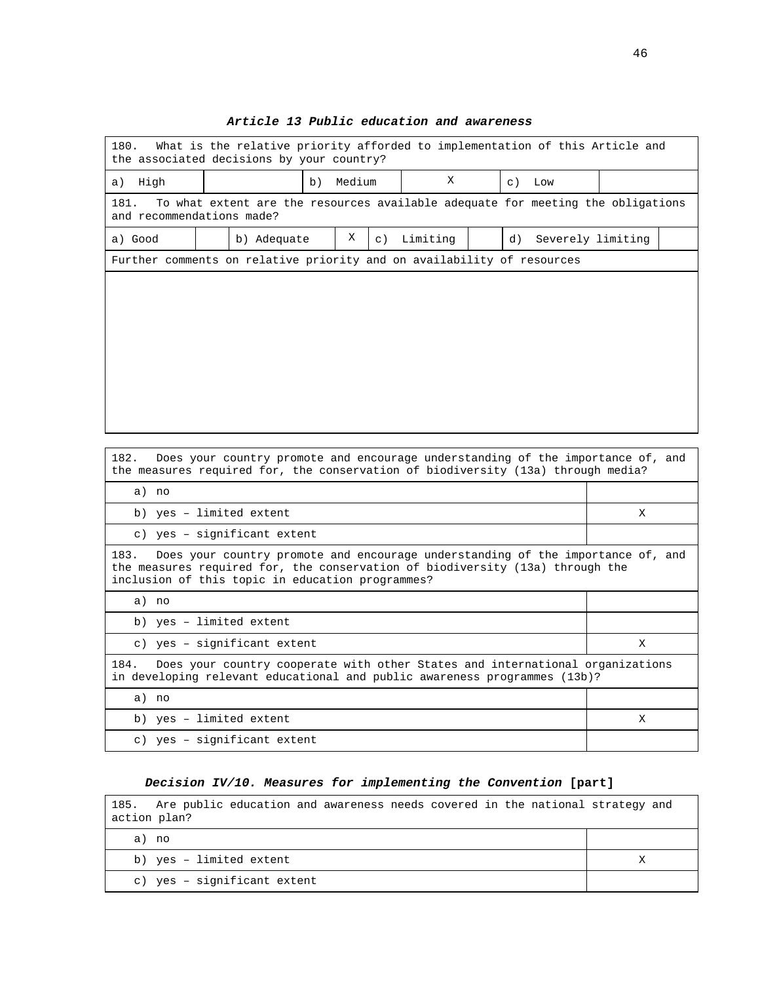| 180.<br>What is the relative priority afforded to implementation of this Article and<br>the associated decisions by your country? |  |                                                                                 |  |             |           |          |          |    |                   |  |
|-----------------------------------------------------------------------------------------------------------------------------------|--|---------------------------------------------------------------------------------|--|-------------|-----------|----------|----------|----|-------------------|--|
| High<br>a)                                                                                                                        |  | b)                                                                              |  | X<br>Medium |           |          | $c)$ Low |    |                   |  |
| 181.<br>and recommendations made?                                                                                                 |  | To what extent are the resources available adequate for meeting the obligations |  |             |           |          |          |    |                   |  |
| a) Good                                                                                                                           |  | b) Adequate                                                                     |  | Χ           | $\circ$ ) | Limiting |          | d) | Severely limiting |  |
| Further comments on relative priority and on availability of resources                                                            |  |                                                                                 |  |             |           |          |          |    |                   |  |
|                                                                                                                                   |  |                                                                                 |  |             |           |          |          |    |                   |  |
|                                                                                                                                   |  |                                                                                 |  |             |           |          |          |    |                   |  |
|                                                                                                                                   |  |                                                                                 |  |             |           |          |          |    |                   |  |
|                                                                                                                                   |  |                                                                                 |  |             |           |          |          |    |                   |  |
|                                                                                                                                   |  |                                                                                 |  |             |           |          |          |    |                   |  |
|                                                                                                                                   |  |                                                                                 |  |             |           |          |          |    |                   |  |
|                                                                                                                                   |  |                                                                                 |  |             |           |          |          |    |                   |  |
|                                                                                                                                   |  |                                                                                 |  |             |           |          |          |    |                   |  |

## **Article 13 Public education and awareness**

| Does your country promote and encourage understanding of the importance of, and<br>182.<br>the measures required for, the conservation of biodiversity (13a) through media?                                                  |   |  |  |
|------------------------------------------------------------------------------------------------------------------------------------------------------------------------------------------------------------------------------|---|--|--|
| a) no                                                                                                                                                                                                                        |   |  |  |
| b) yes - limited extent                                                                                                                                                                                                      | X |  |  |
| c) yes - significant extent                                                                                                                                                                                                  |   |  |  |
| Does your country promote and encourage understanding of the importance of, and<br>183.<br>the measures required for, the conservation of biodiversity (13a) through the<br>inclusion of this topic in education programmes? |   |  |  |
| a) no                                                                                                                                                                                                                        |   |  |  |
| b) yes - limited extent                                                                                                                                                                                                      |   |  |  |
| c) yes - significant extent                                                                                                                                                                                                  | X |  |  |
| Does your country cooperate with other States and international organizations<br>184.<br>in developing relevant educational and public awareness programmes (13b)?                                                           |   |  |  |
| a) no                                                                                                                                                                                                                        |   |  |  |
| b) yes - limited extent                                                                                                                                                                                                      | X |  |  |
| c) yes - significant extent                                                                                                                                                                                                  |   |  |  |

ľ

# **Decision IV/10. Measures for implementing the Convention [part]**

| 185. Are public education and awareness needs covered in the national strategy and<br>action plan? |  |
|----------------------------------------------------------------------------------------------------|--|
| a) no                                                                                              |  |
| b) yes - limited extent                                                                            |  |
| c) yes - significant extent                                                                        |  |

٦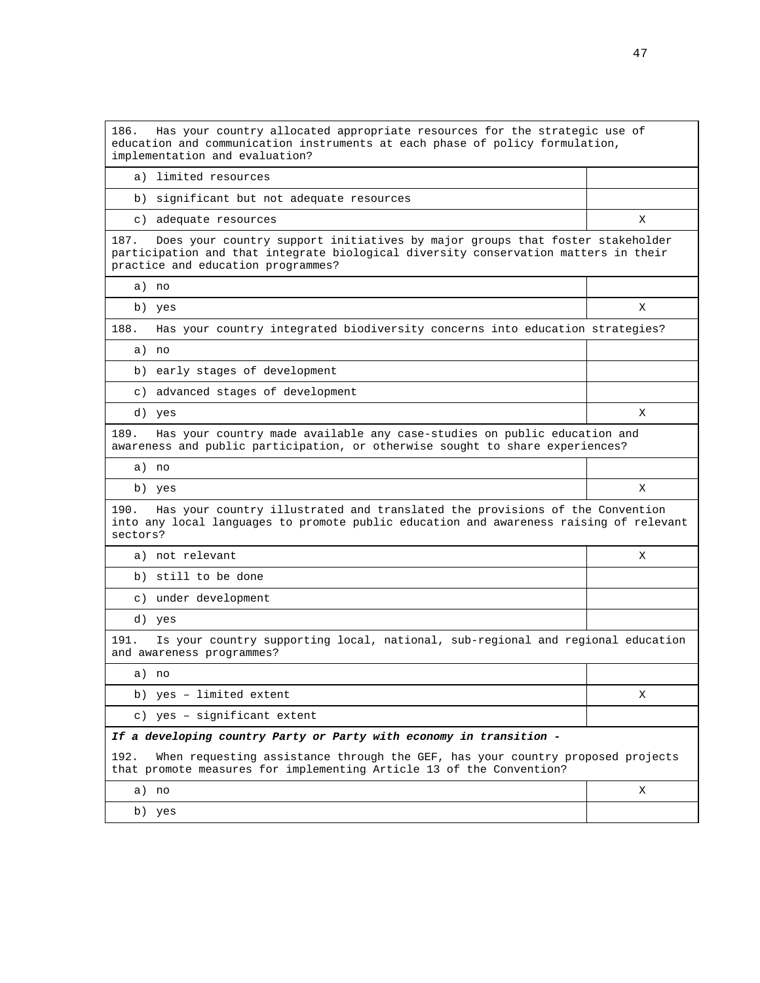| Has your country allocated appropriate resources for the strategic use of<br>186.<br>education and communication instruments at each phase of policy formulation,<br>implementation and evaluation?                |   |  |  |
|--------------------------------------------------------------------------------------------------------------------------------------------------------------------------------------------------------------------|---|--|--|
| a) limited resources                                                                                                                                                                                               |   |  |  |
| b) significant but not adequate resources                                                                                                                                                                          |   |  |  |
| c) adequate resources                                                                                                                                                                                              | X |  |  |
| 187.<br>Does your country support initiatives by major groups that foster stakeholder<br>participation and that integrate biological diversity conservation matters in their<br>practice and education programmes? |   |  |  |
| a) no                                                                                                                                                                                                              |   |  |  |
| b) yes                                                                                                                                                                                                             | X |  |  |
| 188.<br>Has your country integrated biodiversity concerns into education strategies?                                                                                                                               |   |  |  |
| a) no                                                                                                                                                                                                              |   |  |  |
| early stages of development<br>b)                                                                                                                                                                                  |   |  |  |
| c) advanced stages of development                                                                                                                                                                                  |   |  |  |
| d) yes                                                                                                                                                                                                             | X |  |  |
| Has your country made available any case-studies on public education and<br>189.<br>awareness and public participation, or otherwise sought to share experiences?                                                  |   |  |  |
| a) no                                                                                                                                                                                                              |   |  |  |
| b) yes                                                                                                                                                                                                             | X |  |  |
| 190.<br>Has your country illustrated and translated the provisions of the Convention<br>into any local languages to promote public education and awareness raising of relevant<br>sectors?                         |   |  |  |
| a) not relevant                                                                                                                                                                                                    | х |  |  |
| b) still to be done                                                                                                                                                                                                |   |  |  |
| c) under development                                                                                                                                                                                               |   |  |  |
| d) yes                                                                                                                                                                                                             |   |  |  |
| 191.<br>Is your country supporting local, national, sub-regional and regional education<br>and awareness programmes?                                                                                               |   |  |  |
| a) no                                                                                                                                                                                                              |   |  |  |
| b) yes - limited extent                                                                                                                                                                                            | X |  |  |
| c) yes - significant extent                                                                                                                                                                                        |   |  |  |
| If a developing country Party or Party with economy in transition -                                                                                                                                                |   |  |  |
| 192.<br>When requesting assistance through the GEF, has your country proposed projects<br>that promote measures for implementing Article 13 of the Convention?                                                     |   |  |  |
| a) no                                                                                                                                                                                                              | X |  |  |
| b) yes                                                                                                                                                                                                             |   |  |  |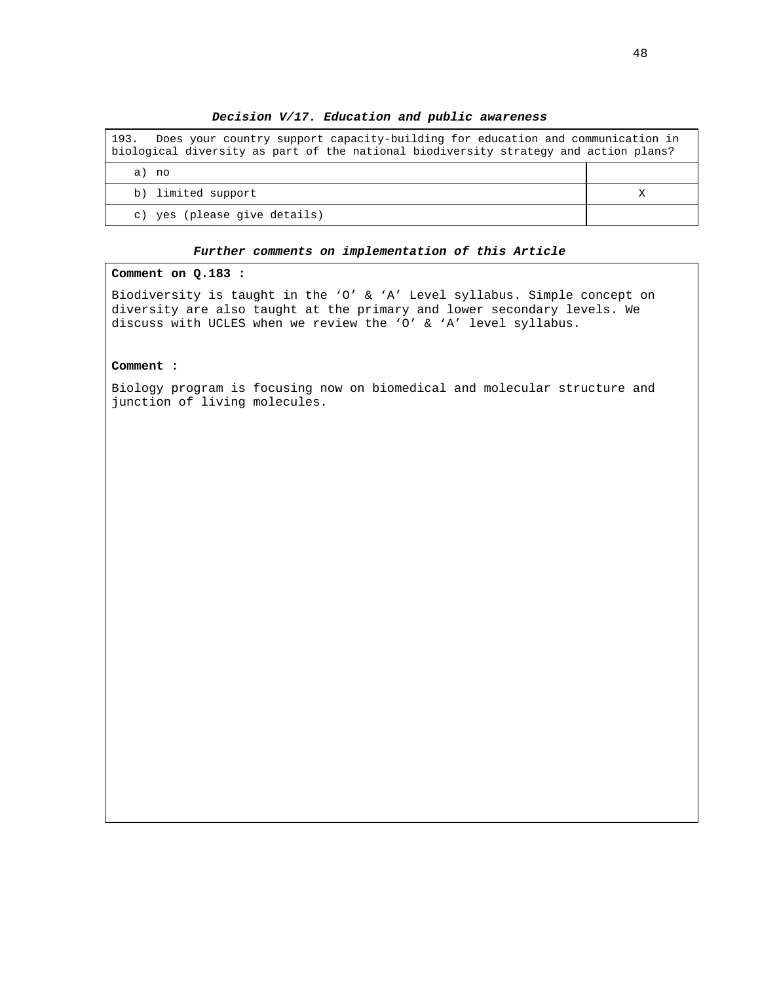**Decision V/17. Education and public awareness** 

| Does your country support capacity-building for education and communication in<br>193.<br>biological diversity as part of the national biodiversity strategy and action plans? |  |
|--------------------------------------------------------------------------------------------------------------------------------------------------------------------------------|--|
| a) no                                                                                                                                                                          |  |
| b) limited support                                                                                                                                                             |  |
| c) yes (please give details)                                                                                                                                                   |  |

## **Comment on Q.183 :**

Biodiversity is taught in the 'O' & 'A' Level syllabus. Simple concept on diversity are also taught at the primary and lower secondary levels. We discuss with UCLES when we review the 'O' & 'A' level syllabus.

#### **Comment :**

Biology program is focusing now on biomedical and molecular structure and junction of living molecules.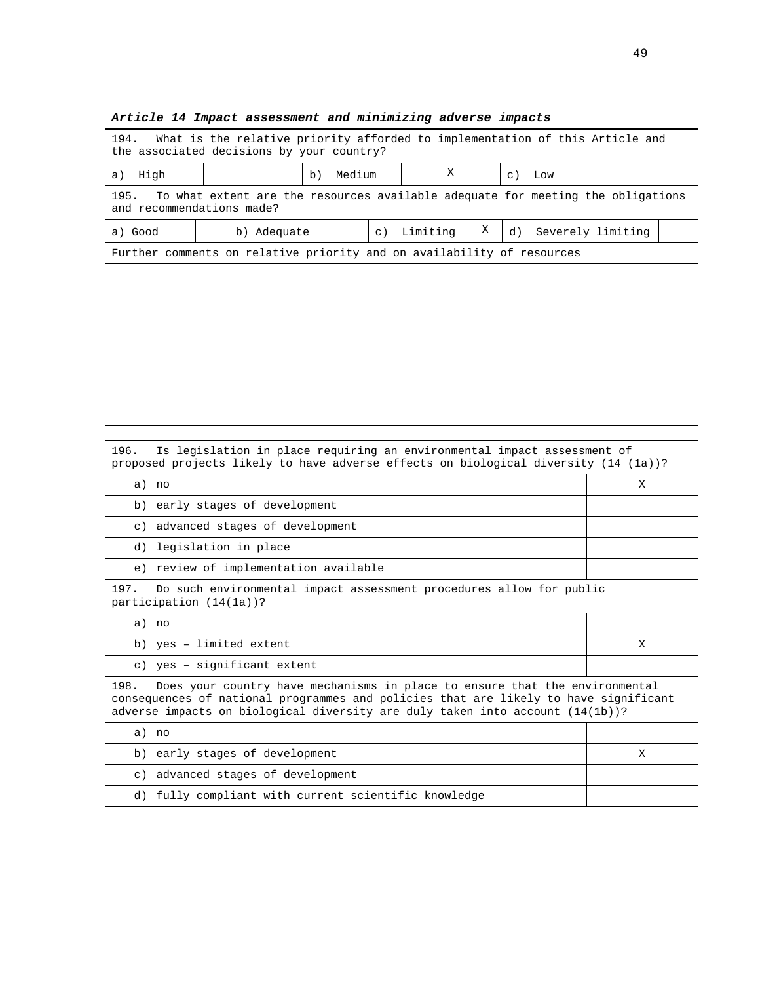| 194.<br>What is the relative priority afforded to implementation of this Article and<br>the associated decisions by your country? |  |                                                                                 |  |             |           |           |     |    |                   |  |
|-----------------------------------------------------------------------------------------------------------------------------------|--|---------------------------------------------------------------------------------|--|-------------|-----------|-----------|-----|----|-------------------|--|
| High<br>a)                                                                                                                        |  | b)                                                                              |  | Χ<br>Medium |           | $\circ$ ) | Low |    |                   |  |
| 195.<br>and recommendations made?                                                                                                 |  | To what extent are the resources available adequate for meeting the obligations |  |             |           |           |     |    |                   |  |
| a) Good                                                                                                                           |  | b) Adequate                                                                     |  |             | $\circ$ ) | Limiting  | Χ   | d) | Severely limiting |  |
| Further comments on relative priority and on availability of resources                                                            |  |                                                                                 |  |             |           |           |     |    |                   |  |
|                                                                                                                                   |  |                                                                                 |  |             |           |           |     |    |                   |  |
|                                                                                                                                   |  |                                                                                 |  |             |           |           |     |    |                   |  |
|                                                                                                                                   |  |                                                                                 |  |             |           |           |     |    |                   |  |
|                                                                                                                                   |  |                                                                                 |  |             |           |           |     |    |                   |  |
|                                                                                                                                   |  |                                                                                 |  |             |           |           |     |    |                   |  |
|                                                                                                                                   |  |                                                                                 |  |             |           |           |     |    |                   |  |
|                                                                                                                                   |  |                                                                                 |  |             |           |           |     |    |                   |  |

## **Article 14 Impact assessment and minimizing adverse impacts**

196. Is legislation in place requiring an environmental impact assessment of proposed projects likely to have adverse effects on biological diversity (14 (1a))?

| a) no                                                                                                                                                                                                                                                           | X |  |  |
|-----------------------------------------------------------------------------------------------------------------------------------------------------------------------------------------------------------------------------------------------------------------|---|--|--|
| b) early stages of development                                                                                                                                                                                                                                  |   |  |  |
| c) advanced stages of development                                                                                                                                                                                                                               |   |  |  |
| d) legislation in place                                                                                                                                                                                                                                         |   |  |  |
| e) review of implementation available                                                                                                                                                                                                                           |   |  |  |
| 197.<br>Do such environmental impact assessment procedures allow for public<br>participation $(14(1a))$ ?                                                                                                                                                       |   |  |  |
| a) no                                                                                                                                                                                                                                                           |   |  |  |
| b) yes - limited extent                                                                                                                                                                                                                                         | X |  |  |
| c) yes - significant extent                                                                                                                                                                                                                                     |   |  |  |
| 198.<br>Does your country have mechanisms in place to ensure that the environmental<br>consequences of national programmes and policies that are likely to have significant<br>adverse impacts on biological diversity are duly taken into account $(14(1b))$ ? |   |  |  |
| a) no                                                                                                                                                                                                                                                           |   |  |  |
| b) early stages of development                                                                                                                                                                                                                                  | X |  |  |
| c) advanced stages of development                                                                                                                                                                                                                               |   |  |  |
| d) fully compliant with current scientific knowledge                                                                                                                                                                                                            |   |  |  |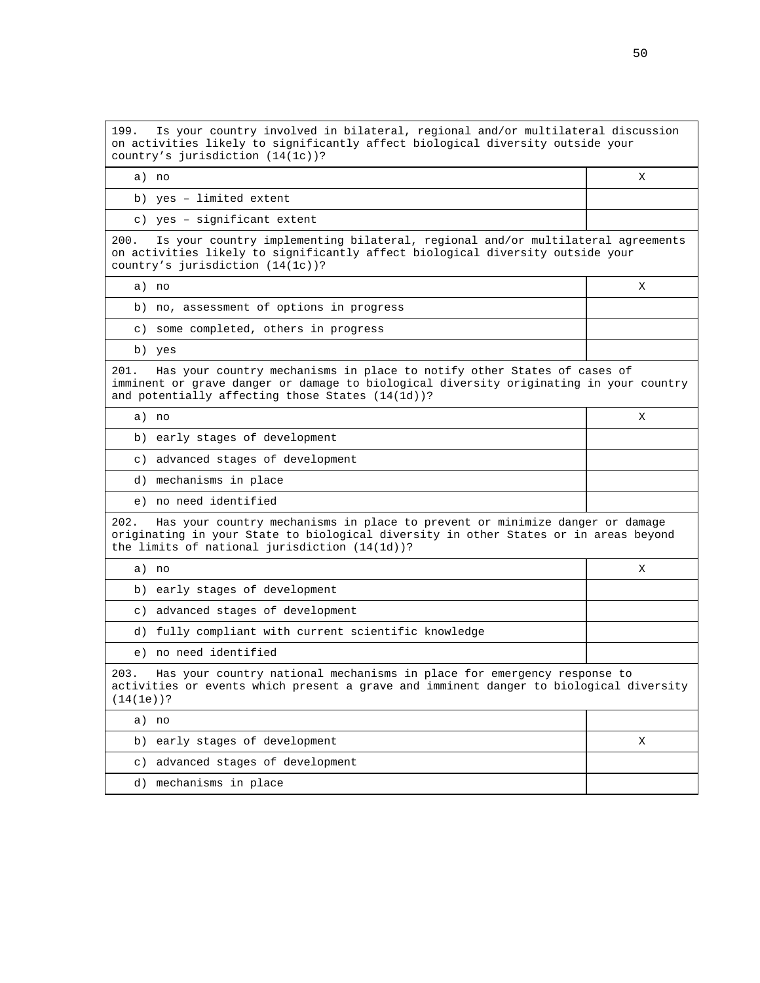199. Is your country involved in bilateral, regional and/or multilateral discussion on activities likely to significantly affect biological diversity outside your country's jurisdiction (14(1c))?

a) no xwenye na kutoka wa kutoka wa kutoka wa kutoka wa kutoka wa kutoka wa kutoka wa kutoka wa kutoka wa kutoka wa kutoka wa kutoka wa kutoka wa kutoka wa kutoka wa kutoka wa kutoka wa kutoka wa kutoka wa kutoka wa kutoka

b) yes – limited extent

c) yes – significant extent

200. Is your country implementing bilateral, regional and/or multilateral agreements on activities likely to significantly affect biological diversity outside your country's jurisdiction (14(1c))?

a) no X

b) no, assessment of options in progress

c) some completed, others in progress

b) yes

201. Has your country mechanisms in place to notify other States of cases of imminent or grave danger or damage to biological diversity originating in your country and potentially affecting those States (14(1d))?

a) no X

b) early stages of development

c) advanced stages of development

d) mechanisms in place

e) no need identified

202. Has your country mechanisms in place to prevent or minimize danger or damage originating in your State to biological diversity in other States or in areas beyond the limits of national jurisdiction (14(1d))?

| a) no                                                                                                                                                                                            |  |
|--------------------------------------------------------------------------------------------------------------------------------------------------------------------------------------------------|--|
| b) early stages of development                                                                                                                                                                   |  |
| c) advanced stages of development                                                                                                                                                                |  |
| d) fully compliant with current scientific knowledge                                                                                                                                             |  |
| e) no need identified                                                                                                                                                                            |  |
| Has your country national mechanisms in place for emergency response to<br>203.<br>restrictions are a stated and the contract of the contract of the contract of the contract of the contract of |  |

activities or events which present a grave and imminent danger to biological diversity (14(1e))?

a) no

| b) early stages of development    |  |
|-----------------------------------|--|
| c) advanced stages of development |  |
| d) mechanisms in place            |  |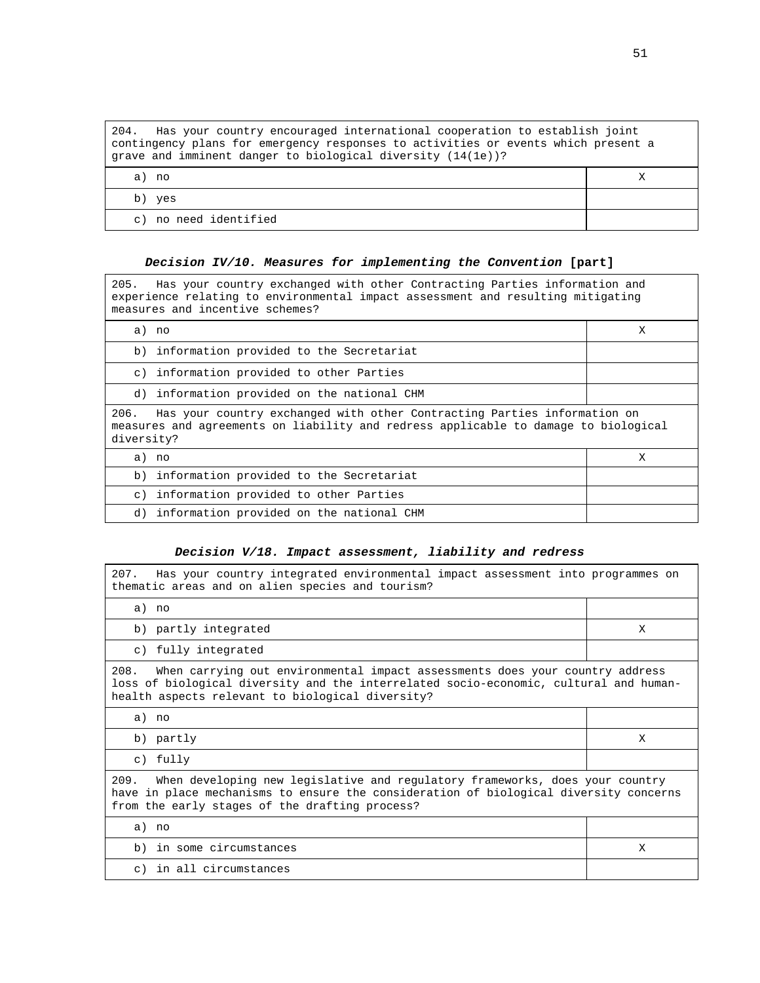| Has your country encouraged international cooperation to establish joint<br>204.<br>contingency plans for emergency responses to activities or events which present a<br>grave and imminent danger to biological diversity $(14(1e))^2$ |  |  |  |
|-----------------------------------------------------------------------------------------------------------------------------------------------------------------------------------------------------------------------------------------|--|--|--|
| a) no                                                                                                                                                                                                                                   |  |  |  |
| b) yes                                                                                                                                                                                                                                  |  |  |  |
| no need identified<br>$\circ$ )                                                                                                                                                                                                         |  |  |  |

## **Decision IV/10. Measures for implementing the Convention [part]**

205. Has your country exchanged with other Contracting Parties information and experience relating to environmental impact assessment and resulting mitigating measures and incentive schemes?

|                                                                                                                                                                                       | a) no                                       | X |  |
|---------------------------------------------------------------------------------------------------------------------------------------------------------------------------------------|---------------------------------------------|---|--|
|                                                                                                                                                                                       | b) information provided to the Secretariat  |   |  |
|                                                                                                                                                                                       | c) information provided to other Parties    |   |  |
| d)                                                                                                                                                                                    | information provided on the national CHM    |   |  |
| Has your country exchanged with other Contracting Parties information on<br>206.<br>measures and agreements on liability and redress applicable to damage to biological<br>diversity? |                                             |   |  |
|                                                                                                                                                                                       | a) no                                       | X |  |
|                                                                                                                                                                                       | b) information provided to the Secretariat  |   |  |
|                                                                                                                                                                                       | c) information provided to other Parties    |   |  |
|                                                                                                                                                                                       | d) information provided on the national CHM |   |  |

## **Decision V/18. Impact assessment, liability and redress**

| 207. Has your country integrated environmental impact assessment into programmes on<br>thematic areas and on alien species and tourism?                                                                                           |   |  |
|-----------------------------------------------------------------------------------------------------------------------------------------------------------------------------------------------------------------------------------|---|--|
| a) no                                                                                                                                                                                                                             |   |  |
| b) partly integrated                                                                                                                                                                                                              | X |  |
| c) fully integrated                                                                                                                                                                                                               |   |  |
| 208.<br>When carrying out environmental impact assessments does your country address<br>loss of biological diversity and the interrelated socio-economic, cultural and human-<br>health aspects relevant to biological diversity? |   |  |
| a) no                                                                                                                                                                                                                             |   |  |
| b) partly                                                                                                                                                                                                                         | X |  |
| c) fully                                                                                                                                                                                                                          |   |  |
| 209. When developing new legislative and regulatory frameworks, does your country<br>have in place mechanisms to ensure the consideration of biological diversity concerns<br>from the early stages of the drafting process?      |   |  |
| a) no                                                                                                                                                                                                                             |   |  |
| b) in some circumstances                                                                                                                                                                                                          | X |  |
| c) in all circumstances                                                                                                                                                                                                           |   |  |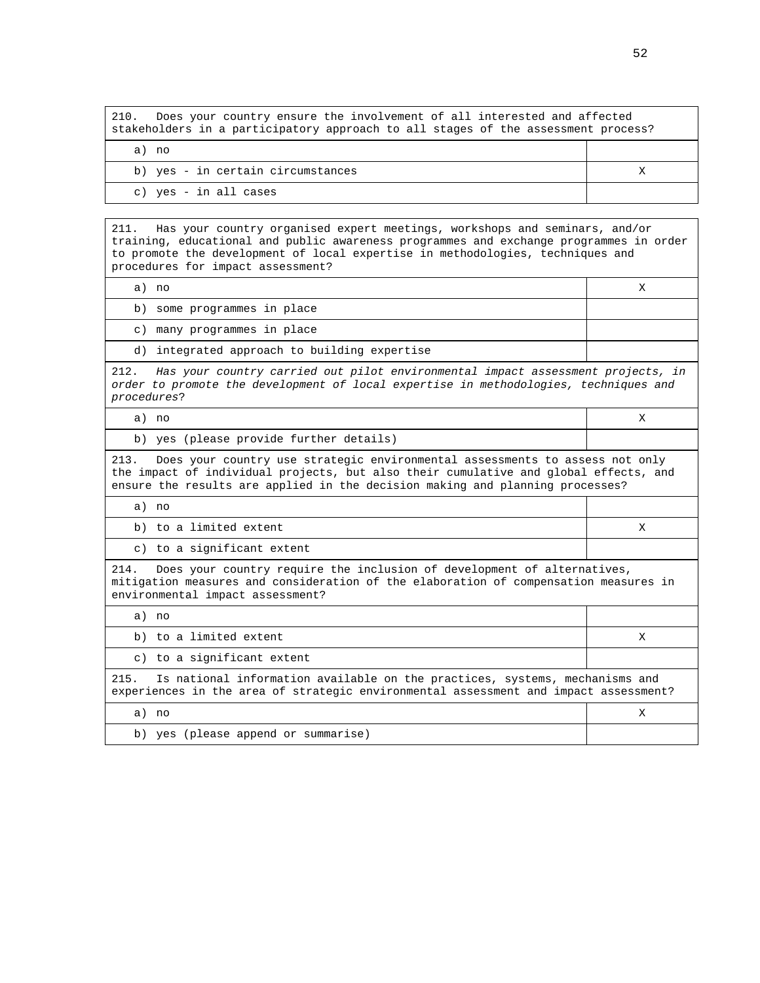210. Does your country ensure the involvement of all interested and affected stakeholders in a participatory approach to all stages of the assessment process?

| a) no                             |  |
|-----------------------------------|--|
| b) yes - in certain circumstances |  |
| c) yes - in all cases             |  |

211. Has your country organised expert meetings, workshops and seminars, and/or training, educational and public awareness programmes and exchange programmes in order to promote the development of local expertise in methodologies, techniques and procedures for impact assessment?

a) no X

b) some programmes in place

c) many programmes in place

d) integrated approach to building expertise

212. Has your country carried out pilot environmental impact assessment projects, in order to promote the development of local expertise in methodologies, techniques and procedures?

| a) no | $\overline{\mathbf{v}}$<br>A |
|-------|------------------------------|
|       |                              |

b) yes (please provide further details)

213. Does your country use strategic environmental assessments to assess not only the impact of individual projects, but also their cumulative and global effects, and ensure the results are applied in the decision making and planning processes?

a) no

| b) to a limited extent                                                  |  |
|-------------------------------------------------------------------------|--|
| c) to a significant extent                                              |  |
| Does your country require the inclusion of development of alternatives. |  |

of development of alternatives, mitigation measures and consideration of the elaboration of compensation measures in environmental impact assessment?

a) no

b) to a limited extent X

c) to a significant extent

215. Is national information available on the practices, systems, mechanisms and experiences in the area of strategic environmental assessment and impact assessment? a) no X b) yes (please append or summarise)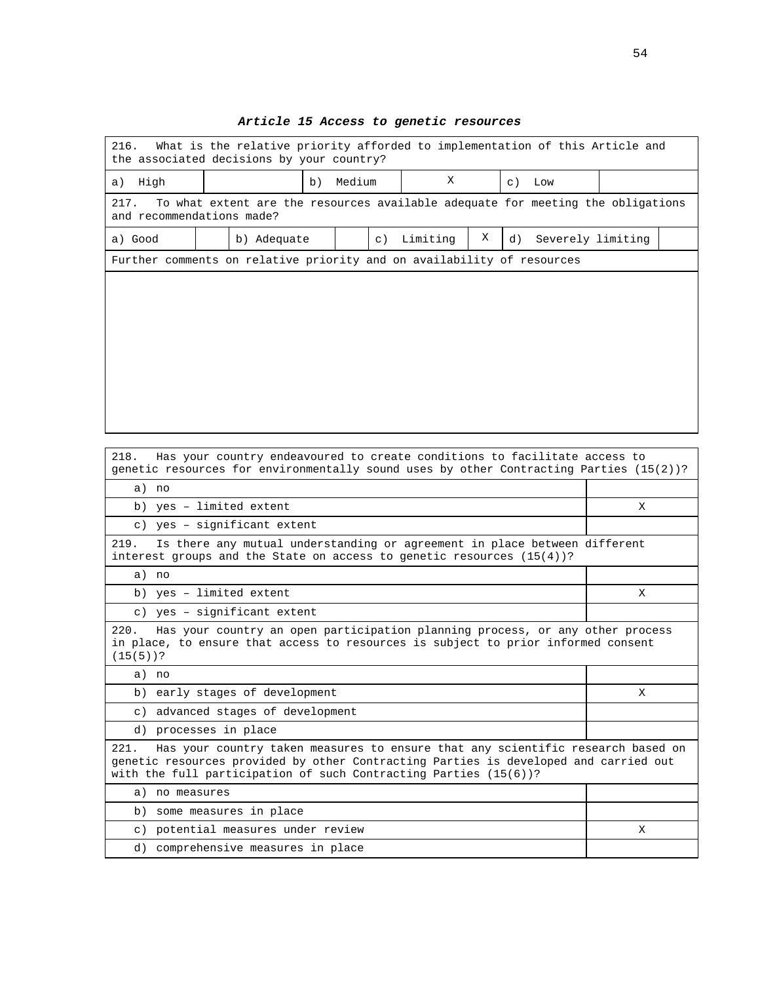| the associated decisions by your country?<br>X<br>Medium<br>High<br>b)<br>$\circ$ )<br>Low<br>a)                     |  |             |  |  |         |          |   |    |                   |  |
|----------------------------------------------------------------------------------------------------------------------|--|-------------|--|--|---------|----------|---|----|-------------------|--|
| To what extent are the resources available adequate for meeting the obligations<br>217.<br>and recommendations made? |  |             |  |  |         |          |   |    |                   |  |
| a) Good                                                                                                              |  | b) Adequate |  |  | $\in$ ) | Limiting | Χ | d) | Severely limiting |  |
| Further comments on relative priority and on availability of resources                                               |  |             |  |  |         |          |   |    |                   |  |
|                                                                                                                      |  |             |  |  |         |          |   |    |                   |  |
|                                                                                                                      |  |             |  |  |         |          |   |    |                   |  |
|                                                                                                                      |  |             |  |  |         |          |   |    |                   |  |
|                                                                                                                      |  |             |  |  |         |          |   |    |                   |  |
|                                                                                                                      |  |             |  |  |         |          |   |    |                   |  |
|                                                                                                                      |  |             |  |  |         |          |   |    |                   |  |
|                                                                                                                      |  |             |  |  |         |          |   |    |                   |  |
|                                                                                                                      |  |             |  |  |         |          |   |    |                   |  |

# **Article 15 Access to genetic resources**

| 410.<br>has your country endeavoured to create conditions to racificate access to<br>genetic resources for environmentally sound uses by other Contracting Parties $(15(2))$ ?                                                                      |   |
|-----------------------------------------------------------------------------------------------------------------------------------------------------------------------------------------------------------------------------------------------------|---|
| a) no                                                                                                                                                                                                                                               |   |
| b) yes - limited extent                                                                                                                                                                                                                             | X |
| c) yes - significant extent                                                                                                                                                                                                                         |   |
| 219.<br>Is there any mutual understanding or agreement in place between different<br>interest groups and the State on access to genetic resources $(15(4))$ ?                                                                                       |   |
| a) no                                                                                                                                                                                                                                               |   |
| b) yes - limited extent                                                                                                                                                                                                                             | X |
| c) yes - significant extent                                                                                                                                                                                                                         |   |
| Has your country an open participation planning process, or any other process<br>220.<br>in place, to ensure that access to resources is subject to prior informed consent<br>$(15(5))$ ?                                                           |   |
| a) no                                                                                                                                                                                                                                               |   |
| b) early stages of development                                                                                                                                                                                                                      | X |
| c) advanced stages of development                                                                                                                                                                                                                   |   |
| d) processes in place                                                                                                                                                                                                                               |   |
| Has your country taken measures to ensure that any scientific research based on<br>221.<br>genetic resources provided by other Contracting Parties is developed and carried out<br>with the full participation of such Contracting Parties (15(6))? |   |
| a) no measures                                                                                                                                                                                                                                      |   |
| b) some measures in place                                                                                                                                                                                                                           |   |
| c) potential measures under review                                                                                                                                                                                                                  | X |
| comprehensive measures in place<br>d)                                                                                                                                                                                                               |   |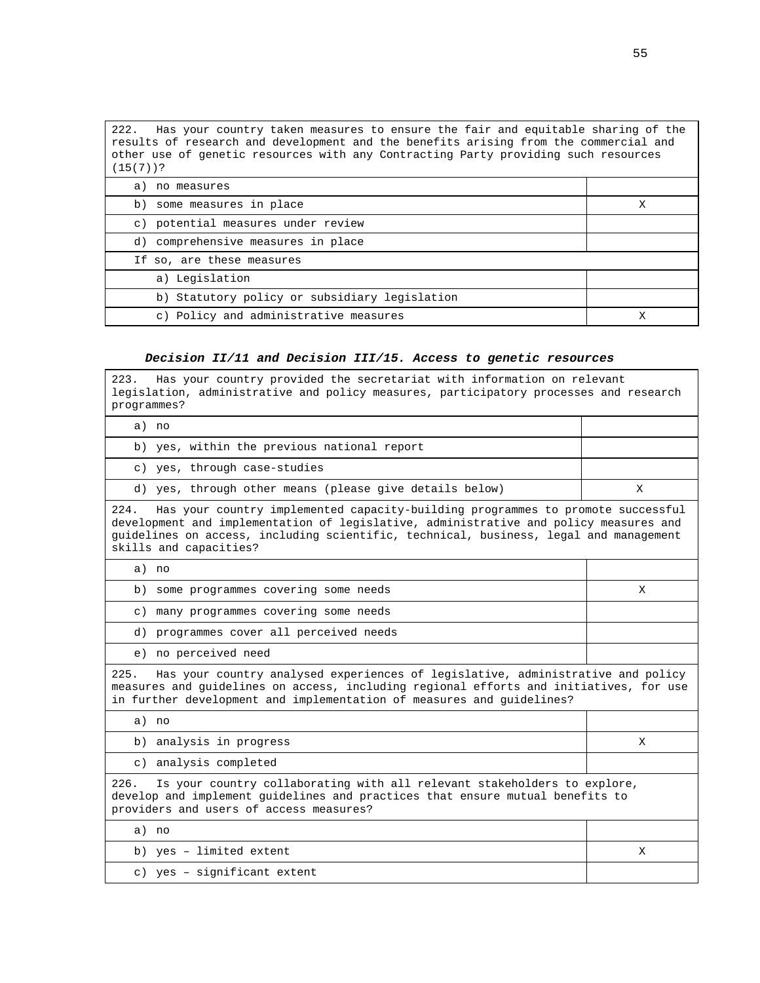222. Has your country taken measures to ensure the fair and equitable sharing of the results of research and development and the benefits arising from the commercial and other use of genetic resources with any Contracting Party providing such resources (15(7))?

| a) no measures                                |  |
|-----------------------------------------------|--|
| b) some measures in place                     |  |
| c) potential measures under review            |  |
| d) comprehensive measures in place            |  |
| If so, are these measures                     |  |
| a) Legislation                                |  |
| b) Statutory policy or subsidiary legislation |  |
| c) Policy and administrative measures         |  |

## **Decision II/11 and Decision III/15. Access to genetic resources**

| Has your country provided the secretariat with information on relevant<br>223.<br>legislation, administrative and policy measures, participatory processes and research<br>programmes?                                                                                                              |   |  |  |  |  |
|-----------------------------------------------------------------------------------------------------------------------------------------------------------------------------------------------------------------------------------------------------------------------------------------------------|---|--|--|--|--|
| a) no                                                                                                                                                                                                                                                                                               |   |  |  |  |  |
| b) yes, within the previous national report                                                                                                                                                                                                                                                         |   |  |  |  |  |
| c) yes, through case-studies                                                                                                                                                                                                                                                                        |   |  |  |  |  |
| d) yes, through other means (please give details below)                                                                                                                                                                                                                                             | X |  |  |  |  |
| 224.<br>Has your country implemented capacity-building programmes to promote successful<br>development and implementation of legislative, administrative and policy measures and<br>guidelines on access, including scientific, technical, business, legal and management<br>skills and capacities? |   |  |  |  |  |
| a) no                                                                                                                                                                                                                                                                                               |   |  |  |  |  |
| b) some programmes covering some needs                                                                                                                                                                                                                                                              | Χ |  |  |  |  |
| many programmes covering some needs<br>$\subset$ )                                                                                                                                                                                                                                                  |   |  |  |  |  |
| d) programmes cover all perceived needs                                                                                                                                                                                                                                                             |   |  |  |  |  |
| e) no perceived need                                                                                                                                                                                                                                                                                |   |  |  |  |  |
| 225.<br>Has your country analysed experiences of legislative, administrative and policy<br>measures and guidelines on access, including regional efforts and initiatives, for use<br>in further development and implementation of measures and guidelines?                                          |   |  |  |  |  |
| a) no                                                                                                                                                                                                                                                                                               |   |  |  |  |  |
| b) analysis in progress                                                                                                                                                                                                                                                                             | Χ |  |  |  |  |
| c) analysis completed                                                                                                                                                                                                                                                                               |   |  |  |  |  |
| Is your country collaborating with all relevant stakeholders to explore,<br>226.<br>develop and implement guidelines and practices that ensure mutual benefits to<br>providers and users of access measures?                                                                                        |   |  |  |  |  |
| a) no                                                                                                                                                                                                                                                                                               |   |  |  |  |  |
| b) yes - limited extent                                                                                                                                                                                                                                                                             | X |  |  |  |  |
| c) yes - significant extent                                                                                                                                                                                                                                                                         |   |  |  |  |  |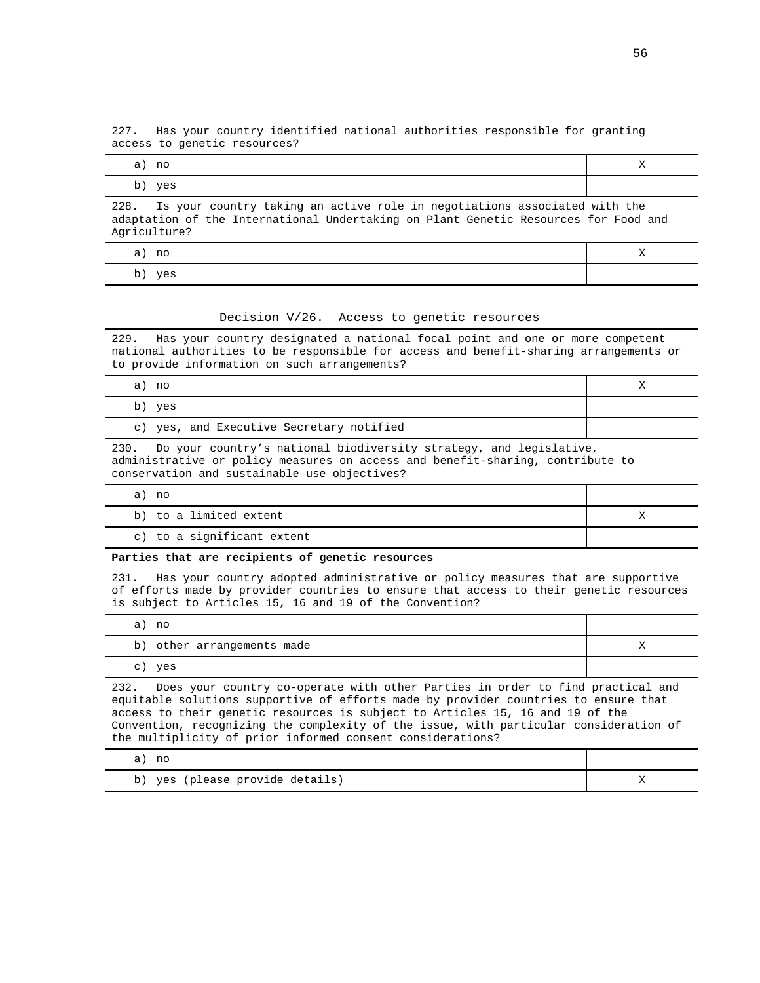| 227.<br>Has your country identified national authorities responsible for granting<br>access to genetic resources?                                                                     |   |  |  |  |  |
|---------------------------------------------------------------------------------------------------------------------------------------------------------------------------------------|---|--|--|--|--|
| a) no                                                                                                                                                                                 | Χ |  |  |  |  |
| b) yes                                                                                                                                                                                |   |  |  |  |  |
| 228. Is your country taking an active role in negotiations associated with the<br>adaptation of the International Undertaking on Plant Genetic Resources for Food and<br>Agriculture? |   |  |  |  |  |
| a) no                                                                                                                                                                                 | X |  |  |  |  |
| b)<br>yes                                                                                                                                                                             |   |  |  |  |  |

#### Decision V/26. Access to genetic resources

229. Has your country designated a national focal point and one or more competent national authorities to be responsible for access and benefit-sharing arrangements or to provide information on such arrangements?

a) no X

b) yes

c) yes, and Executive Secretary notified

230. Do your country's national biodiversity strategy, and legislative, administrative or policy measures on access and benefit-sharing, contribute to conservation and sustainable use objectives?

| b) to a limited extent | a) no                      |  |
|------------------------|----------------------------|--|
|                        |                            |  |
|                        | c) to a significant extent |  |

## **Parties that are recipients of genetic resources**

231. Has your country adopted administrative or policy measures that are supportive of efforts made by provider countries to ensure that access to their genetic resources is subject to Articles 15, 16 and 19 of the Convention?

a) no b) other arrangements made X c) yes 232. Does your country co-operate with other Parties in order to find practical and equitable solutions supportive of efforts made by provider countries to ensure that access to their genetic resources is subject to Articles 15, 16 and 19 of the Convention, recognizing the complexity of the issue, with particular consideration of the multiplicity of prior informed consent considerations? a) no b) yes (please provide details)  $\begin{array}{ccc} \n & \n\end{array}$  X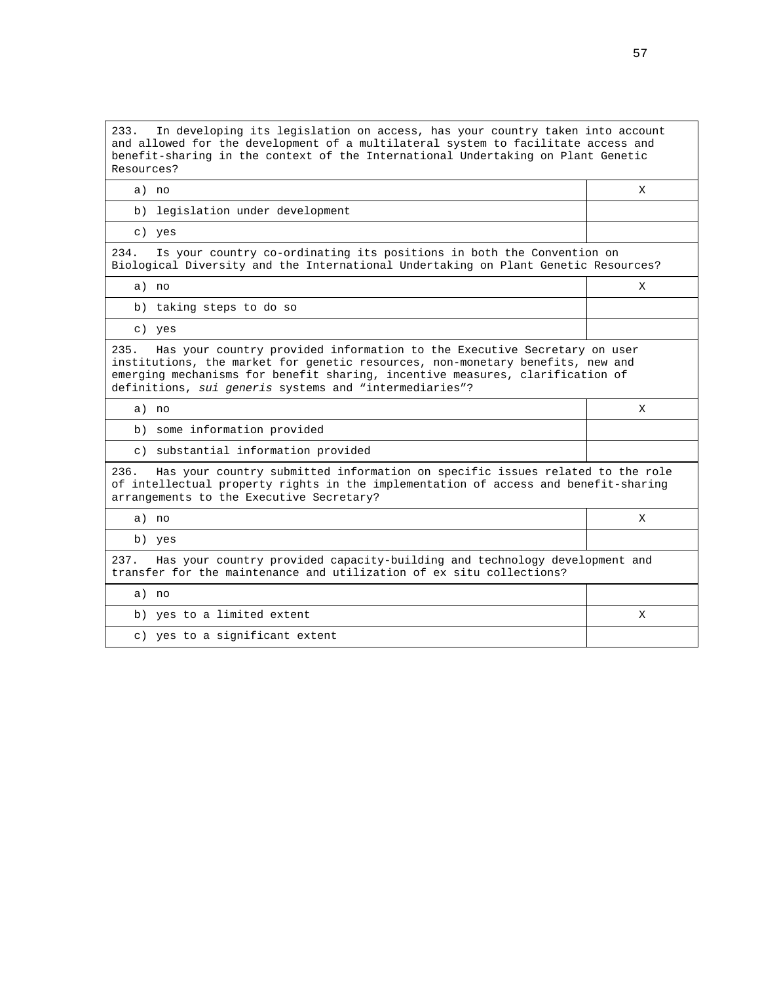233. In developing its legislation on access, has your country taken into account and allowed for the development of a multilateral system to facilitate access and benefit-sharing in the context of the International Undertaking on Plant Genetic Resources?

a) no X

b) legislation under development

c) yes

234. Is your country co-ordinating its positions in both the Convention on Biological Diversity and the International Undertaking on Plant Genetic Resources?

a) no X

b) taking steps to do so

c) yes

235. Has your country provided information to the Executive Secretary on user institutions, the market for genetic resources, non-monetary benefits, new and emerging mechanisms for benefit sharing, incentive measures, clarification of definitions, sui generis systems and "intermediaries"?

a) no X

b) some information provided

c) substantial information provided

236. Has your country submitted information on specific issues related to the role of intellectual property rights in the implementation of access and benefit-sharing arrangements to the Executive Secretary?

a) no X

b) yes

237. Has your country provided capacity-building and technology development and transfer for the maintenance and utilization of ex situ collections?

a) no

b) yes to a limited extent  $X$ 

c) yes to a significant extent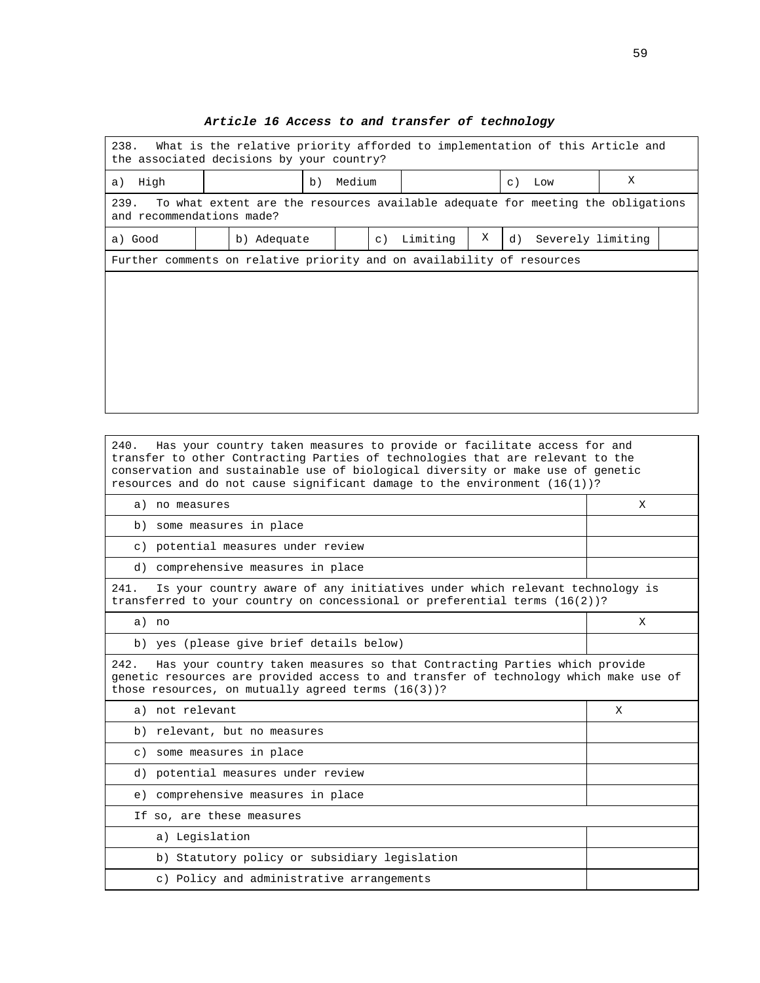| What is the relative priority afforded to implementation of this Article and<br>238.<br>the associated decisions by your country? |  |             |    |        |           |          |   |    |                   |   |  |
|-----------------------------------------------------------------------------------------------------------------------------------|--|-------------|----|--------|-----------|----------|---|----|-------------------|---|--|
| High<br>a)                                                                                                                        |  |             | b) | Medium |           |          |   |    | $c)$ Low          | X |  |
| 239.<br>To what extent are the resources available adequate for meeting the obligations<br>and recommendations made?              |  |             |    |        |           |          |   |    |                   |   |  |
| a) Good                                                                                                                           |  | b) Adequate |    |        | $\circ$ ) | Limiting | Χ | d) | Severely limiting |   |  |
| Further comments on relative priority and on availability of resources                                                            |  |             |    |        |           |          |   |    |                   |   |  |
|                                                                                                                                   |  |             |    |        |           |          |   |    |                   |   |  |
|                                                                                                                                   |  |             |    |        |           |          |   |    |                   |   |  |
|                                                                                                                                   |  |             |    |        |           |          |   |    |                   |   |  |
|                                                                                                                                   |  |             |    |        |           |          |   |    |                   |   |  |
|                                                                                                                                   |  |             |    |        |           |          |   |    |                   |   |  |
|                                                                                                                                   |  |             |    |        |           |          |   |    |                   |   |  |
|                                                                                                                                   |  |             |    |        |           |          |   |    |                   |   |  |

# **Article 16 Access to and transfer of technology**

| 240.<br>Has your country taken measures to provide or facilitate access for and<br>transfer to other Contracting Parties of technologies that are relevant to the<br>conservation and sustainable use of biological diversity or make use of genetic<br>resources and do not cause significant damage to the environment $(16(1))$ ? |   |  |  |  |  |
|--------------------------------------------------------------------------------------------------------------------------------------------------------------------------------------------------------------------------------------------------------------------------------------------------------------------------------------|---|--|--|--|--|
| a) no measures                                                                                                                                                                                                                                                                                                                       | X |  |  |  |  |
| b) some measures in place                                                                                                                                                                                                                                                                                                            |   |  |  |  |  |
| c) potential measures under review                                                                                                                                                                                                                                                                                                   |   |  |  |  |  |
| d) comprehensive measures in place                                                                                                                                                                                                                                                                                                   |   |  |  |  |  |
| 241.<br>Is your country aware of any initiatives under which relevant technology is<br>transferred to your country on concessional or preferential terms $(16(2))$ ?                                                                                                                                                                 |   |  |  |  |  |
| a) no                                                                                                                                                                                                                                                                                                                                | X |  |  |  |  |
| b) yes (please give brief details below)                                                                                                                                                                                                                                                                                             |   |  |  |  |  |
| 242.<br>Has your country taken measures so that Contracting Parties which provide<br>genetic resources are provided access to and transfer of technology which make use of<br>those resources, on mutually agreed terms (16(3))?                                                                                                     |   |  |  |  |  |
| a) not relevant                                                                                                                                                                                                                                                                                                                      | X |  |  |  |  |
| b) relevant, but no measures                                                                                                                                                                                                                                                                                                         |   |  |  |  |  |
| c) some measures in place                                                                                                                                                                                                                                                                                                            |   |  |  |  |  |
| d) potential measures under review                                                                                                                                                                                                                                                                                                   |   |  |  |  |  |
| e) comprehensive measures in place                                                                                                                                                                                                                                                                                                   |   |  |  |  |  |
| If so, are these measures                                                                                                                                                                                                                                                                                                            |   |  |  |  |  |
| a) Legislation                                                                                                                                                                                                                                                                                                                       |   |  |  |  |  |
| b) Statutory policy or subsidiary legislation                                                                                                                                                                                                                                                                                        |   |  |  |  |  |
| c) Policy and administrative arrangements                                                                                                                                                                                                                                                                                            |   |  |  |  |  |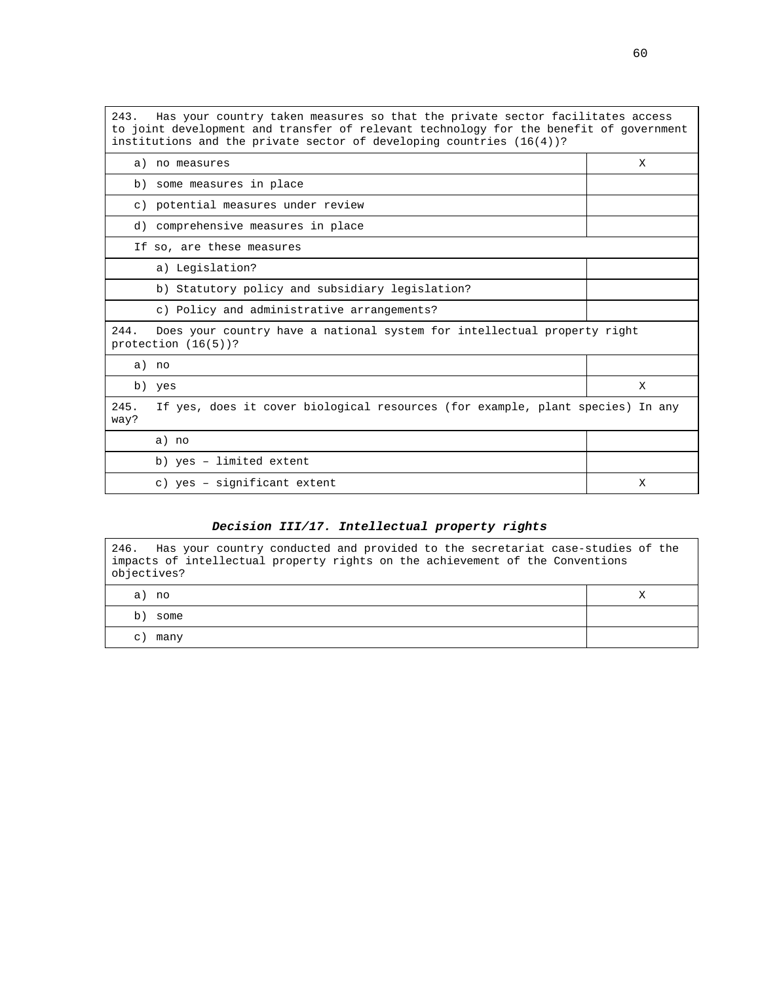243. Has your country taken measures so that the private sector facilitates access to joint development and transfer of relevant technology for the benefit of government institutions and the private sector of developing countries (16(4))?

|              | a) no measures                                                                                     | X |
|--------------|----------------------------------------------------------------------------------------------------|---|
|              | b) some measures in place                                                                          |   |
|              | c) potential measures under review                                                                 |   |
|              | d) comprehensive measures in place                                                                 |   |
|              | If so, are these measures                                                                          |   |
|              | a) Legislation?                                                                                    |   |
|              | b) Statutory policy and subsidiary legislation?                                                    |   |
|              | c) Policy and administrative arrangements?                                                         |   |
| 244.         | Does your country have a national system for intellectual property right<br>protection $(16(5))$ ? |   |
| a) no        |                                                                                                    |   |
|              | b) yes                                                                                             | X |
| 245.<br>way? | If yes, does it cover biological resources (for example, plant species) In any                     |   |
|              | a) no                                                                                              |   |
|              | b) yes - limited extent                                                                            |   |
|              | c) yes - significant extent                                                                        | X |

## **Decision III/17. Intellectual property rights**

| Has your country conducted and provided to the secretariat case-studies of the<br>246.<br>impacts of intellectual property rights on the achievement of the Conventions<br>objectives? |  |
|----------------------------------------------------------------------------------------------------------------------------------------------------------------------------------------|--|
| a) no                                                                                                                                                                                  |  |
| b)<br>some                                                                                                                                                                             |  |
| many<br>$\mathbf{C}$                                                                                                                                                                   |  |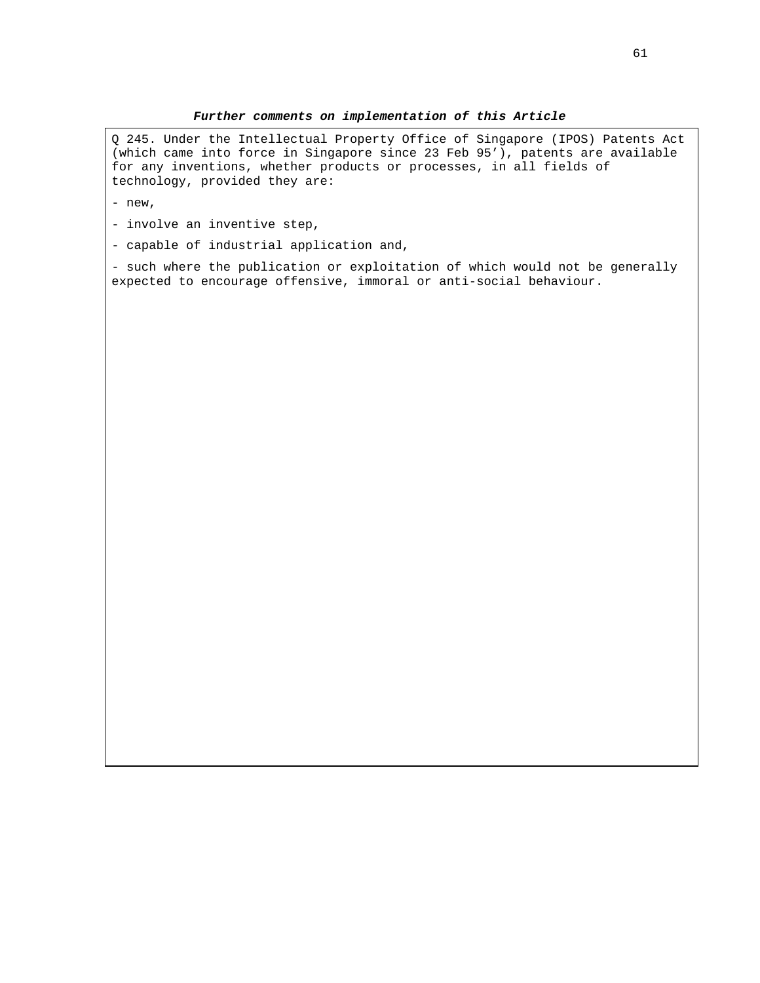Q 245. Under the Intellectual Property Office of Singapore (IPOS) Patents Act (which came into force in Singapore since 23 Feb 95'), patents are available for any inventions, whether products or processes, in all fields of technology, provided they are:

- new,
- involve an inventive step,
- capable of industrial application and,

- such where the publication or exploitation of which would not be generally expected to encourage offensive, immoral or anti-social behaviour.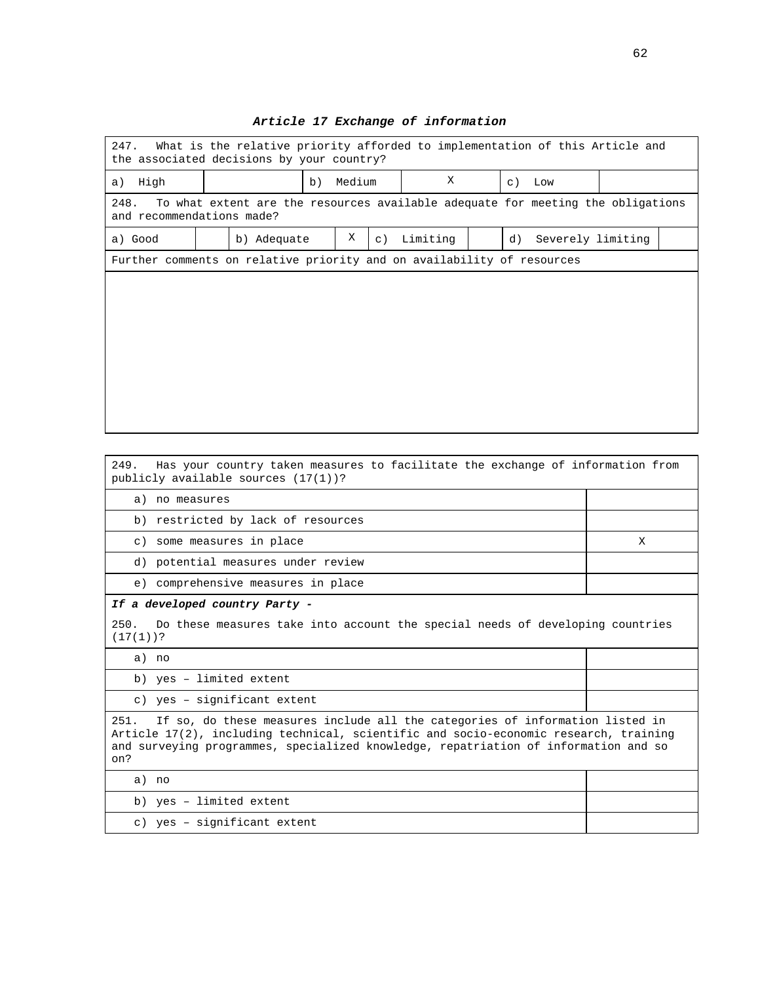| 247.<br>What is the relative priority afforded to implementation of this Article and<br>the associated decisions by your country? |  |             |    |        |         |          |  |    |                   |  |  |
|-----------------------------------------------------------------------------------------------------------------------------------|--|-------------|----|--------|---------|----------|--|----|-------------------|--|--|
| High<br>a)                                                                                                                        |  |             | b) | Medium |         | X        |  |    | $c)$ Low          |  |  |
| To what extent are the resources available adequate for meeting the obligations<br>248.<br>and recommendations made?              |  |             |    |        |         |          |  |    |                   |  |  |
| a) Good                                                                                                                           |  | b) Adequate |    | Χ      | $\in$ ) | Limiting |  | d) | Severely limiting |  |  |
| Further comments on relative priority and on availability of resources                                                            |  |             |    |        |         |          |  |    |                   |  |  |
|                                                                                                                                   |  |             |    |        |         |          |  |    |                   |  |  |
|                                                                                                                                   |  |             |    |        |         |          |  |    |                   |  |  |
|                                                                                                                                   |  |             |    |        |         |          |  |    |                   |  |  |
|                                                                                                                                   |  |             |    |        |         |          |  |    |                   |  |  |
|                                                                                                                                   |  |             |    |        |         |          |  |    |                   |  |  |
|                                                                                                                                   |  |             |    |        |         |          |  |    |                   |  |  |
|                                                                                                                                   |  |             |    |        |         |          |  |    |                   |  |  |
|                                                                                                                                   |  |             |    |        |         |          |  |    |                   |  |  |

# **Article 17 Exchange of information**

| 249.<br>Has your country taken measures to facilitate the exchange of information from<br>publicly available sources (17(1))?                                                                                                                                              |   |  |  |  |  |  |  |
|----------------------------------------------------------------------------------------------------------------------------------------------------------------------------------------------------------------------------------------------------------------------------|---|--|--|--|--|--|--|
| a) no measures                                                                                                                                                                                                                                                             |   |  |  |  |  |  |  |
| b) restricted by lack of resources                                                                                                                                                                                                                                         |   |  |  |  |  |  |  |
| c) some measures in place                                                                                                                                                                                                                                                  | X |  |  |  |  |  |  |
| d) potential measures under review                                                                                                                                                                                                                                         |   |  |  |  |  |  |  |
| e) comprehensive measures in place                                                                                                                                                                                                                                         |   |  |  |  |  |  |  |
| If a developed country Party -                                                                                                                                                                                                                                             |   |  |  |  |  |  |  |
| 250.<br>Do these measures take into account the special needs of developing countries<br>$(17(1))$ ?                                                                                                                                                                       |   |  |  |  |  |  |  |
| a) no                                                                                                                                                                                                                                                                      |   |  |  |  |  |  |  |
| b) yes - limited extent                                                                                                                                                                                                                                                    |   |  |  |  |  |  |  |
| c) yes - significant extent                                                                                                                                                                                                                                                |   |  |  |  |  |  |  |
| If so, do these measures include all the categories of information listed in<br>251.<br>Article 17(2), including technical, scientific and socio-economic research, training<br>and surveying programmes, specialized knowledge, repatriation of information and so<br>on? |   |  |  |  |  |  |  |
| a) no                                                                                                                                                                                                                                                                      |   |  |  |  |  |  |  |
| b) yes - limited extent                                                                                                                                                                                                                                                    |   |  |  |  |  |  |  |
| c) yes - significant extent                                                                                                                                                                                                                                                |   |  |  |  |  |  |  |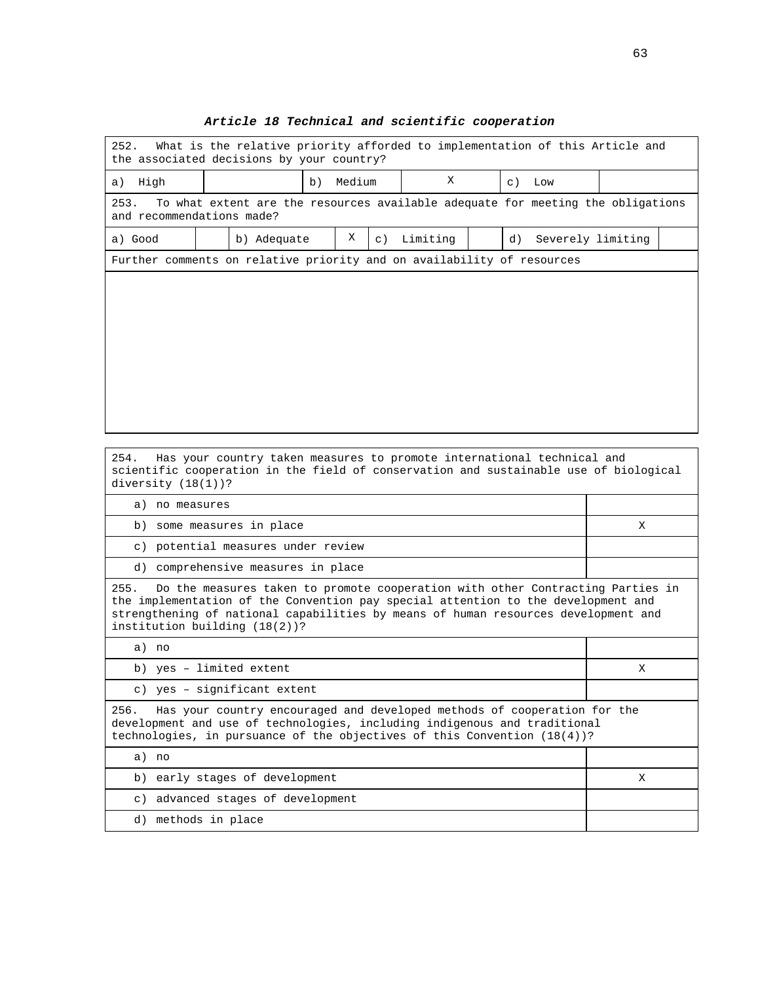| 252.<br>What is the relative priority afforded to implementation of this Article and<br>the associated decisions by your country? |  |             |    |        |           |          |  |             |                   |  |
|-----------------------------------------------------------------------------------------------------------------------------------|--|-------------|----|--------|-----------|----------|--|-------------|-------------------|--|
| High<br>a)                                                                                                                        |  |             | b) | Medium |           | X        |  | $\subset$ ) | Low               |  |
| 253.<br>To what extent are the resources available adequate for meeting the obligations<br>and recommendations made?              |  |             |    |        |           |          |  |             |                   |  |
| a) Good                                                                                                                           |  | b) Adequate |    | Χ      | $\circ$ ) | Limiting |  | d)          | Severely limiting |  |
| Further comments on relative priority and on availability of resources                                                            |  |             |    |        |           |          |  |             |                   |  |
|                                                                                                                                   |  |             |    |        |           |          |  |             |                   |  |
|                                                                                                                                   |  |             |    |        |           |          |  |             |                   |  |
|                                                                                                                                   |  |             |    |        |           |          |  |             |                   |  |
|                                                                                                                                   |  |             |    |        |           |          |  |             |                   |  |
|                                                                                                                                   |  |             |    |        |           |          |  |             |                   |  |
|                                                                                                                                   |  |             |    |        |           |          |  |             |                   |  |
|                                                                                                                                   |  |             |    |        |           |          |  |             |                   |  |
|                                                                                                                                   |  |             |    |        |           |          |  |             |                   |  |

## **Article 18 Technical and scientific cooperation**

254. Has your country taken measures to promote international technical and scientific cooperation in the field of conservation and sustainable use of biological diversity (18(1))?

| no measures<br>a)                  |  |
|------------------------------------|--|
| b) some measures in place          |  |
| c) potential measures under review |  |
| d) comprehensive measures in place |  |

255. Do the measures taken to promote cooperation with other Contracting Parties in the implementation of the Convention pay special attention to the development and strengthening of national capabilities by means of human resources development and institution building (18(2))?

a) no b) yes – limited extent X c) yes – significant extent 256. Has your country encouraged and developed methods of cooperation for the development and use of technologies, including indigenous and traditional technologies, in pursuance of the objectives of this Convention (18(4))? a) no b) early stages of development X c) advanced stages of development d) methods in place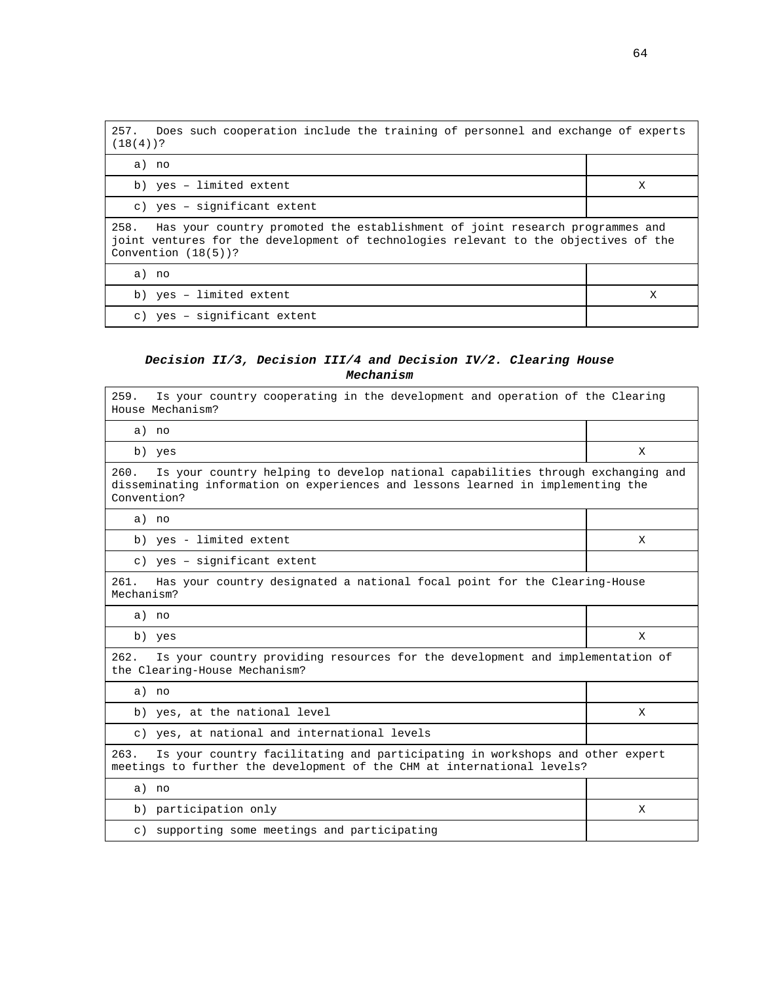| 257. Does such cooperation include the training of personnel and exchange of experts<br>$(18(4))$ ?                                                                                                    |   |  |  |  |  |  |  |
|--------------------------------------------------------------------------------------------------------------------------------------------------------------------------------------------------------|---|--|--|--|--|--|--|
| a) no                                                                                                                                                                                                  |   |  |  |  |  |  |  |
| b) yes - limited extent                                                                                                                                                                                | X |  |  |  |  |  |  |
| c) yes - significant extent                                                                                                                                                                            |   |  |  |  |  |  |  |
| 258.<br>Has your country promoted the establishment of joint research programmes and<br>joint ventures for the development of technologies relevant to the objectives of the<br>Convention $(18(5))$ ? |   |  |  |  |  |  |  |
| a) no                                                                                                                                                                                                  |   |  |  |  |  |  |  |
| b) yes - limited extent                                                                                                                                                                                | X |  |  |  |  |  |  |
| c) yes - significant extent                                                                                                                                                                            |   |  |  |  |  |  |  |

# **Decision II/3, Decision III/4 and Decision IV/2. Clearing House Mechanism**

| 259.<br>Is your country cooperating in the development and operation of the Clearing<br>House Mechanism?                                                                                   |   |  |  |  |  |  |  |  |
|--------------------------------------------------------------------------------------------------------------------------------------------------------------------------------------------|---|--|--|--|--|--|--|--|
| a) no                                                                                                                                                                                      |   |  |  |  |  |  |  |  |
| b) yes                                                                                                                                                                                     | X |  |  |  |  |  |  |  |
| 260.<br>Is your country helping to develop national capabilities through exchanging and<br>disseminating information on experiences and lessons learned in implementing the<br>Convention? |   |  |  |  |  |  |  |  |
| a) no                                                                                                                                                                                      |   |  |  |  |  |  |  |  |
| b) yes - limited extent                                                                                                                                                                    | X |  |  |  |  |  |  |  |
| c) yes - significant extent                                                                                                                                                                |   |  |  |  |  |  |  |  |
| 261.<br>Has your country designated a national focal point for the Clearing-House<br>Mechanism?                                                                                            |   |  |  |  |  |  |  |  |
| a) no                                                                                                                                                                                      |   |  |  |  |  |  |  |  |
| b) yes                                                                                                                                                                                     | X |  |  |  |  |  |  |  |
| 262.<br>Is your country providing resources for the development and implementation of<br>the Clearing-House Mechanism?                                                                     |   |  |  |  |  |  |  |  |
| a) no                                                                                                                                                                                      |   |  |  |  |  |  |  |  |
| b) yes, at the national level                                                                                                                                                              | X |  |  |  |  |  |  |  |
| c) yes, at national and international levels                                                                                                                                               |   |  |  |  |  |  |  |  |
| Is your country facilitating and participating in workshops and other expert<br>263.<br>meetings to further the development of the CHM at international levels?                            |   |  |  |  |  |  |  |  |
| a) no                                                                                                                                                                                      |   |  |  |  |  |  |  |  |
| b) participation only                                                                                                                                                                      | X |  |  |  |  |  |  |  |
| supporting some meetings and participating<br>C)                                                                                                                                           |   |  |  |  |  |  |  |  |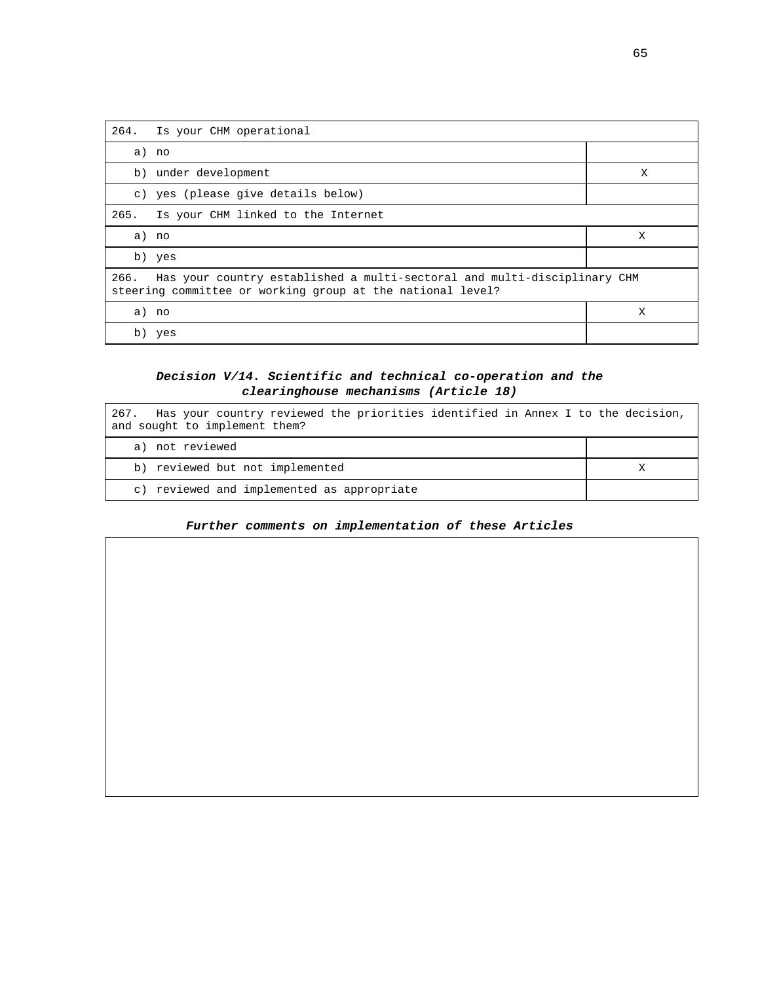| 264. | Is your CHM operational                                                                                                                |   |  |  |  |  |  |  |
|------|----------------------------------------------------------------------------------------------------------------------------------------|---|--|--|--|--|--|--|
|      | a) no                                                                                                                                  |   |  |  |  |  |  |  |
|      | b) under development                                                                                                                   | X |  |  |  |  |  |  |
|      | c) yes (please give details below)                                                                                                     |   |  |  |  |  |  |  |
| 265. | Is your CHM linked to the Internet                                                                                                     |   |  |  |  |  |  |  |
|      | a) no                                                                                                                                  | X |  |  |  |  |  |  |
|      | b) yes                                                                                                                                 |   |  |  |  |  |  |  |
| 266. | Has your country established a multi-sectoral and multi-disciplinary CHM<br>steering committee or working group at the national level? |   |  |  |  |  |  |  |
|      | a) no                                                                                                                                  | X |  |  |  |  |  |  |
| b)   | yes                                                                                                                                    |   |  |  |  |  |  |  |

## **Decision V/14. Scientific and technical co-operation and the clearinghouse mechanisms (Article 18)**

| Has your country reviewed the priorities identified in Annex I to the decision,<br>267.<br>and sought to implement them? |  |
|--------------------------------------------------------------------------------------------------------------------------|--|
| a) not reviewed                                                                                                          |  |
| b) reviewed but not implemented                                                                                          |  |
| c) reviewed and implemented as appropriate                                                                               |  |

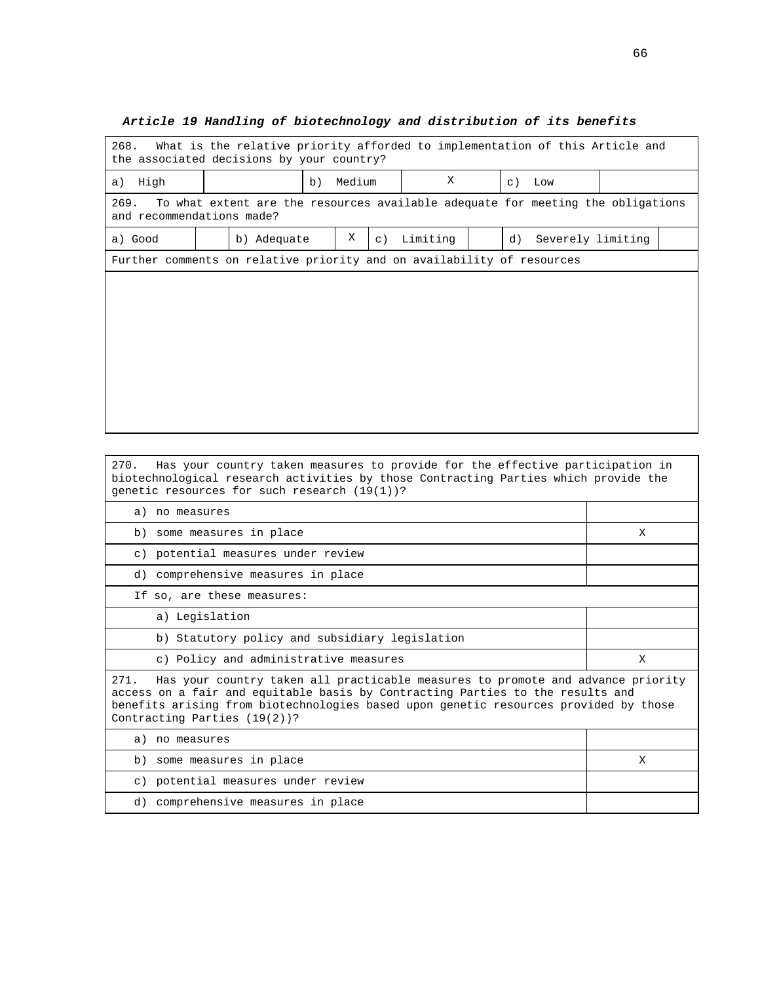# **Article 19 Handling of biotechnology and distribution of its benefits**  268. What is the relative priority afforded to implementation of this Article and

| 268.<br>What is the relative priority afforded to implementation of this Article and<br>the associated decisions by your country? |  |                                     |  |  |  |  |  |  |  |  |
|-----------------------------------------------------------------------------------------------------------------------------------|--|-------------------------------------|--|--|--|--|--|--|--|--|
| a) High                                                                                                                           |  | X<br>Medium<br>b)<br>$\in$ )<br>Low |  |  |  |  |  |  |  |  |
| 269.<br>To what extent are the resources available adequate for meeting the obligations<br>and recommendations made?              |  |                                     |  |  |  |  |  |  |  |  |
| Χ<br>Limiting<br>b) Adequate<br>Severely limiting<br>a) Good<br>d)<br>$\circ$ )                                                   |  |                                     |  |  |  |  |  |  |  |  |
| Further comments on relative priority and on availability of resources                                                            |  |                                     |  |  |  |  |  |  |  |  |
|                                                                                                                                   |  |                                     |  |  |  |  |  |  |  |  |
|                                                                                                                                   |  |                                     |  |  |  |  |  |  |  |  |
|                                                                                                                                   |  |                                     |  |  |  |  |  |  |  |  |
|                                                                                                                                   |  |                                     |  |  |  |  |  |  |  |  |
|                                                                                                                                   |  |                                     |  |  |  |  |  |  |  |  |
|                                                                                                                                   |  |                                     |  |  |  |  |  |  |  |  |
|                                                                                                                                   |  |                                     |  |  |  |  |  |  |  |  |
|                                                                                                                                   |  |                                     |  |  |  |  |  |  |  |  |

270. Has your country taken measures to provide for the effective participation in biotechnological research activities by those Contracting Parties which provide the genetic resources for such research (19(1))?

| a) no measures                                                                                                                                                                                                                                                                                 |   |  |  |  |  |  |  |
|------------------------------------------------------------------------------------------------------------------------------------------------------------------------------------------------------------------------------------------------------------------------------------------------|---|--|--|--|--|--|--|
| b) some measures in place                                                                                                                                                                                                                                                                      | X |  |  |  |  |  |  |
| c) potential measures under review                                                                                                                                                                                                                                                             |   |  |  |  |  |  |  |
| d) comprehensive measures in place                                                                                                                                                                                                                                                             |   |  |  |  |  |  |  |
| If so, are these measures:                                                                                                                                                                                                                                                                     |   |  |  |  |  |  |  |
| a) Legislation                                                                                                                                                                                                                                                                                 |   |  |  |  |  |  |  |
| b) Statutory policy and subsidiary legislation                                                                                                                                                                                                                                                 |   |  |  |  |  |  |  |
| c) Policy and administrative measures                                                                                                                                                                                                                                                          | X |  |  |  |  |  |  |
| 271. Has your country taken all practicable measures to promote and advance priority<br>access on a fair and equitable basis by Contracting Parties to the results and<br>benefits arising from biotechnologies based upon genetic resources provided by those<br>Contracting Parties (19(2))? |   |  |  |  |  |  |  |
| a) no measures                                                                                                                                                                                                                                                                                 |   |  |  |  |  |  |  |
| b) some measures in place                                                                                                                                                                                                                                                                      | X |  |  |  |  |  |  |
| c) potential measures under review                                                                                                                                                                                                                                                             |   |  |  |  |  |  |  |
| d) comprehensive measures in place                                                                                                                                                                                                                                                             |   |  |  |  |  |  |  |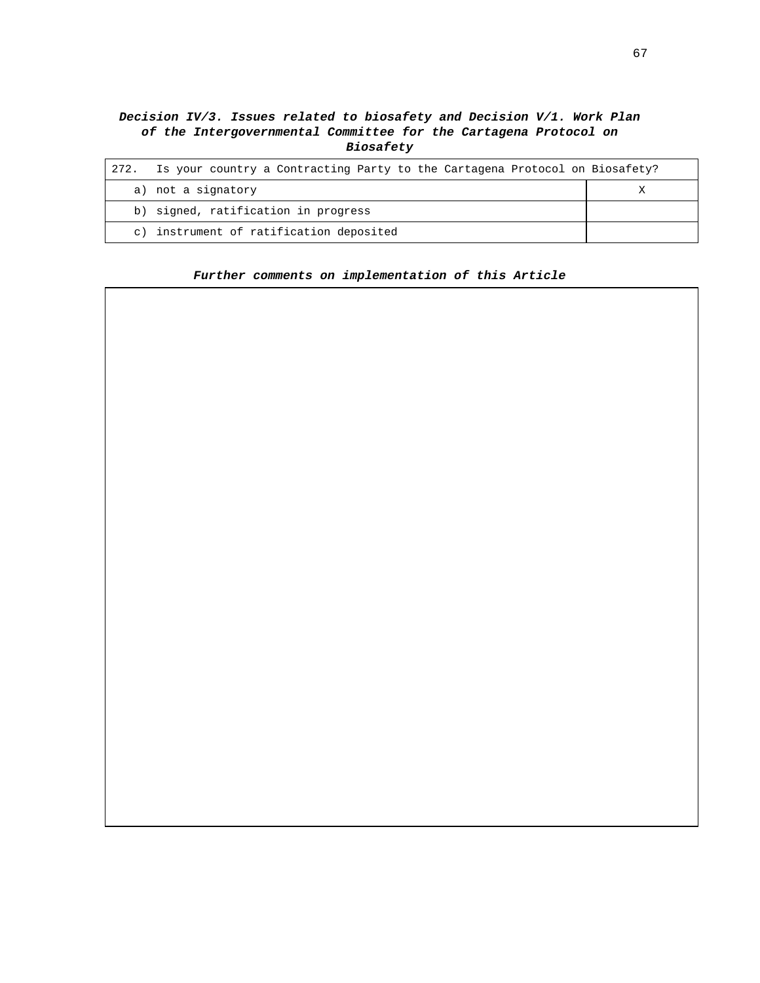# **Decision IV/3. Issues related to biosafety and Decision V/1. Work Plan of the Intergovernmental Committee for the Cartagena Protocol on Biosafety**

| 272.      | Is your country a Contracting Party to the Cartagena Protocol on Biosafety? |  |
|-----------|-----------------------------------------------------------------------------|--|
|           | a) not a signatory                                                          |  |
|           | b) signed, ratification in progress                                         |  |
| $\circ$ ) | instrument of ratification deposited                                        |  |

## **Further comments on implementation of this Article**

67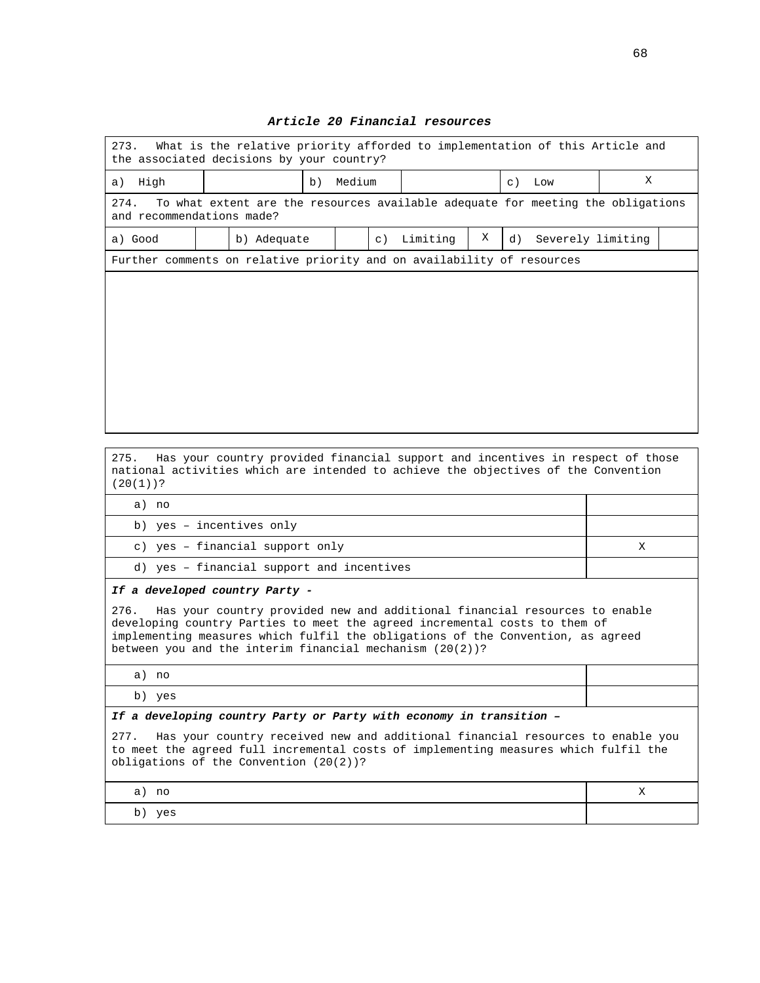| 273.<br>What is the relative priority afforded to implementation of this Article and<br>the associated decisions by your country? |  |             |    |        |           |          |   |                         |   |  |
|-----------------------------------------------------------------------------------------------------------------------------------|--|-------------|----|--------|-----------|----------|---|-------------------------|---|--|
| a) High                                                                                                                           |  |             | b) | Medium |           |          |   | $\subset$ )<br>Low      | X |  |
| To what extent are the resources available adequate for meeting the obligations<br>274.<br>and recommendations made?              |  |             |    |        |           |          |   |                         |   |  |
| a) Good                                                                                                                           |  | b) Adequate |    |        | $\circ$ ) | Limiting | Χ | Severely limiting<br>d) |   |  |
| Further comments on relative priority and on availability of resources                                                            |  |             |    |        |           |          |   |                         |   |  |
|                                                                                                                                   |  |             |    |        |           |          |   |                         |   |  |
|                                                                                                                                   |  |             |    |        |           |          |   |                         |   |  |
|                                                                                                                                   |  |             |    |        |           |          |   |                         |   |  |
|                                                                                                                                   |  |             |    |        |           |          |   |                         |   |  |
|                                                                                                                                   |  |             |    |        |           |          |   |                         |   |  |
|                                                                                                                                   |  |             |    |        |           |          |   |                         |   |  |
|                                                                                                                                   |  |             |    |        |           |          |   |                         |   |  |

## **Article 20 Financial resources**

275. Has your country provided financial support and incentives in respect of those national activities which are intended to achieve the objectives of the Convention (20(1))?

| ٠ | C<br>r |
|---|--------|

| no<br>a)                                  |  |
|-------------------------------------------|--|
| b) yes - incentives only                  |  |
| c) yes - financial support only           |  |
| d) yes - financial support and incentives |  |

#### **If a developed country Party -**

276. Has your country provided new and additional financial resources to enable developing country Parties to meet the agreed incremental costs to them of implementing measures which fulfil the obligations of the Convention, as agreed between you and the interim financial mechanism (20(2))?

a) no

b) yes

**If a developing country Party or Party with economy in transition –** 

277. Has your country received new and additional financial resources to enable you to meet the agreed full incremental costs of implementing measures which fulfil the obligations of the Convention (20(2))?

|       | $\overline{z}$ |
|-------|----------------|
| a) no |                |
|       | A              |
|       |                |

b) yes

Τ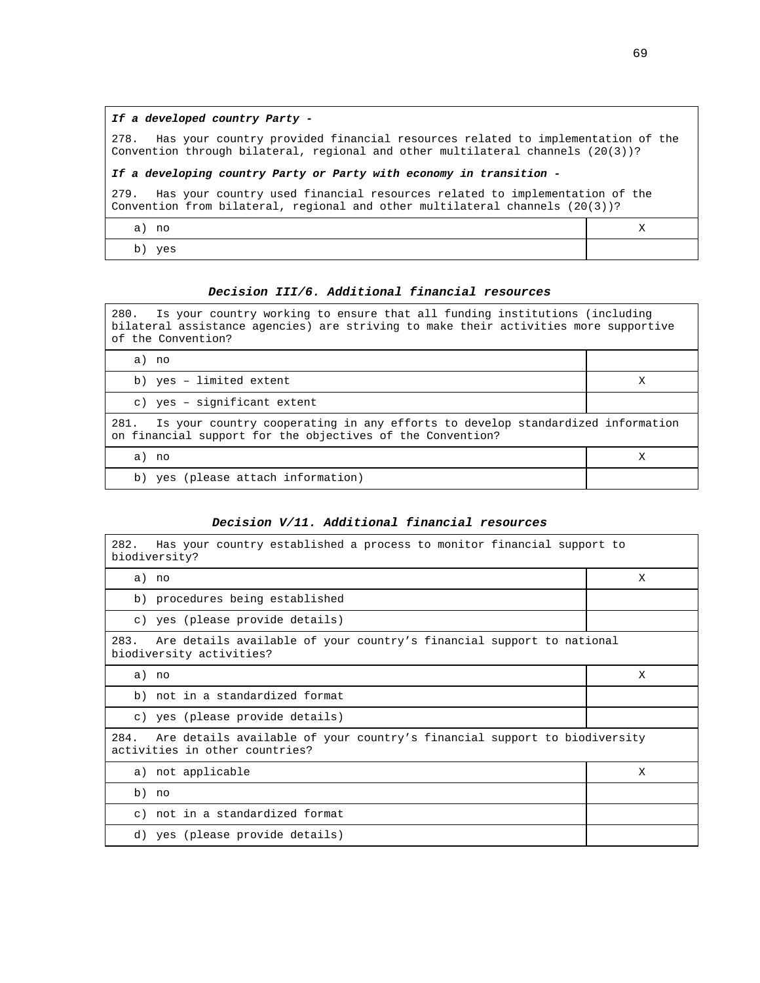278. Has your country provided financial resources related to implementation of the Convention through bilateral, regional and other multilateral channels (20(3))?

#### **If a developing country Party or Party with economy in transition -**

279. Has your country used financial resources related to implementation of the Convention from bilateral, regional and other multilateral channels (20(3))?

a) no X

b) yes

## **Decision III/6. Additional financial resources**

280. Is your country working to ensure that all funding institutions (including bilateral assistance agencies) are striving to make their activities more supportive of the Convention?

| a)<br>no                                                                                                                                             |   |  |  |  |
|------------------------------------------------------------------------------------------------------------------------------------------------------|---|--|--|--|
| b) yes - limited extent                                                                                                                              | Х |  |  |  |
| c) yes - significant extent                                                                                                                          |   |  |  |  |
| Is your country cooperating in any efforts to develop standardized information<br>281.<br>on financial support for the objectives of the Convention? |   |  |  |  |
| a)<br>no                                                                                                                                             | Х |  |  |  |
| b) yes (please attach information)                                                                                                                   |   |  |  |  |

#### **Decision V/11. Additional financial resources**

| 282.<br>Has your country established a process to monitor financial support to<br>biodiversity?                     |   |  |  |  |  |
|---------------------------------------------------------------------------------------------------------------------|---|--|--|--|--|
| a) no                                                                                                               | X |  |  |  |  |
| b) procedures being established                                                                                     |   |  |  |  |  |
| c) yes (please provide details)                                                                                     |   |  |  |  |  |
| 283.<br>Are details available of your country's financial support to national<br>biodiversity activities?           |   |  |  |  |  |
| a) no                                                                                                               | X |  |  |  |  |
| b) not in a standardized format                                                                                     |   |  |  |  |  |
| c) yes (please provide details)                                                                                     |   |  |  |  |  |
| Are details available of your country's financial support to biodiversity<br>284.<br>activities in other countries? |   |  |  |  |  |
| a) not applicable                                                                                                   | X |  |  |  |  |
| b) no                                                                                                               |   |  |  |  |  |
| c) not in a standardized format                                                                                     |   |  |  |  |  |
| d) yes (please provide details)                                                                                     |   |  |  |  |  |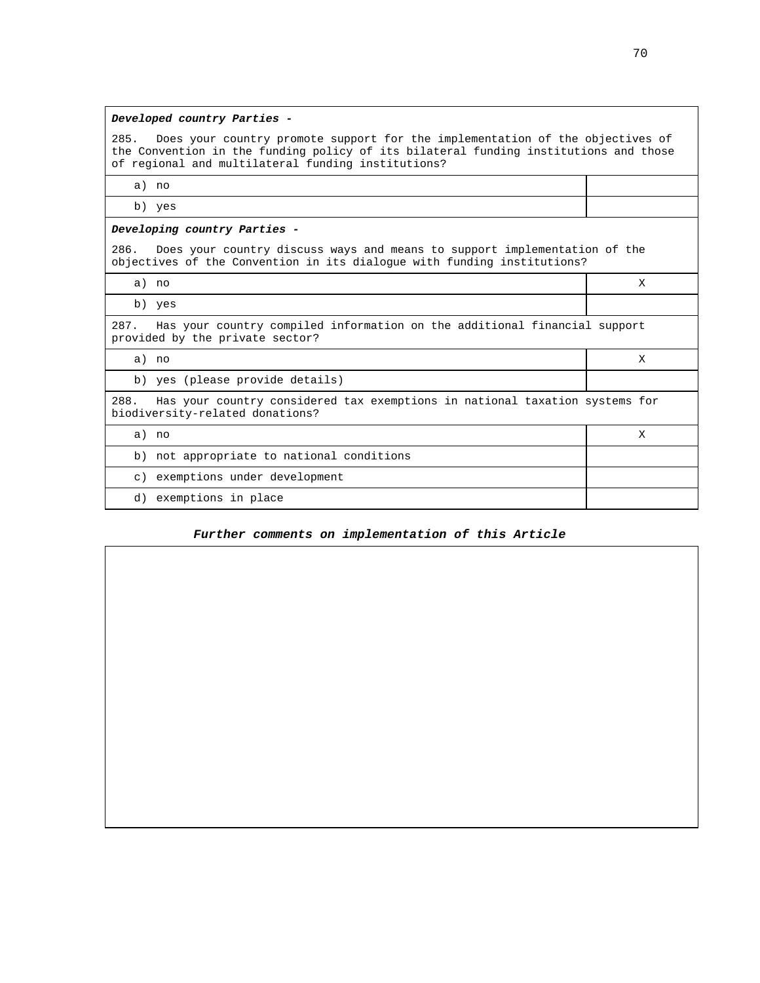## **Developed country Parties -**

285. Does your country promote support for the implementation of the objectives of the Convention in the funding policy of its bilateral funding institutions and those of regional and multilateral funding institutions?

a) no

b) yes

#### **Developing country Parties -**

286. Does your country discuss ways and means to support implementation of the objectives of the Convention in its dialogue with funding institutions?

a) no X

b) yes

287. Has your country compiled information on the additional financial support provided by the private sector?

a) no X

b) yes (please provide details)

288. Has your country considered tax exemptions in national taxation systems for biodiversity-related donations?

a) no X

b) not appropriate to national conditions

c) exemptions under development

d) exemptions in place

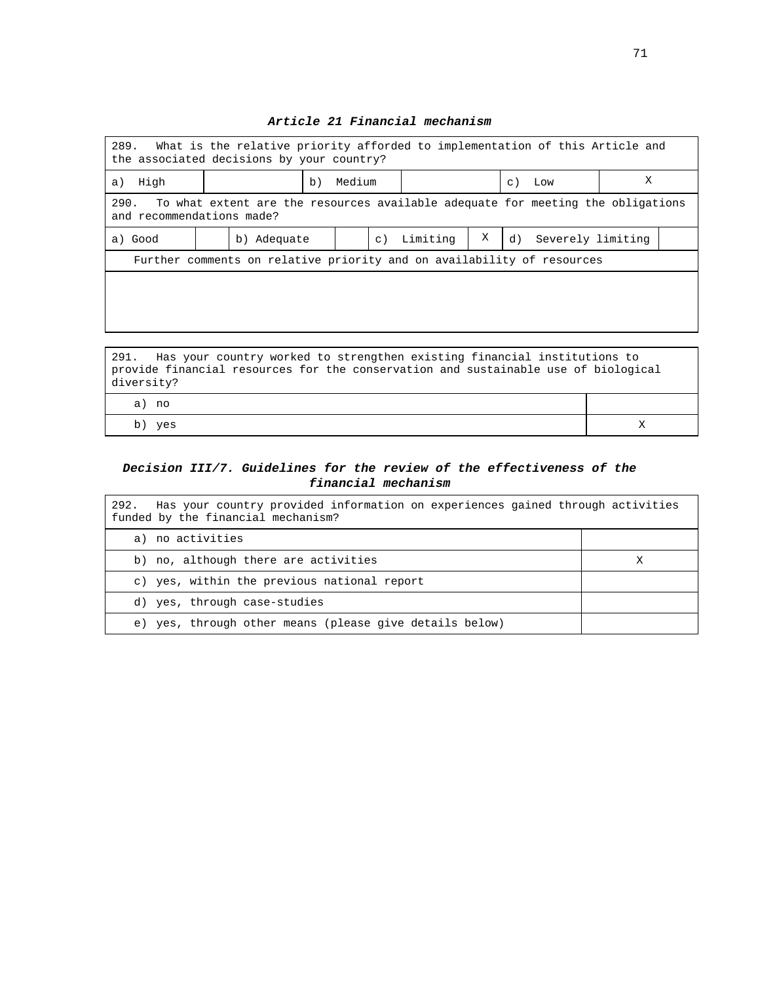| 289. What is the relative priority afforded to implementation of this Article and<br>the associated decisions by your country? |  |             |    |        |             |          |   |         |                      |   |  |
|--------------------------------------------------------------------------------------------------------------------------------|--|-------------|----|--------|-------------|----------|---|---------|----------------------|---|--|
| High<br>a)                                                                                                                     |  |             | b) | Medium |             |          |   | $\in$ ) | Low                  | Χ |  |
| 290.<br>To what extent are the resources available adequate for meeting the obligations<br>and recommendations made?           |  |             |    |        |             |          |   |         |                      |   |  |
| a) Good                                                                                                                        |  | b) Adequate |    |        | $\subset$ ) | Limiting | Χ |         | d) Severely limiting |   |  |
| Further comments on relative priority and on availability of resources                                                         |  |             |    |        |             |          |   |         |                      |   |  |
|                                                                                                                                |  |             |    |        |             |          |   |         |                      |   |  |
|                                                                                                                                |  |             |    |        |             |          |   |         |                      |   |  |
|                                                                                                                                |  |             |    |        |             |          |   |         |                      |   |  |
| 291.<br>Has your country worked to strengthen existing financial institutions to                                               |  |             |    |        |             |          |   |         |                      |   |  |

## **Article 21 Financial mechanism**

| 291. Has your country worked to strengthen existing financial institutions to      |  |  |  |  |
|------------------------------------------------------------------------------------|--|--|--|--|
| provide financial resources for the conservation and sustainable use of biological |  |  |  |  |
| diversity?                                                                         |  |  |  |  |
| a) no                                                                              |  |  |  |  |
| b) yes                                                                             |  |  |  |  |

## **Decision III/7. Guidelines for the review of the effectiveness of the financial mechanism**

| Has your country provided information on experiences gained through activities<br>292.<br>funded by the financial mechanism? |  |  |  |  |
|------------------------------------------------------------------------------------------------------------------------------|--|--|--|--|
| a) no activities                                                                                                             |  |  |  |  |
| b) no, although there are activities                                                                                         |  |  |  |  |
| c) yes, within the previous national report                                                                                  |  |  |  |  |
| d) yes, through case-studies                                                                                                 |  |  |  |  |
| yes, through other means (please give details below)<br>e)                                                                   |  |  |  |  |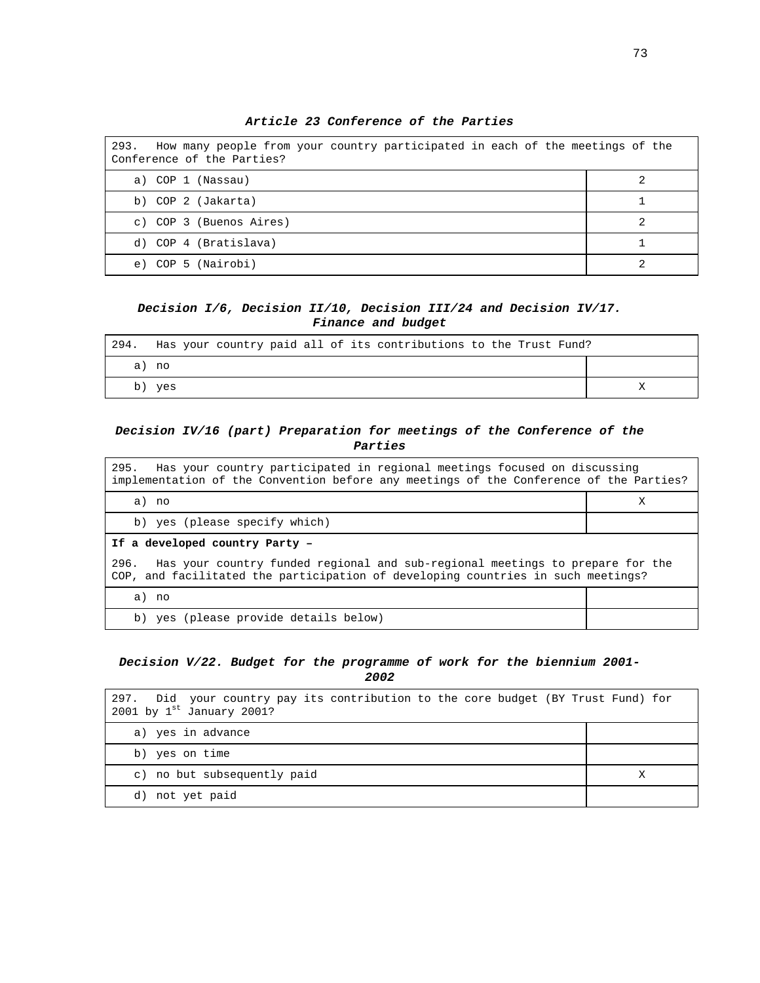| 293.<br>How many people from your country participated in each of the meetings of the<br>Conference of the Parties? |  |  |
|---------------------------------------------------------------------------------------------------------------------|--|--|
| a) COP 1 (Nassau)                                                                                                   |  |  |
| b) COP 2 (Jakarta)                                                                                                  |  |  |
| c) COP 3 (Buenos Aires)                                                                                             |  |  |
| d) COP 4 (Bratislava)                                                                                               |  |  |
| COP 5 (Nairobi)<br>e)                                                                                               |  |  |

**Article 23 Conference of the Parties** 

### **Decision I/6, Decision II/10, Decision III/24 and Decision IV/17. Finance and budget**

| 294. | Has your country paid all of its contributions to the Trust Fund? |  |
|------|-------------------------------------------------------------------|--|
|      | a) no                                                             |  |
|      | b) yes                                                            |  |

### **Decision IV/16 (part) Preparation for meetings of the Conference of the Parties**

295. Has your country participated in regional meetings focused on discussing implementation of the Convention before any meetings of the Conference of the Parties? a) no X b) yes (please specify which) **If a developed country Party –**  296. Has your country funded regional and sub-regional meetings to prepare for the COP, and facilitated the participation of developing countries in such meetings? a) no

b) yes (please provide details below)

### **Decision V/22. Budget for the programme of work for the biennium 2001- 2002**

| 297. Did your country pay its contribution to the core budget (BY Trust Fund) for<br>2001 by $1^{st}$ January 2001? |   |
|---------------------------------------------------------------------------------------------------------------------|---|
| a) yes in advance                                                                                                   |   |
| b) yes on time                                                                                                      |   |
| c) no but subsequently paid                                                                                         | Χ |
| not yet paid<br>d)                                                                                                  |   |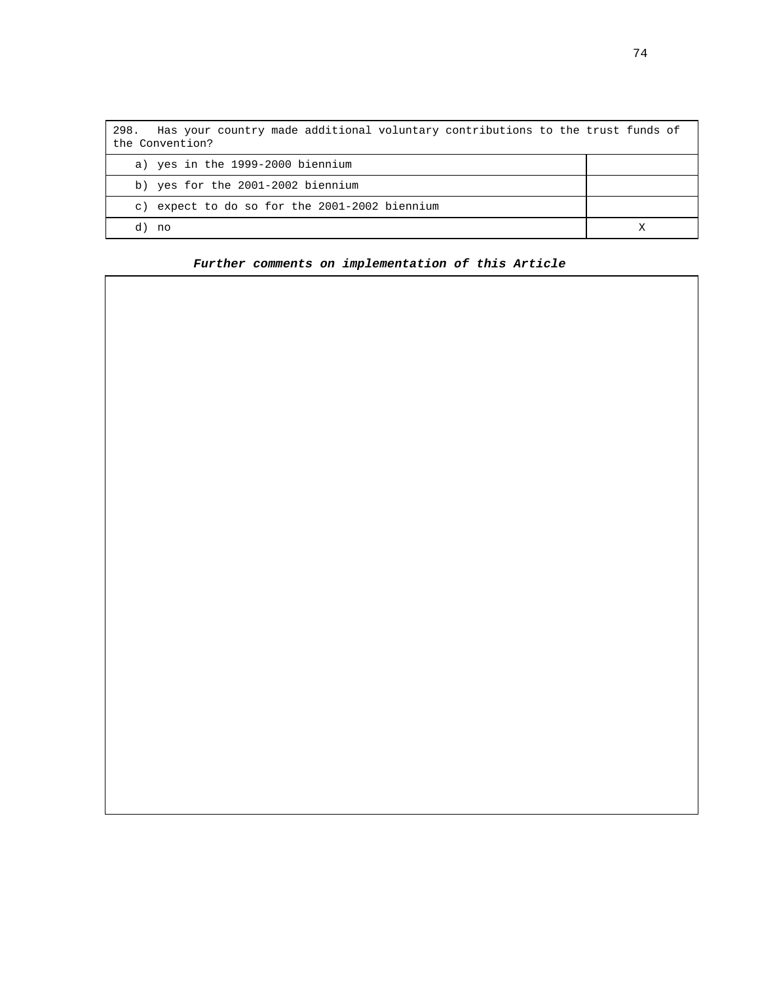| Has your country made additional voluntary contributions to the trust funds of<br>298.<br>the Convention? |  |
|-----------------------------------------------------------------------------------------------------------|--|
| a) yes in the 1999-2000 biennium                                                                          |  |
| b) yes for the 2001-2002 biennium                                                                         |  |
| c) expect to do so for the 2001-2002 biennium                                                             |  |
| d)<br>no.                                                                                                 |  |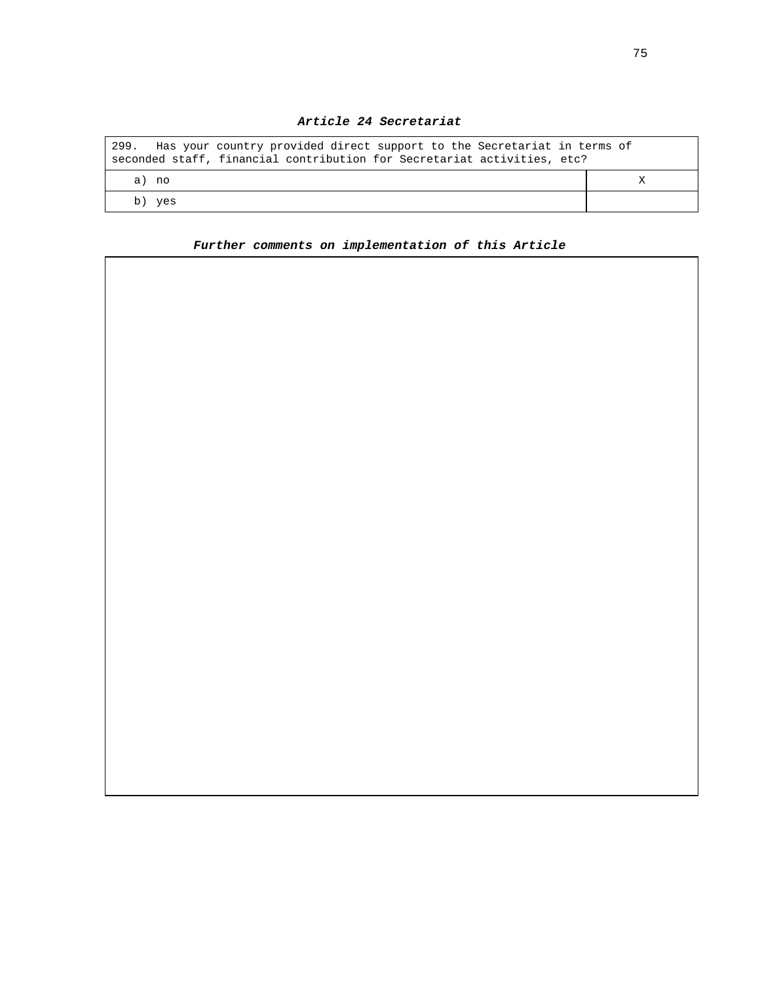| Has your country provided direct support to the Secretariat in terms of<br>299.<br>seconded staff, financial contribution for Secretariat activities, etc? |  |
|------------------------------------------------------------------------------------------------------------------------------------------------------------|--|
| a) no                                                                                                                                                      |  |
| , yes<br>b)                                                                                                                                                |  |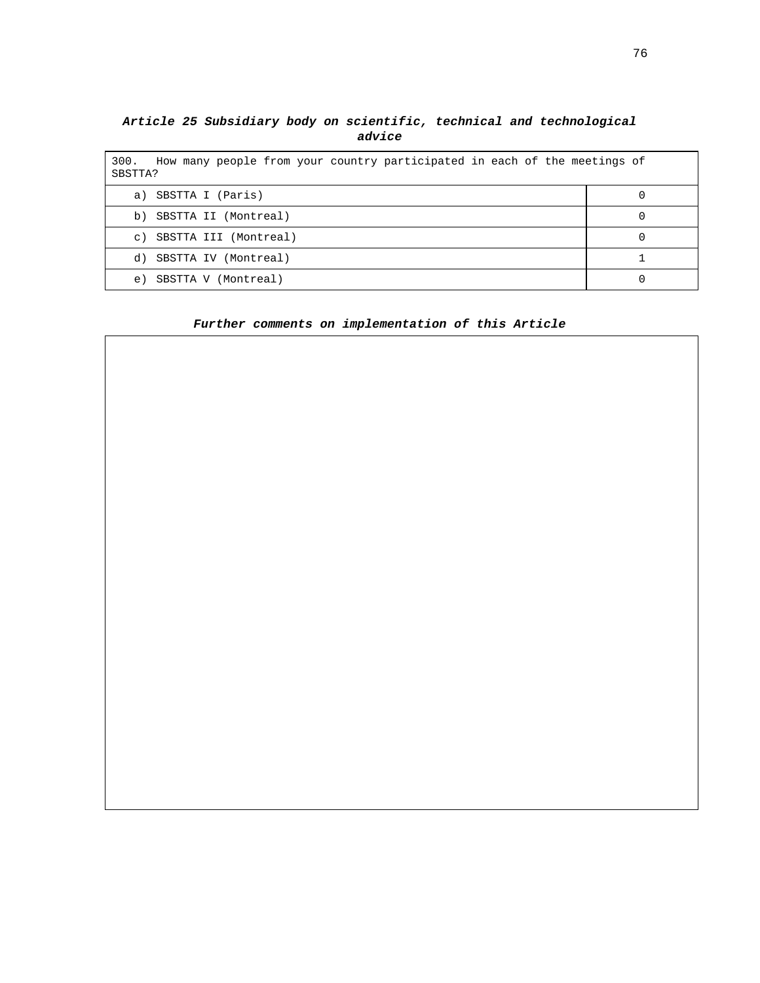### **Article 25 Subsidiary body on scientific, technical and technological advice**

| How many people from your country participated in each of the meetings of<br>300.<br>SBSTTA? |  |  |
|----------------------------------------------------------------------------------------------|--|--|
| SBSTTA I (Paris)<br>a)                                                                       |  |  |
| SBSTTA II (Montreal)<br>b)                                                                   |  |  |
| SBSTTA III (Montreal)<br>$\circ$ )                                                           |  |  |
| SBSTTA IV (Montreal)<br>d)                                                                   |  |  |
| SBSTTA V (Montreal)<br>e)                                                                    |  |  |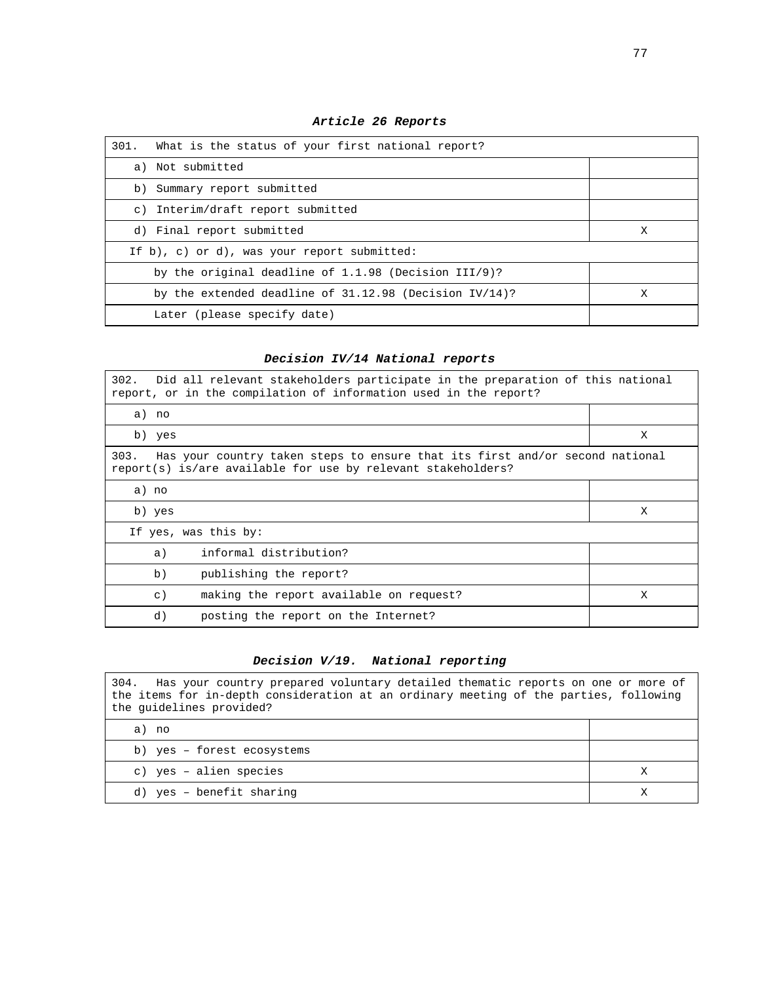| What is the status of your first national report?<br>301. |   |
|-----------------------------------------------------------|---|
| a) Not submitted                                          |   |
| b) Summary report submitted                               |   |
| c) Interim/draft report submitted                         |   |
| d) Final report submitted                                 | Х |
| If b), c) or d), was your report submitted:               |   |
| by the original deadline of $1.1.98$ (Decision III/9)?    |   |
| by the extended deadline of $31.12.98$ (Decision IV/14)?  | X |
| Later (please specify date)                               |   |

**Article 26 Reports** 

# **Decision IV/14 National reports**

| 302. Did all relevant stakeholders participate in the preparation of this national<br>report, or in the compilation of information used in the report? |   |  |
|--------------------------------------------------------------------------------------------------------------------------------------------------------|---|--|
| a) no                                                                                                                                                  |   |  |
| b) yes                                                                                                                                                 | X |  |
| Has your country taken steps to ensure that its first and/or second national<br>303.<br>report(s) is/are available for use by relevant stakeholders?   |   |  |
| a) no                                                                                                                                                  |   |  |
| b) yes                                                                                                                                                 | X |  |
| If yes, was this by:                                                                                                                                   |   |  |
| informal distribution?<br>a)                                                                                                                           |   |  |
| b)<br>publishing the report?                                                                                                                           |   |  |
| making the report available on request?<br>$\circ$ )                                                                                                   | X |  |
| d)<br>posting the report on the Internet?                                                                                                              |   |  |

# **Decision V/19. National reporting**

| 304. Has your country prepared voluntary detailed thematic reports on one or more of<br>the items for in-depth consideration at an ordinary meeting of the parties, following<br>the quidelines provided? |  |
|-----------------------------------------------------------------------------------------------------------------------------------------------------------------------------------------------------------|--|
| a) no                                                                                                                                                                                                     |  |
| b) yes - forest ecosystems                                                                                                                                                                                |  |
| c) yes - alien species                                                                                                                                                                                    |  |
| d) yes - benefit sharing                                                                                                                                                                                  |  |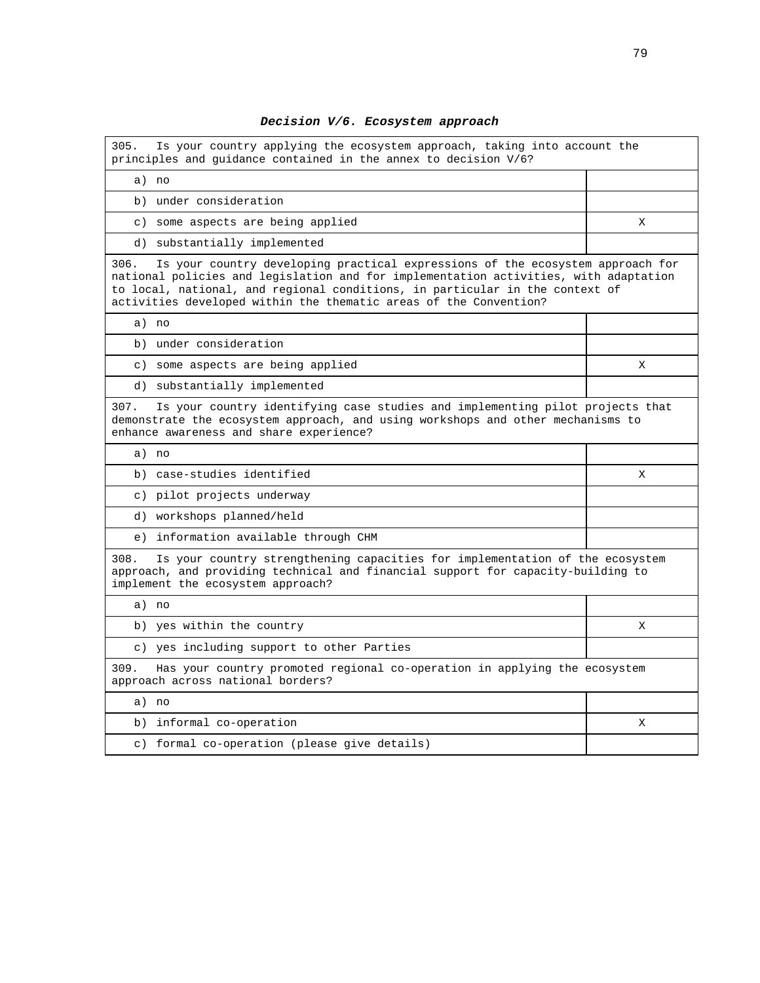## **Decision V/6. Ecosystem approach**

| 305.<br>Is your country applying the ecosystem approach, taking into account the<br>principles and quidance contained in the annex to decision V/6?                                                                                                                                                                                 |   |
|-------------------------------------------------------------------------------------------------------------------------------------------------------------------------------------------------------------------------------------------------------------------------------------------------------------------------------------|---|
| a) no                                                                                                                                                                                                                                                                                                                               |   |
| b) under consideration                                                                                                                                                                                                                                                                                                              |   |
| c) some aspects are being applied                                                                                                                                                                                                                                                                                                   | X |
| d) substantially implemented                                                                                                                                                                                                                                                                                                        |   |
| Is your country developing practical expressions of the ecosystem approach for<br>306.<br>national policies and legislation and for implementation activities, with adaptation<br>to local, national, and regional conditions, in particular in the context of<br>activities developed within the thematic areas of the Convention? |   |
| a) no                                                                                                                                                                                                                                                                                                                               |   |
| b) under consideration                                                                                                                                                                                                                                                                                                              |   |
| c) some aspects are being applied                                                                                                                                                                                                                                                                                                   | X |
| d) substantially implemented                                                                                                                                                                                                                                                                                                        |   |
| Is your country identifying case studies and implementing pilot projects that<br>307.<br>demonstrate the ecosystem approach, and using workshops and other mechanisms to<br>enhance awareness and share experience?                                                                                                                 |   |
| a) no                                                                                                                                                                                                                                                                                                                               |   |
| b) case-studies identified                                                                                                                                                                                                                                                                                                          | X |
| c) pilot projects underway                                                                                                                                                                                                                                                                                                          |   |
| d) workshops planned/held                                                                                                                                                                                                                                                                                                           |   |
| e) information available through CHM                                                                                                                                                                                                                                                                                                |   |
| 308.<br>Is your country strengthening capacities for implementation of the ecosystem<br>approach, and providing technical and financial support for capacity-building to<br>implement the ecosystem approach?                                                                                                                       |   |
| a) no                                                                                                                                                                                                                                                                                                                               |   |
| b) yes within the country                                                                                                                                                                                                                                                                                                           | X |
| c) yes including support to other Parties                                                                                                                                                                                                                                                                                           |   |
| 309.<br>Has your country promoted regional co-operation in applying the ecosystem<br>approach across national borders?                                                                                                                                                                                                              |   |
| a) no                                                                                                                                                                                                                                                                                                                               |   |
| b) informal co-operation                                                                                                                                                                                                                                                                                                            | X |
| c) formal co-operation (please give details)                                                                                                                                                                                                                                                                                        |   |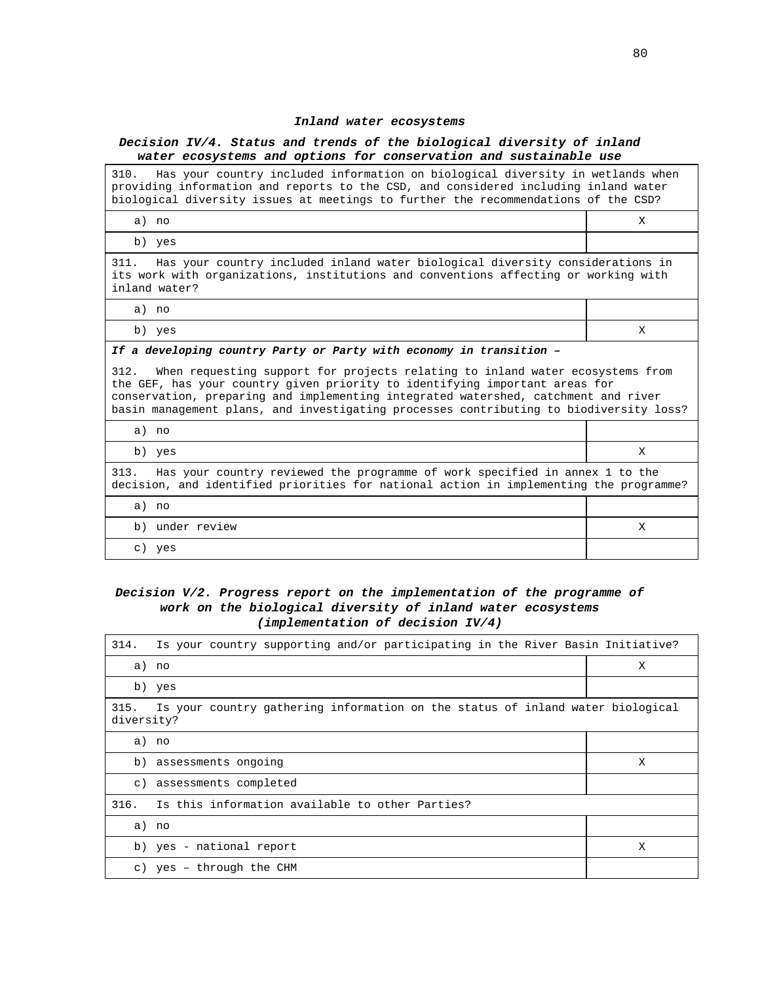#### **Inland water ecosystems**

#### **Decision IV/4. Status and trends of the biological diversity of inland water ecosystems and options for conservation and sustainable use**

310. Has your country included information on biological diversity in wetlands when providing information and reports to the CSD, and considered including inland water biological diversity issues at meetings to further the recommendations of the CSD?

| a) no                                                                                                                                                                                         | X |  |
|-----------------------------------------------------------------------------------------------------------------------------------------------------------------------------------------------|---|--|
| b) yes                                                                                                                                                                                        |   |  |
| Has your country included inland water biological diversity considerations in<br>311.<br>its work with organizations, institutions and conventions affecting or working with<br>inland water? |   |  |
| a) no                                                                                                                                                                                         |   |  |
| b) yes                                                                                                                                                                                        | Х |  |
| If a developing country Party or Party with economy in transition -                                                                                                                           |   |  |
| When requesting support for projects relating to inland water ecosystems from<br>312.<br>the CFF has vour country given priority to identifying important areas for                           |   |  |

the GEF, has your country given priority to identifying important areas for conservation, preparing and implementing integrated watershed, catchment and river basin management plans, and investigating processes contributing to biodiversity loss?

| a) no                                                                                                                                                                         |   |
|-------------------------------------------------------------------------------------------------------------------------------------------------------------------------------|---|
| b) yes                                                                                                                                                                        | Х |
| Has your country reviewed the programme of work specified in annex 1 to the<br>313.<br>decision, and identified priorities for national action in implementing the programme? |   |
| a) no                                                                                                                                                                         |   |
| under review<br>b)                                                                                                                                                            |   |
| ves                                                                                                                                                                           |   |

#### **Decision V/2. Progress report on the implementation of the programme of work on the biological diversity of inland water ecosystems (implementation of decision IV/4)**

| Is your country supporting and/or participating in the River Basin Initiative?<br>314.               |   |  |
|------------------------------------------------------------------------------------------------------|---|--|
| a) no                                                                                                | X |  |
| b) yes                                                                                               |   |  |
| Is your country gathering information on the status of inland water biological<br>315.<br>diversity? |   |  |
| a) no                                                                                                |   |  |
| b) assessments ongoing                                                                               | X |  |
| assessments completed<br>$\circ$ )                                                                   |   |  |
| Is this information available to other Parties?<br>316.                                              |   |  |
| a) no                                                                                                |   |  |
| b) yes - national report                                                                             | X |  |
| c) yes - through the CHM                                                                             |   |  |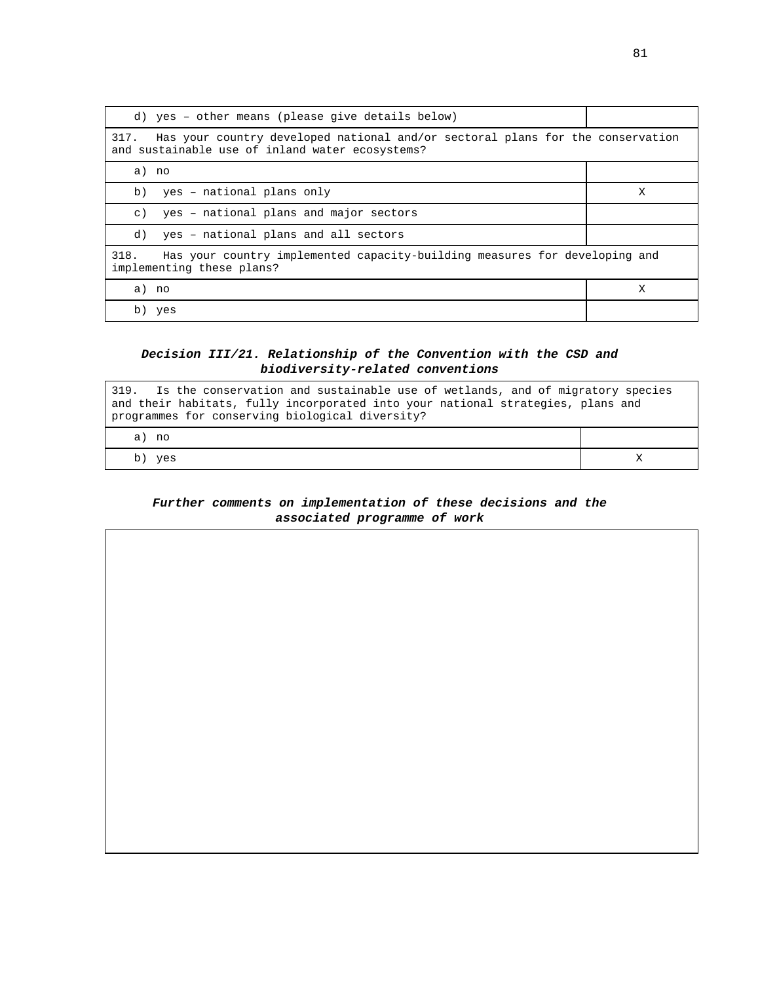| d) yes - other means (please give details below)                                                                                          |   |  |
|-------------------------------------------------------------------------------------------------------------------------------------------|---|--|
| Has your country developed national and/or sectoral plans for the conservation<br>317.<br>and sustainable use of inland water ecosystems? |   |  |
| a) no                                                                                                                                     |   |  |
| yes - national plans only<br>b)                                                                                                           | X |  |
| yes - national plans and major sectors<br>$\circ$ )                                                                                       |   |  |
| yes - national plans and all sectors<br>d)                                                                                                |   |  |
| 318.<br>Has your country implemented capacity-building measures for developing and<br>implementing these plans?                           |   |  |
| a) no                                                                                                                                     | X |  |
| b)<br>yes                                                                                                                                 |   |  |

## **Decision III/21. Relationship of the Convention with the CSD and biodiversity-related conventions**

| 319. Is the conservation and sustainable use of wetlands, and of migratory species<br>and their habitats, fully incorporated into your national strategies, plans and<br>programmes for conserving biological diversity? |  |  |
|--------------------------------------------------------------------------------------------------------------------------------------------------------------------------------------------------------------------------|--|--|
| a) no                                                                                                                                                                                                                    |  |  |
| b) yes                                                                                                                                                                                                                   |  |  |

### **Further comments on implementation of these decisions and the associated programme of work**

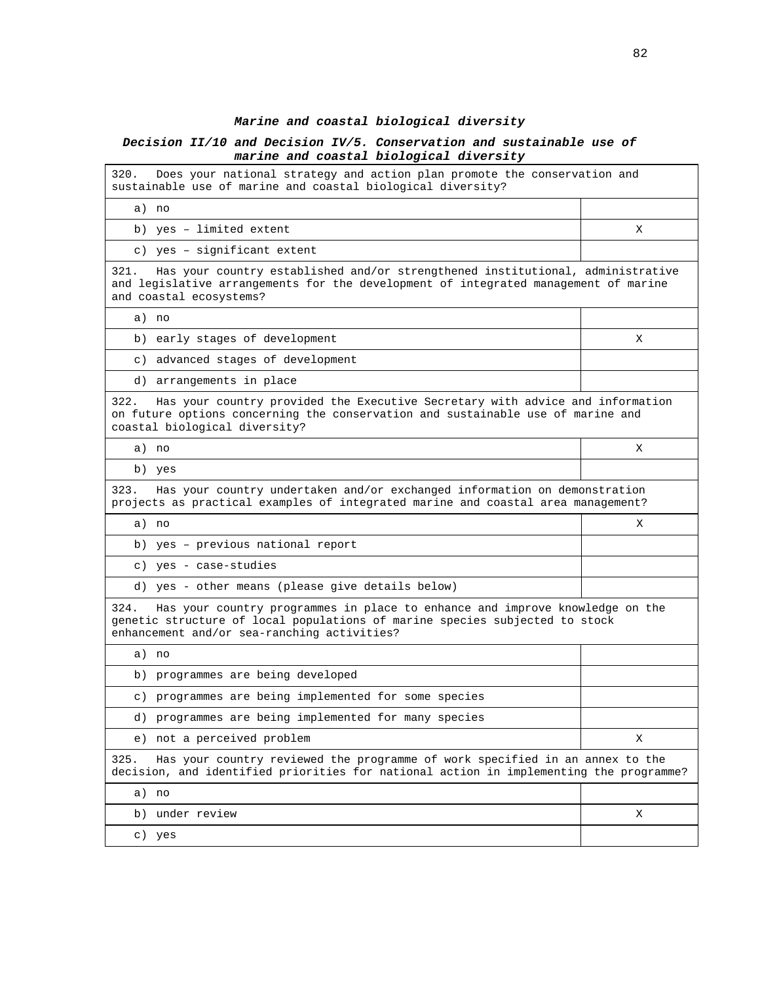#### **Marine and coastal biological diversity**

#### **Decision II/10 and Decision IV/5. Conservation and sustainable use of marine and coastal biological diversity**

320. Does your national strategy and action plan promote the conservation and sustainable use of marine and coastal biological diversity?

a) no b) yes – limited extent X

c) yes – significant extent

321. Has your country established and/or strengthened institutional, administrative and legislative arrangements for the development of integrated management of marine and coastal ecosystems?

a) no

b) early stages of development X

c) advanced stages of development

d) arrangements in place

322. Has your country provided the Executive Secretary with advice and information on future options concerning the conservation and sustainable use of marine and coastal biological diversity?

a) no X

b) yes

323. Has your country undertaken and/or exchanged information on demonstration projects as practical examples of integrated marine and coastal area management?

| a) no                                            |  |
|--------------------------------------------------|--|
| b) yes - previous national report                |  |
| c) yes - case-studies                            |  |
| d) yes - other means (please give details below) |  |

324. Has your country programmes in place to enhance and improve knowledge on the genetic structure of local populations of marine species subjected to stock enhancement and/or sea-ranching activities?

|                           | a) no                                                                                                                                                                  |   |
|---------------------------|------------------------------------------------------------------------------------------------------------------------------------------------------------------------|---|
|                           | b) programmes are being developed                                                                                                                                      |   |
|                           | c) programmes are being implemented for some species                                                                                                                   |   |
|                           | d) programmes are being implemented for many species                                                                                                                   |   |
|                           | e) not a perceived problem                                                                                                                                             | Х |
| 325.                      | Has your country reviewed the programme of work specified in an annex to the<br>decision, and identified priorities for national action in implementing the programme? |   |
|                           | a) no                                                                                                                                                                  |   |
|                           | b) under review                                                                                                                                                        | х |
| $\mathbb{C}^{\mathbb{C}}$ | yes                                                                                                                                                                    |   |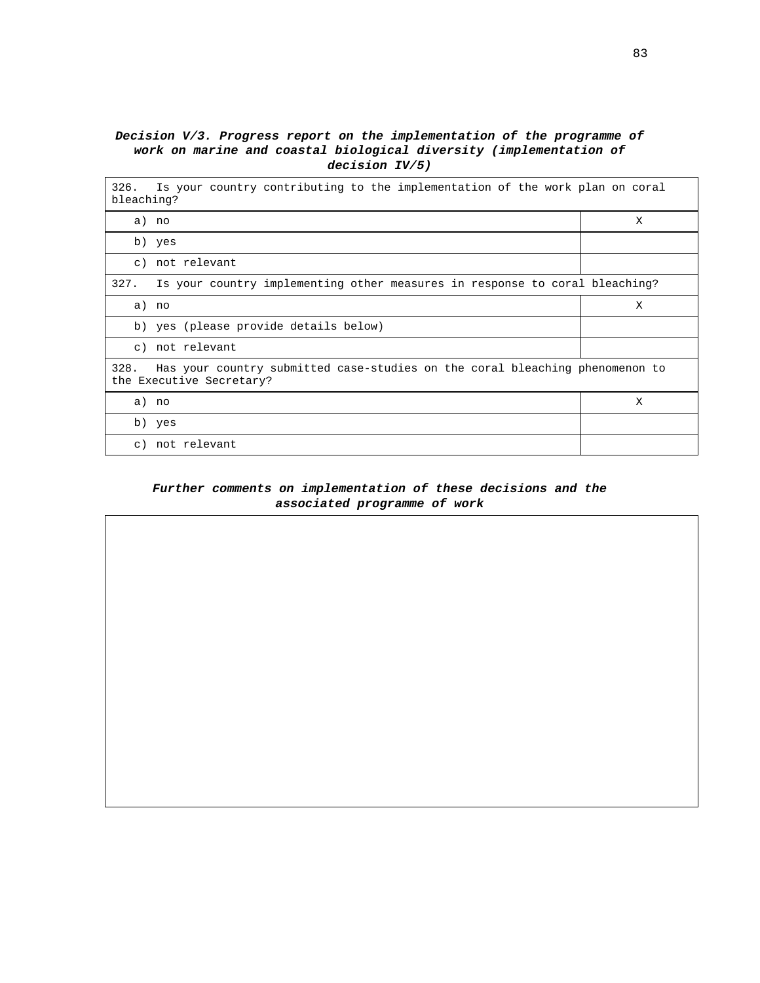## **Decision V/3. Progress report on the implementation of the programme of work on marine and coastal biological diversity (implementation of decision IV/5)**

| Is your country contributing to the implementation of the work plan on coral<br>326.<br>bleaching?               |   |  |  |
|------------------------------------------------------------------------------------------------------------------|---|--|--|
| a) no                                                                                                            | X |  |  |
| b) yes                                                                                                           |   |  |  |
| c) not relevant                                                                                                  |   |  |  |
| 327.<br>Is your country implementing other measures in response to coral bleaching?                              |   |  |  |
| a) no                                                                                                            | X |  |  |
| b) yes (please provide details below)                                                                            |   |  |  |
| c) not relevant                                                                                                  |   |  |  |
| Has your country submitted case-studies on the coral bleaching phenomenon to<br>328.<br>the Executive Secretary? |   |  |  |
| a) no                                                                                                            | X |  |  |
| b) yes                                                                                                           |   |  |  |
| not relevant<br>$\alpha$ )                                                                                       |   |  |  |

### **Further comments on implementation of these decisions and the associated programme of work**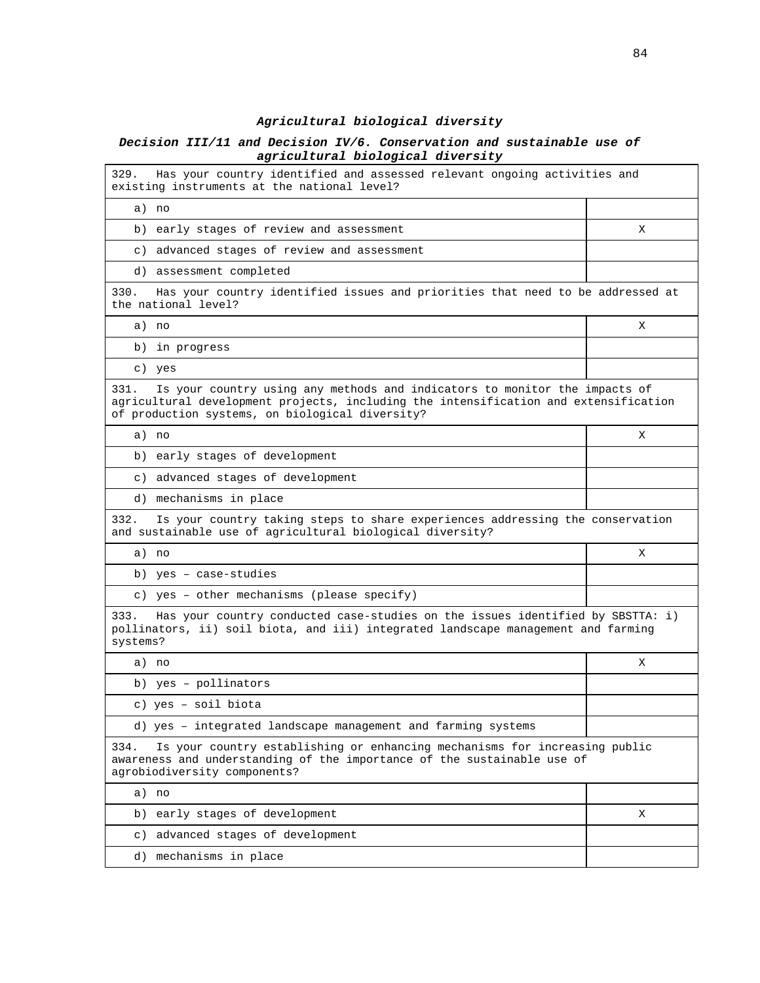## **Agricultural biological diversity**

### **Decision III/11 and Decision IV/6. Conservation and sustainable use of agricultural biological diversity**

j.

| Has your country identified and assessed relevant ongoing activities and<br>329.<br>existing instruments at the national level?                                                                                               |   |  |
|-------------------------------------------------------------------------------------------------------------------------------------------------------------------------------------------------------------------------------|---|--|
| a) no                                                                                                                                                                                                                         |   |  |
| b) early stages of review and assessment                                                                                                                                                                                      | X |  |
| c) advanced stages of review and assessment                                                                                                                                                                                   |   |  |
| d) assessment completed                                                                                                                                                                                                       |   |  |
| 330.<br>Has your country identified issues and priorities that need to be addressed at<br>the national level?                                                                                                                 |   |  |
| a) no                                                                                                                                                                                                                         | X |  |
| b) in progress                                                                                                                                                                                                                |   |  |
| c) yes                                                                                                                                                                                                                        |   |  |
| 331.<br>Is your country using any methods and indicators to monitor the impacts of<br>agricultural development projects, including the intensification and extensification<br>of production systems, on biological diversity? |   |  |
| a) no                                                                                                                                                                                                                         | X |  |
| b) early stages of development                                                                                                                                                                                                |   |  |
| c) advanced stages of development                                                                                                                                                                                             |   |  |
| d) mechanisms in place                                                                                                                                                                                                        |   |  |
| 332.<br>Is your country taking steps to share experiences addressing the conservation<br>and sustainable use of agricultural biological diversity?                                                                            |   |  |
| a) no                                                                                                                                                                                                                         | X |  |
| b) yes - case-studies                                                                                                                                                                                                         |   |  |
| c) yes - other mechanisms (please specify)                                                                                                                                                                                    |   |  |
| Has your country conducted case-studies on the issues identified by SBSTTA: i)<br>333.<br>pollinators, ii) soil biota, and iii) integrated landscape management and farming<br>systems?                                       |   |  |
| a) no                                                                                                                                                                                                                         | Χ |  |
| b) yes - pollinators                                                                                                                                                                                                          |   |  |
| c) yes - soil biota                                                                                                                                                                                                           |   |  |
| d) yes - integrated landscape management and farming systems                                                                                                                                                                  |   |  |
| 334.<br>Is your country establishing or enhancing mechanisms for increasing public<br>awareness and understanding of the importance of the sustainable use of<br>agrobiodiversity components?                                 |   |  |
| a) no                                                                                                                                                                                                                         |   |  |
| b) early stages of development                                                                                                                                                                                                | Χ |  |
| advanced stages of development<br>$\circ$ )                                                                                                                                                                                   |   |  |
| d) mechanisms in place                                                                                                                                                                                                        |   |  |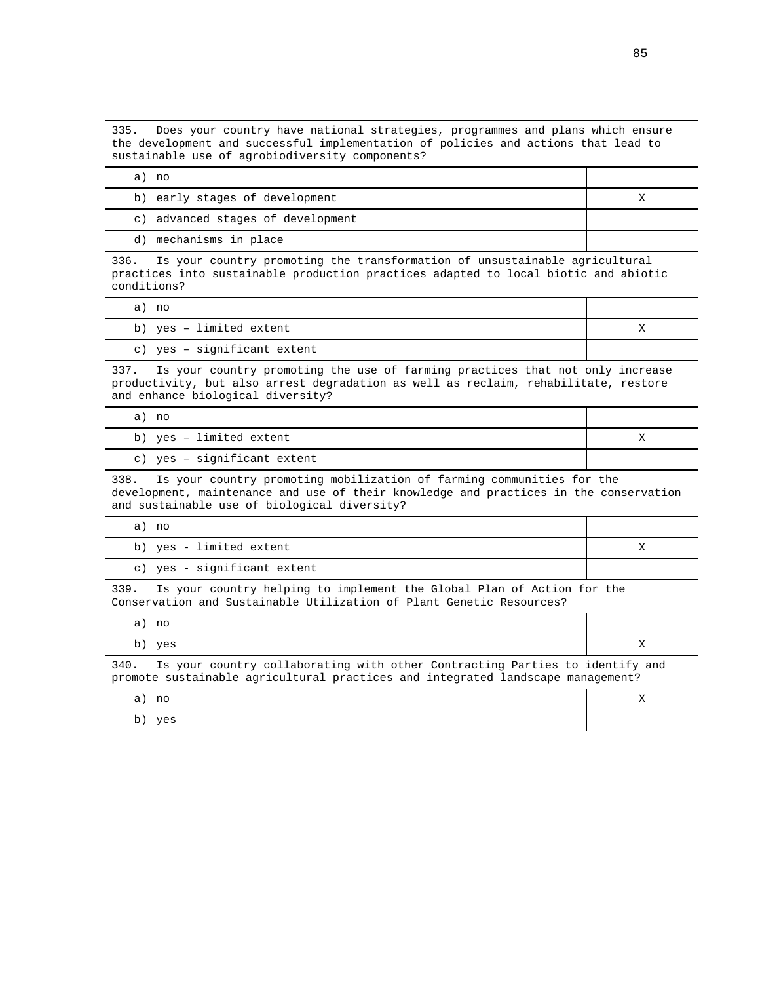335. Does your country have national strategies, programmes and plans which ensure the development and successful implementation of policies and actions that lead to sustainable use of agrobiodiversity components?

a) no

b) early stages of development X

c) advanced stages of development

d) mechanisms in place

336. Is your country promoting the transformation of unsustainable agricultural practices into sustainable production practices adapted to local biotic and abiotic conditions?

a) no

b) yes – limited extent X

c) yes – significant extent

337. Is your country promoting the use of farming practices that not only increase productivity, but also arrest degradation as well as reclaim, rehabilitate, restore and enhance biological diversity?

a) no

b) yes – limited extent X

c) yes – significant extent

338. Is your country promoting mobilization of farming communities for the development, maintenance and use of their knowledge and practices in the conservation and sustainable use of biological diversity?

a) no

b) yes - limited extent X

c) yes - significant extent

339. Is your country helping to implement the Global Plan of Action for the Conservation and Sustainable Utilization of Plant Genetic Resources?

| a) | no                                                                                                                                                                   |  |
|----|----------------------------------------------------------------------------------------------------------------------------------------------------------------------|--|
| b) | yes                                                                                                                                                                  |  |
|    | 340. Is your country collaborating with other Contracting Parties to identify and<br>promote sustainable agricultural practices and integrated landscape management? |  |
| a) | no                                                                                                                                                                   |  |
|    |                                                                                                                                                                      |  |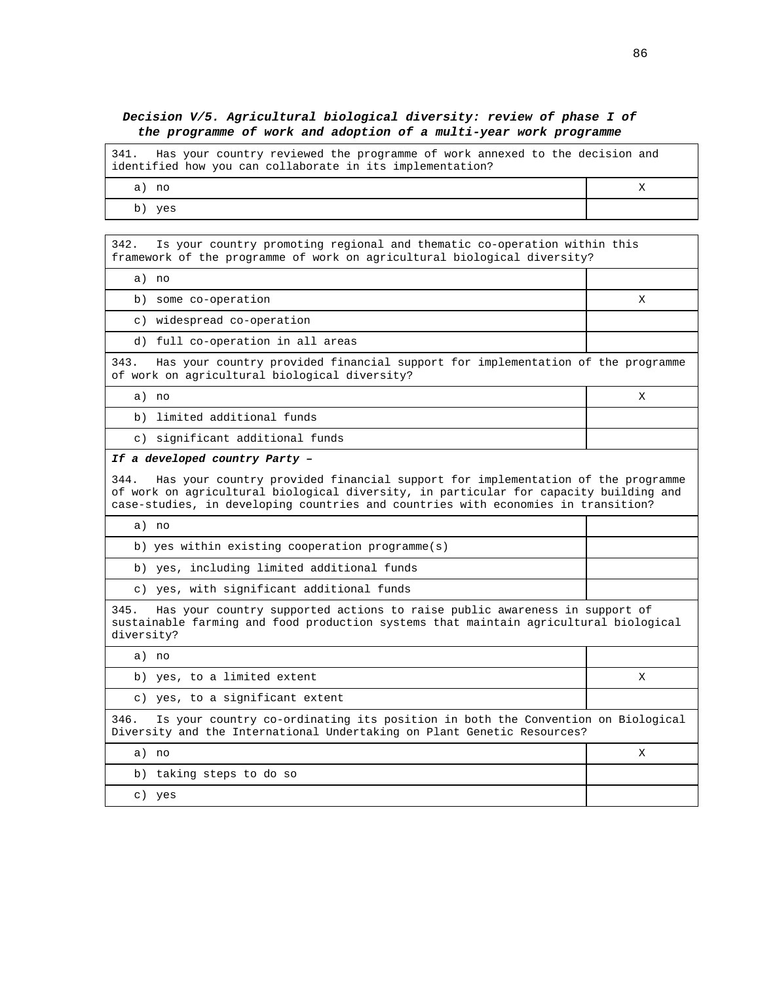#### **Decision V/5. Agricultural biological diversity: review of phase I of the programme of work and adoption of a multi-year work programme**

341. Has your country reviewed the programme of work annexed to the decision and identified how you can collaborate in its implementation? a) no X

b) yes

342. Is your country promoting regional and thematic co-operation within this framework of the programme of work on agricultural biological diversity?

a) no

b) some co-operation X

c) widespread co-operation

d) full co-operation in all areas

343. Has your country provided financial support for implementation of the programme of work on agricultural biological diversity?

a) no X

b) limited additional funds

c) significant additional funds

#### **If a developed country Party –**

344. Has your country provided financial support for implementation of the programme of work on agricultural biological diversity, in particular for capacity building and case-studies, in developing countries and countries with economies in transition?

| no                                                    |  |
|-------------------------------------------------------|--|
| b) yes within existing cooperation programme(s)       |  |
| b) yes, including limited additional funds            |  |
| yes, with significant additional funds<br>$\subset$ ) |  |

345. Has your country supported actions to raise public awareness in support of sustainable farming and food production systems that maintain agricultural biological diversity?

| a) no                                                                                                                                                              |   |  |
|--------------------------------------------------------------------------------------------------------------------------------------------------------------------|---|--|
| b) yes, to a limited extent                                                                                                                                        | Х |  |
| c) yes, to a significant extent                                                                                                                                    |   |  |
| Is your country co-ordinating its position in both the Convention on Biological<br>346.<br>Diversity and the International Undertaking on Plant Genetic Resources? |   |  |
| a) no                                                                                                                                                              | х |  |
| b) taking steps to do so                                                                                                                                           |   |  |
| yes<br>$\circ$ )                                                                                                                                                   |   |  |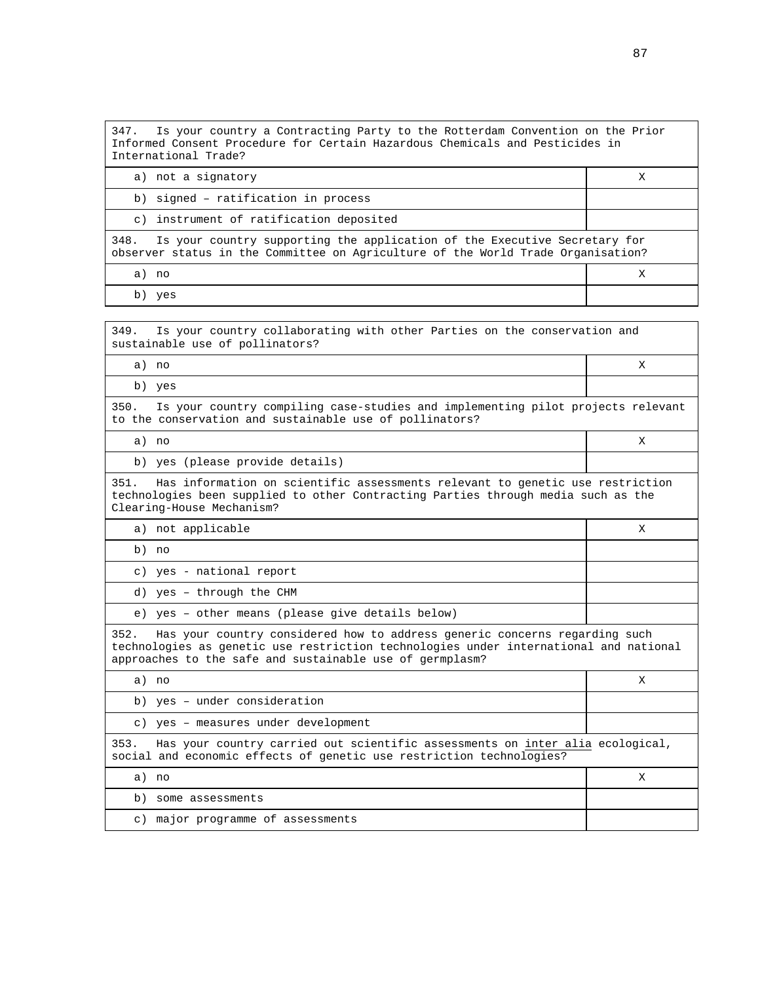| 347. Is your country a Contracting Party to the Rotterdam Convention on the Prior<br>Informed Consent Procedure for Certain Hazardous Chemicals and Pesticides in<br>International Trade? |   |  |
|-------------------------------------------------------------------------------------------------------------------------------------------------------------------------------------------|---|--|
| a) not a signatory                                                                                                                                                                        | Х |  |
| b) signed - ratification in process                                                                                                                                                       |   |  |
| c) instrument of ratification deposited                                                                                                                                                   |   |  |
| Is your country supporting the application of the Executive Secretary for<br>348.<br>observer status in the Committee on Agriculture of the World Trade Organisation?                     |   |  |
| a) no                                                                                                                                                                                     |   |  |
| $\mathbf{1}$ $\mathbf{1}$                                                                                                                                                                 |   |  |

b) yes

349. Is your country collaborating with other Parties on the conservation and sustainable use of pollinators?

a) no X

b) yes

350. Is your country compiling case-studies and implementing pilot projects relevant to the conservation and sustainable use of pollinators?

a) no X

b) yes (please provide details)

351. Has information on scientific assessments relevant to genetic use restriction technologies been supplied to other Contracting Parties through media such as the Clearing-House Mechanism?

a) not applicable  $X$ 

b) no

c) yes - national report

d) yes – through the CHM

e) yes – other means (please give details below)

352. Has your country considered how to address generic concerns regarding such technologies as genetic use restriction technologies under international and national approaches to the safe and sustainable use of germplasm?

| a) no                                                                                                                                                         |   |
|---------------------------------------------------------------------------------------------------------------------------------------------------------------|---|
| b) yes - under consideration                                                                                                                                  |   |
| c) yes - measures under development                                                                                                                           |   |
| Has your country carried out scientific assessments on inter alia ecological,<br>353.<br>social and economic effects of genetic use restriction technologies? |   |
| a) no                                                                                                                                                         | х |
| some assessments<br>b)                                                                                                                                        |   |
| major programme of assessments<br>$\circ$ )                                                                                                                   |   |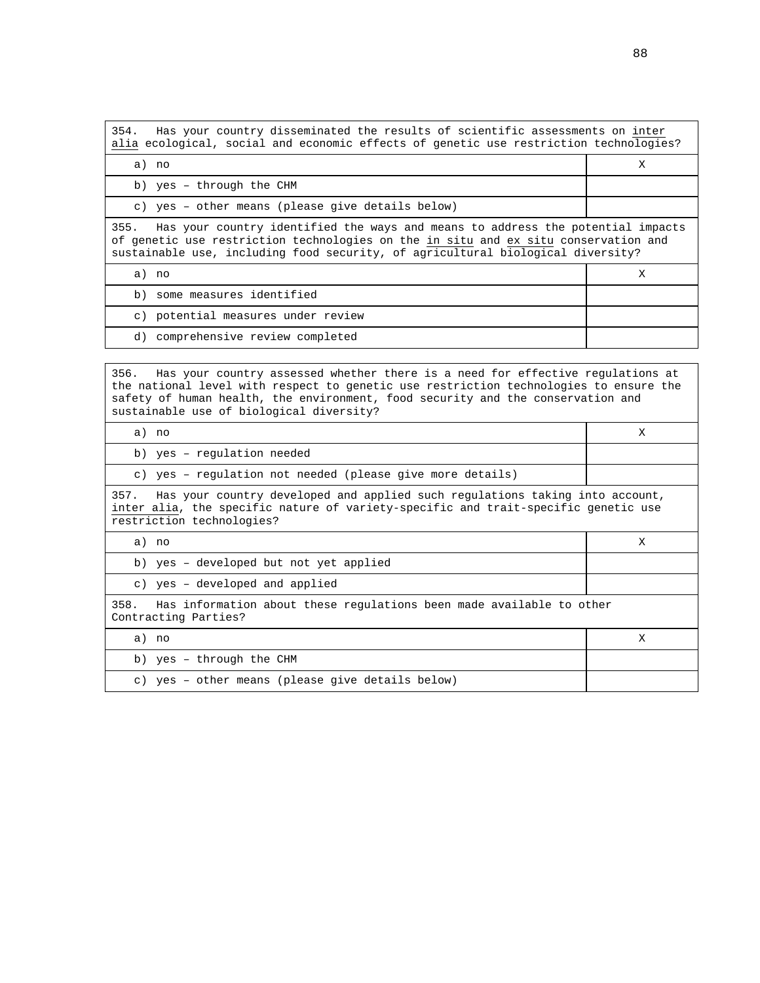354. Has your country disseminated the results of scientific assessments on inter alia ecological, social and economic effects of genetic use restriction technologies? a) no X b) yes – through the CHM c) yes – other means (please give details below) 355. Has your country identified the ways and means to address the potential impacts of genetic use restriction technologies on the in situ and ex situ conservation and sustainable use, including food security, of agricultural biological diversity? a) no X b) some measures identified c) potential measures under review

d) comprehensive review completed

356. Has your country assessed whether there is a need for effective regulations at the national level with respect to genetic use restriction technologies to ensure the safety of human health, the environment, food security and the conservation and sustainable use of biological diversity?

| a) no                                                                                                                                                                                                   | X |  |
|---------------------------------------------------------------------------------------------------------------------------------------------------------------------------------------------------------|---|--|
| b) yes - regulation needed                                                                                                                                                                              |   |  |
| c) yes - requlation not needed (please give more details)                                                                                                                                               |   |  |
| Has your country developed and applied such regulations taking into account,<br>357.<br>inter alia, the specific nature of variety-specific and trait-specific genetic use<br>restriction technologies? |   |  |
| a) no                                                                                                                                                                                                   | X |  |
| b) yes - developed but not yet applied                                                                                                                                                                  |   |  |
| c) yes - developed and applied                                                                                                                                                                          |   |  |
| 358.<br>Has information about these regulations been made available to other<br>Contracting Parties?                                                                                                    |   |  |
| a) no                                                                                                                                                                                                   | X |  |
| b) yes - through the CHM                                                                                                                                                                                |   |  |
| c) yes - other means (please give details below)                                                                                                                                                        |   |  |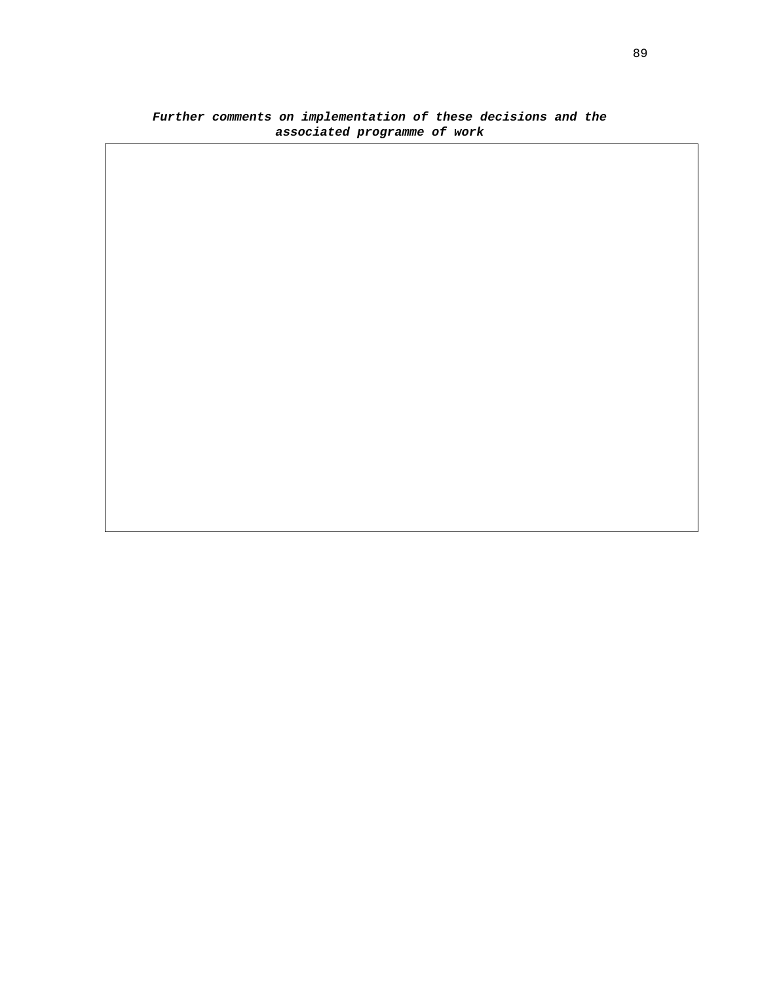## **Further comments on implementation of these decisions and the associated programme of work**

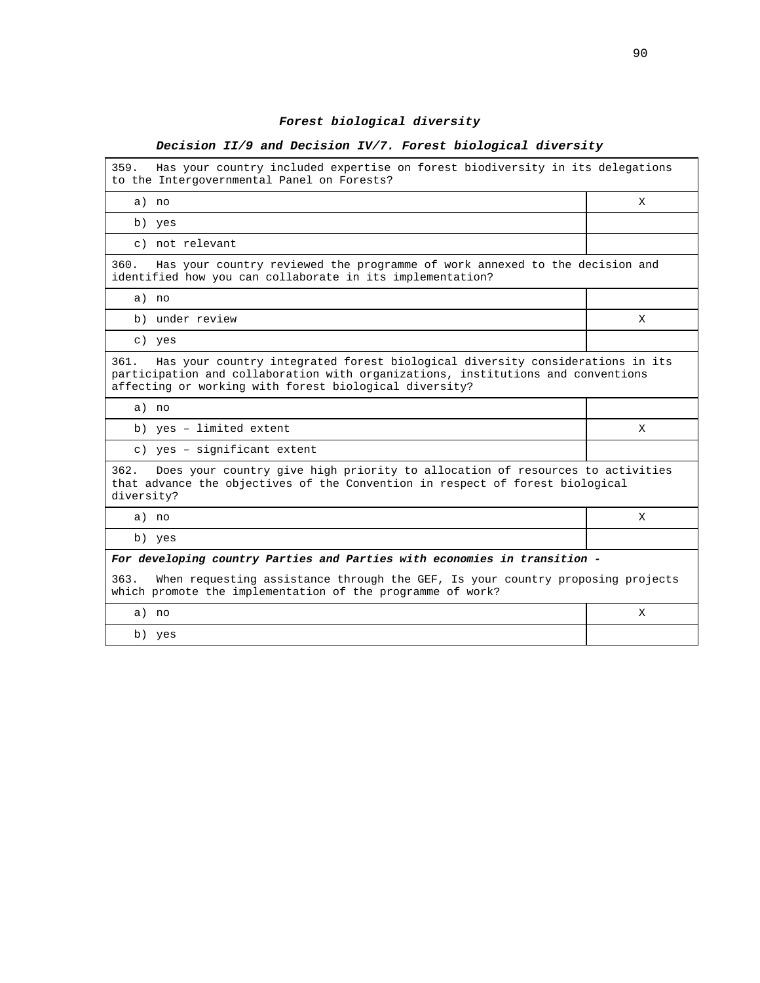# **Forest biological diversity**

## **Decision II/9 and Decision IV/7. Forest biological diversity**

| 359.<br>Has your country included expertise on forest biodiversity in its delegations<br>to the Intergovernmental Panel on Forests?                                                                                                 |   |  |  |
|-------------------------------------------------------------------------------------------------------------------------------------------------------------------------------------------------------------------------------------|---|--|--|
| a) no                                                                                                                                                                                                                               | X |  |  |
| b) yes                                                                                                                                                                                                                              |   |  |  |
| c) not relevant                                                                                                                                                                                                                     |   |  |  |
| Has your country reviewed the programme of work annexed to the decision and<br>360.<br>identified how you can collaborate in its implementation?                                                                                    |   |  |  |
| a) no                                                                                                                                                                                                                               |   |  |  |
| b) under review                                                                                                                                                                                                                     | X |  |  |
| c) yes                                                                                                                                                                                                                              |   |  |  |
| Has your country integrated forest biological diversity considerations in its<br>361.<br>participation and collaboration with organizations, institutions and conventions<br>affecting or working with forest biological diversity? |   |  |  |
| a) no                                                                                                                                                                                                                               |   |  |  |
| b) yes - limited extent                                                                                                                                                                                                             | X |  |  |
| c) yes - significant extent                                                                                                                                                                                                         |   |  |  |
| 362.<br>Does your country give high priority to allocation of resources to activities<br>that advance the objectives of the Convention in respect of forest biological<br>diversity?                                                |   |  |  |
| a) no                                                                                                                                                                                                                               | X |  |  |
| b) yes                                                                                                                                                                                                                              |   |  |  |
| For developing country Parties and Parties with economies in transition -                                                                                                                                                           |   |  |  |
| When requesting assistance through the GEF, Is your country proposing projects<br>363.<br>which promote the implementation of the programme of work?                                                                                |   |  |  |
| a) no                                                                                                                                                                                                                               | X |  |  |
| b) yes                                                                                                                                                                                                                              |   |  |  |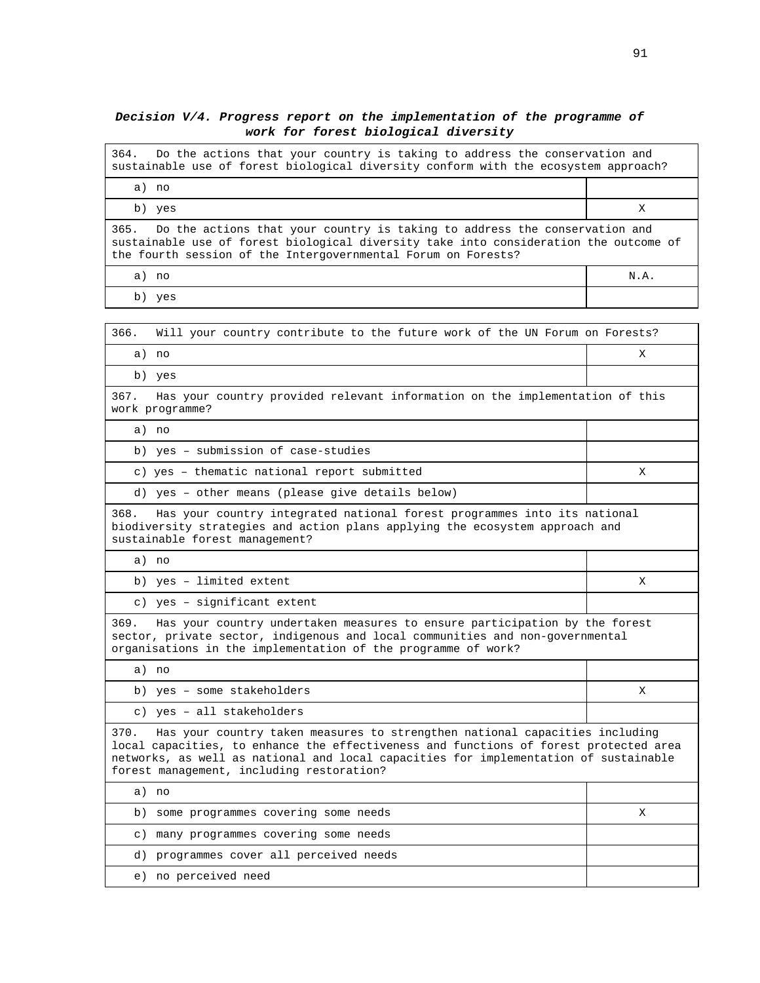#### **Decision V/4. Progress report on the implementation of the programme of work for forest biological diversity**

364. Do the actions that your country is taking to address the conservation and sustainable use of forest biological diversity conform with the ecosystem approach?

a) no b) yes  $X$ 365. Do the actions that your country is taking to address the conservation and sustainable use of forest biological diversity take into consideration the outcome of the fourth session of the Intergovernmental Forum on Forests? a) no N.A.

b) yes

| 366.<br>Will your country contribute to the future work of the UN Forum on Forests?                                                                                                                                                                                                                               |   |
|-------------------------------------------------------------------------------------------------------------------------------------------------------------------------------------------------------------------------------------------------------------------------------------------------------------------|---|
| a) no                                                                                                                                                                                                                                                                                                             | X |
| b) yes                                                                                                                                                                                                                                                                                                            |   |
| 367.<br>Has your country provided relevant information on the implementation of this<br>work programme?                                                                                                                                                                                                           |   |
| a) no                                                                                                                                                                                                                                                                                                             |   |
| b) yes - submission of case-studies                                                                                                                                                                                                                                                                               |   |
| c) yes - thematic national report submitted                                                                                                                                                                                                                                                                       | Χ |
| d) yes - other means (please give details below)                                                                                                                                                                                                                                                                  |   |
| Has your country integrated national forest programmes into its national<br>368.<br>biodiversity strategies and action plans applying the ecosystem approach and<br>sustainable forest management?                                                                                                                |   |
| a) no                                                                                                                                                                                                                                                                                                             |   |
| b) yes - limited extent                                                                                                                                                                                                                                                                                           | X |
| c) yes - significant extent                                                                                                                                                                                                                                                                                       |   |
| 369.<br>Has your country undertaken measures to ensure participation by the forest<br>sector, private sector, indigenous and local communities and non-governmental<br>organisations in the implementation of the programme of work?                                                                              |   |
| a) no                                                                                                                                                                                                                                                                                                             |   |
| b) yes - some stakeholders                                                                                                                                                                                                                                                                                        | X |
| c) yes - all stakeholders                                                                                                                                                                                                                                                                                         |   |
| 370.<br>Has your country taken measures to strengthen national capacities including<br>local capacities, to enhance the effectiveness and functions of forest protected area<br>networks, as well as national and local capacities for implementation of sustainable<br>forest management, including restoration? |   |
| a) no                                                                                                                                                                                                                                                                                                             |   |
| b) some programmes covering some needs                                                                                                                                                                                                                                                                            | X |
| many programmes covering some needs<br>$\circ$ )                                                                                                                                                                                                                                                                  |   |
| d) programmes cover all perceived needs                                                                                                                                                                                                                                                                           |   |
| e) no perceived need                                                                                                                                                                                                                                                                                              |   |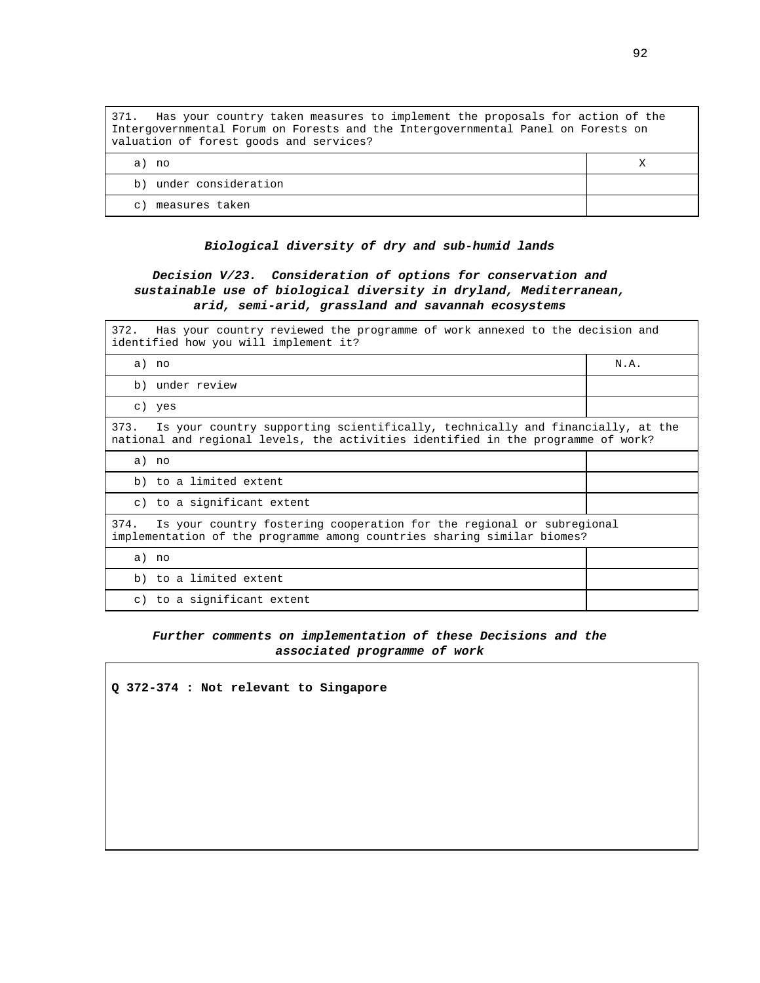| 371. Has your country taken measures to implement the proposals for action of the<br>Intergovernmental Forum on Forests and the Intergovernmental Panel on Forests on<br>valuation of forest goods and services? |  |  |
|------------------------------------------------------------------------------------------------------------------------------------------------------------------------------------------------------------------|--|--|
| a) no                                                                                                                                                                                                            |  |  |
| b) under consideration                                                                                                                                                                                           |  |  |
| measures taken<br>$\subset$ )                                                                                                                                                                                    |  |  |

#### **Biological diversity of dry and sub-humid lands**

### **Decision V/23. Consideration of options for conservation and sustainable use of biological diversity in dryland, Mediterranean, arid, semi-arid, grassland and savannah ecosystems**

| 372. Has your country reviewed the programme of work annexed to the decision and<br>identified how you will implement it?                                                   |      |  |
|-----------------------------------------------------------------------------------------------------------------------------------------------------------------------------|------|--|
| a) no                                                                                                                                                                       | N.A. |  |
| b) under review                                                                                                                                                             |      |  |
| c) yes                                                                                                                                                                      |      |  |
| Is your country supporting scientifically, technically and financially, at the<br>373.<br>national and regional levels, the activities identified in the programme of work? |      |  |
| a) no                                                                                                                                                                       |      |  |
| b) to a limited extent                                                                                                                                                      |      |  |
| c) to a significant extent                                                                                                                                                  |      |  |
| Is your country fostering cooperation for the regional or subregional<br>374.<br>implementation of the programme among countries sharing similar biomes?                    |      |  |
| a) no                                                                                                                                                                       |      |  |
| b) to a limited extent                                                                                                                                                      |      |  |
| c) to a significant extent                                                                                                                                                  |      |  |

#### **Further comments on implementation of these Decisions and the associated programme of work**

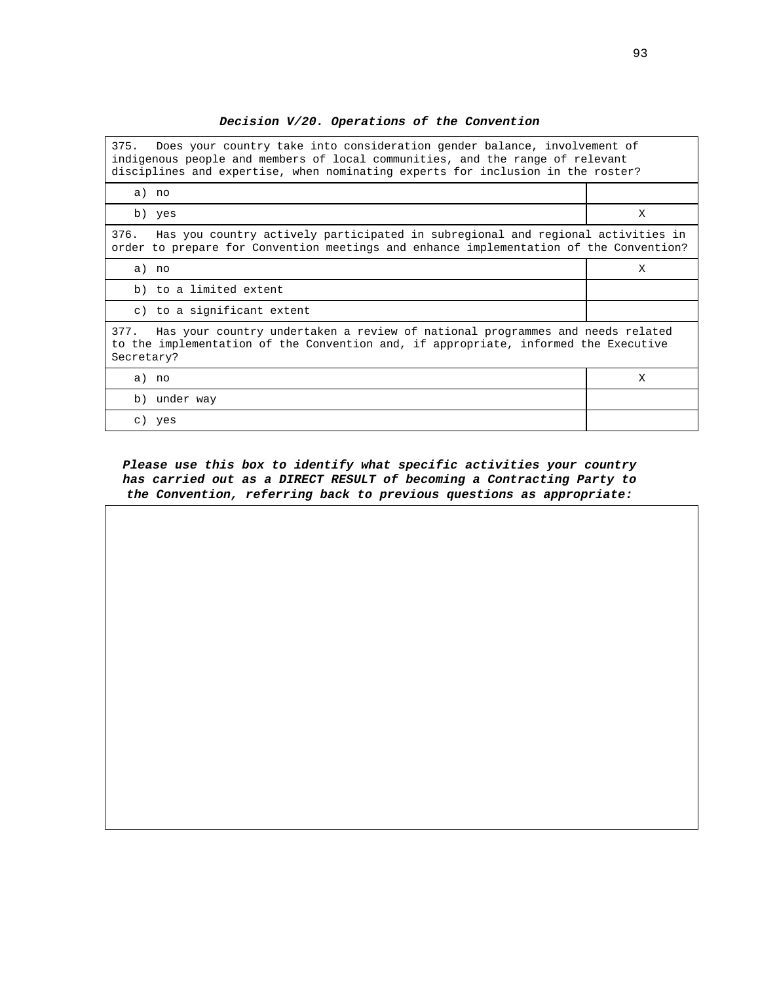**Decision V/20. Operations of the Convention** 

| 375.<br>Does your country take into consideration gender balance, involvement of<br>indigenous people and members of local communities, and the range of relevant<br>disciplines and expertise, when nominating experts for inclusion in the roster? |   |  |
|------------------------------------------------------------------------------------------------------------------------------------------------------------------------------------------------------------------------------------------------------|---|--|
| a) no                                                                                                                                                                                                                                                |   |  |
| b) yes                                                                                                                                                                                                                                               | X |  |
| 376.<br>Has you country actively participated in subregional and regional activities in<br>order to prepare for Convention meetings and enhance implementation of the Convention?                                                                    |   |  |
| a) no                                                                                                                                                                                                                                                | X |  |
| b) to a limited extent                                                                                                                                                                                                                               |   |  |
| c) to a significant extent                                                                                                                                                                                                                           |   |  |
| Has your country undertaken a review of national programmes and needs related<br>377.<br>to the implementation of the Convention and, if appropriate, informed the Executive<br>Secretary?                                                           |   |  |
| a) no                                                                                                                                                                                                                                                | X |  |
| b) under way                                                                                                                                                                                                                                         |   |  |
| c) yes                                                                                                                                                                                                                                               |   |  |

**Please use this box to identify what specific activities your country has carried out as a DIRECT RESULT of becoming a Contracting Party to the Convention, referring back to previous questions as appropriate:**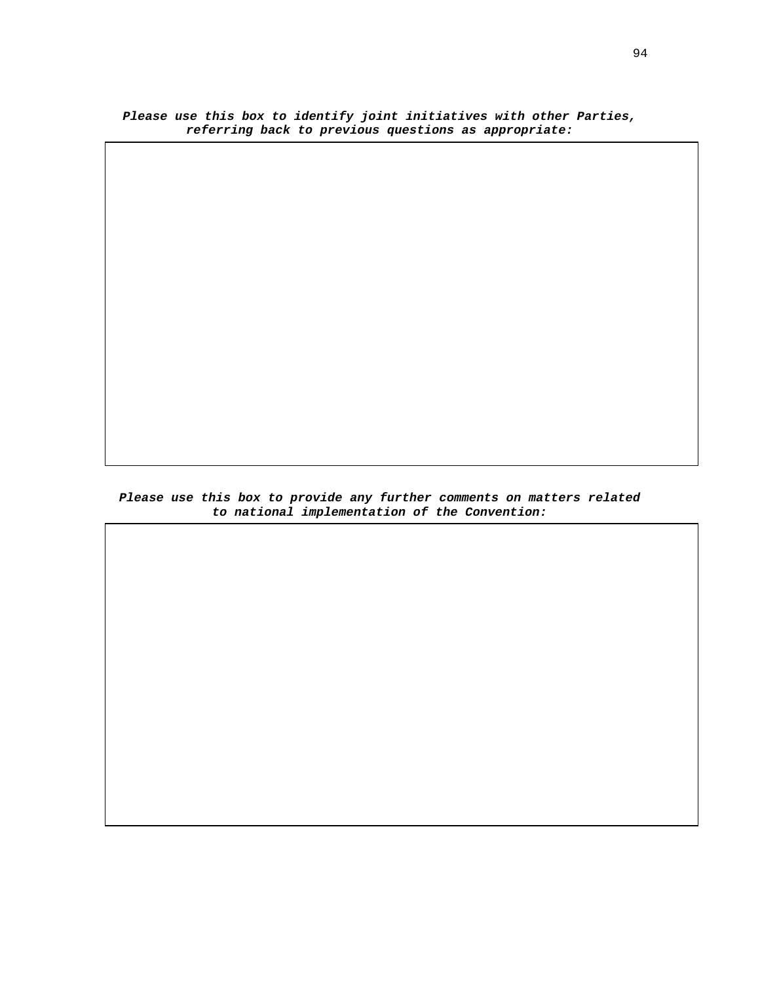**Please use this box to identify joint initiatives with other Parties, referring back to previous questions as appropriate:** 

**Please use this box to provide any further comments on matters related to national implementation of the Convention:**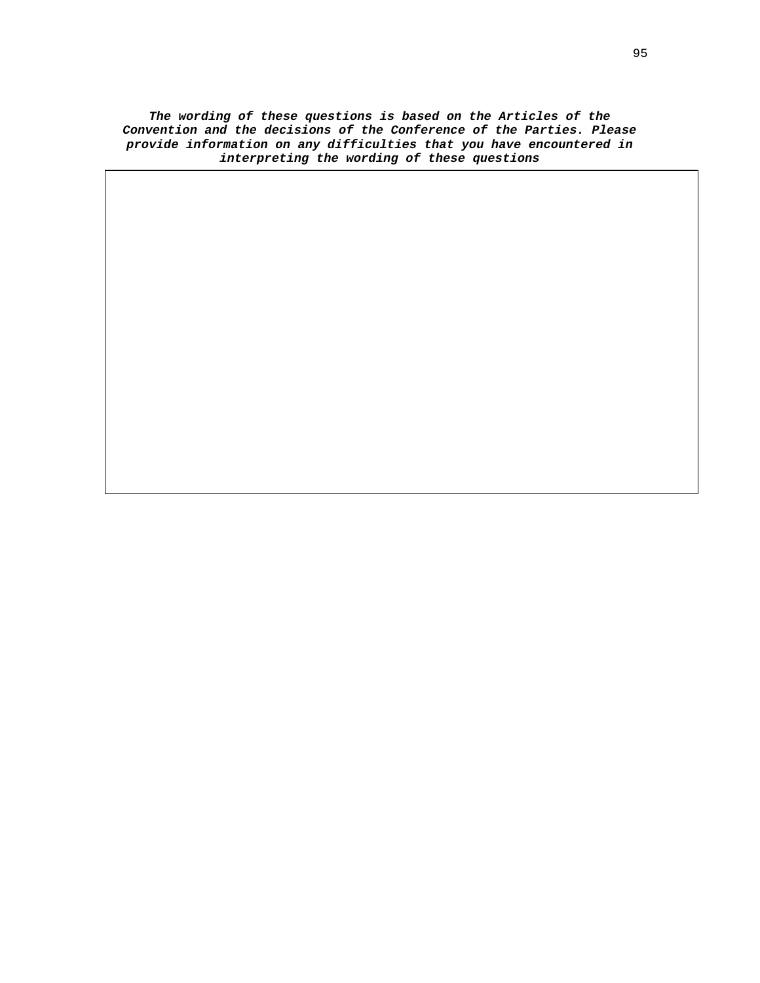**The wording of these questions is based on the Articles of the Convention and the decisions of the Conference of the Parties. Please provide information on any difficulties that you have encountered in interpreting the wording of these questions**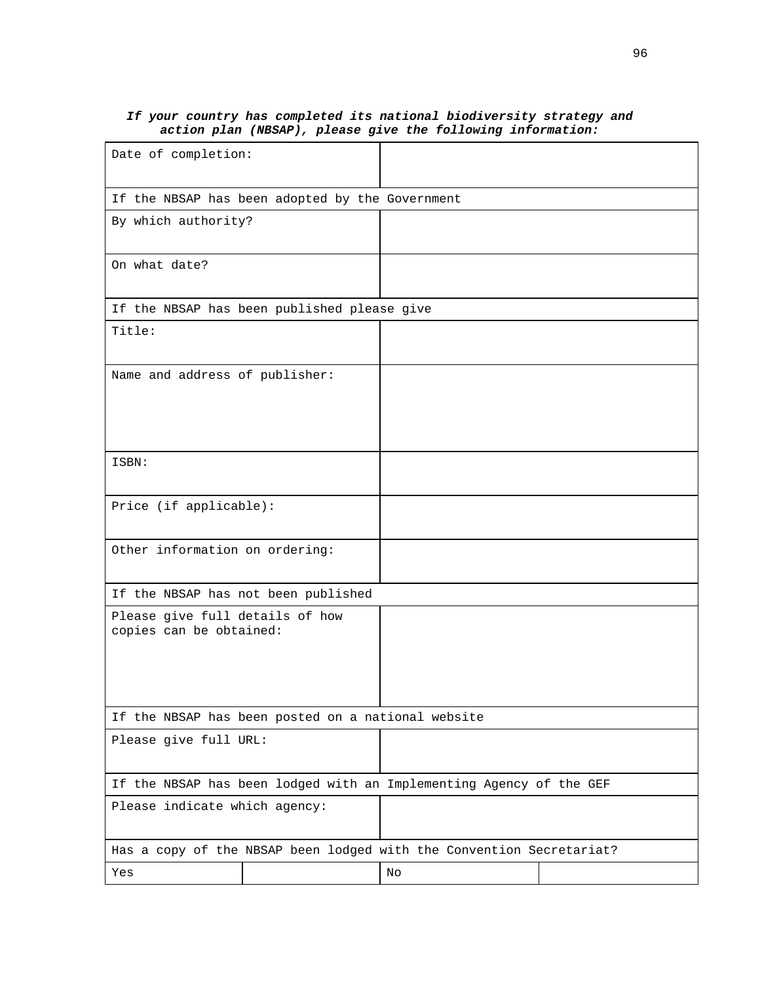| accion pian (Nobar), piease give the forfowing finormation.          |  |    |  |
|----------------------------------------------------------------------|--|----|--|
| Date of completion:                                                  |  |    |  |
| If the NBSAP has been adopted by the Government                      |  |    |  |
| By which authority?                                                  |  |    |  |
| On what date?                                                        |  |    |  |
| If the NBSAP has been published please give                          |  |    |  |
| Title:                                                               |  |    |  |
| Name and address of publisher:                                       |  |    |  |
| ISBN:                                                                |  |    |  |
| Price (if applicable):                                               |  |    |  |
| Other information on ordering:                                       |  |    |  |
| If the NBSAP has not been published                                  |  |    |  |
| Please give full details of how<br>copies can be obtained:           |  |    |  |
| If the NBSAP has been posted on a national website                   |  |    |  |
| Please give full URL:                                                |  |    |  |
| If the NBSAP has been lodged with an Implementing Agency of the GEF  |  |    |  |
| Please indicate which agency:                                        |  |    |  |
| Has a copy of the NBSAP been lodged with the Convention Secretariat? |  |    |  |
| Yes                                                                  |  | No |  |

### **If your country has completed its national biodiversity strategy and action plan (NBSAP), please give the following information:**